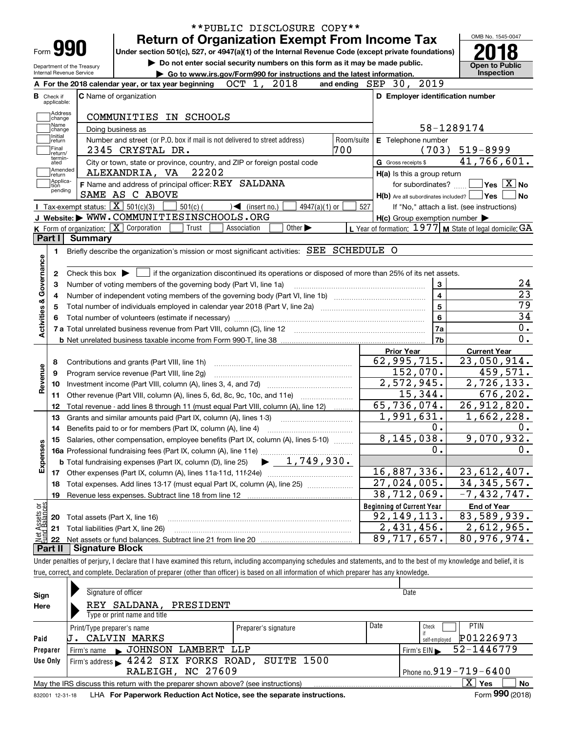| Do not enter social security numbers on this form as it may be made public.<br>Department of the Treasury<br><b>Internal Revenue Service</b><br>► Go to www.irs.gov/Form990 for instructions and the latest information.<br>OCT 1,<br>2018<br>A For the 2018 calendar year, or tax year beginning<br><b>C</b> Name of organization<br><b>B</b> Check if |                                                           | <b>Open to Public</b>                      |
|---------------------------------------------------------------------------------------------------------------------------------------------------------------------------------------------------------------------------------------------------------------------------------------------------------------------------------------------------------|-----------------------------------------------------------|--------------------------------------------|
|                                                                                                                                                                                                                                                                                                                                                         |                                                           | <b>Inspection</b>                          |
|                                                                                                                                                                                                                                                                                                                                                         | and ending SEP 30, 2019                                   |                                            |
| applicable:                                                                                                                                                                                                                                                                                                                                             | D Employer identification number                          |                                            |
| Address<br> change<br>COMMUNITIES IN SCHOOLS                                                                                                                                                                                                                                                                                                            |                                                           |                                            |
| Name<br>Doing business as<br>change                                                                                                                                                                                                                                                                                                                     | 58-1289174                                                |                                            |
| Initial<br>Number and street (or P.O. box if mail is not delivered to street address)<br>Room/suite<br>return<br>700<br> Final<br>2345 CRYSTAL DR.<br>Ireturn/                                                                                                                                                                                          | E Telephone number<br>(703)                               | $519 - 8999$                               |
| termin-<br>City or town, state or province, country, and ZIP or foreign postal code<br>ated<br> Amended                                                                                                                                                                                                                                                 | G Gross receipts \$                                       | 41,766,601.                                |
| 22202<br>ALEXANDRIA, VA<br> return<br> Applica-                                                                                                                                                                                                                                                                                                         | H(a) Is this a group return                               |                                            |
| F Name and address of principal officer: REY SALDANA<br>tion<br>pending                                                                                                                                                                                                                                                                                 | for subordinates?                                         | $\sqrt{}$ Yes $\sqrt{}$ X $\sqrt{}$ No     |
| SAME AS C ABOVE                                                                                                                                                                                                                                                                                                                                         | $H(b)$ Are all subordinates included? $\Box$ Yes          | l No                                       |
| Tax-exempt status: $\boxed{\mathbf{X}}$ 501(c)(3)<br>$4947(a)(1)$ or<br>$501(c)$ (<br>$\sqrt{\bullet}$ (insert no.)                                                                                                                                                                                                                                     | 527                                                       | If "No," attach a list. (see instructions) |
| J Website: WWW.COMMUNITIESINSCHOOLS.ORG                                                                                                                                                                                                                                                                                                                 | $H(c)$ Group exemption number $\blacktriangleright$       |                                            |
| K Form of organization: X Corporation<br>Other $\blacktriangleright$<br>Trust<br>Association                                                                                                                                                                                                                                                            | L Year of formation: $1977$ M State of legal domicile: GA |                                            |
| Part I<br>Summary                                                                                                                                                                                                                                                                                                                                       |                                                           |                                            |
| Briefly describe the organization's mission or most significant activities: SEE SCHEDULE O<br>1.                                                                                                                                                                                                                                                        |                                                           |                                            |
| Activities & Governance<br>5                                                                                                                                                                                                                                                                                                                            | 5<br>6<br>7a                                              |                                            |
|                                                                                                                                                                                                                                                                                                                                                         | 7b                                                        |                                            |
|                                                                                                                                                                                                                                                                                                                                                         | <b>Prior Year</b>                                         | <b>Current Year</b>                        |
| Contributions and grants (Part VIII, line 1h)<br>8                                                                                                                                                                                                                                                                                                      | 62,995,715.                                               | 23,050,914.                                |
| Program service revenue (Part VIII, line 2g)<br>9                                                                                                                                                                                                                                                                                                       | 152,070.                                                  | 459,571.                                   |
| 10                                                                                                                                                                                                                                                                                                                                                      | 2,572,945.                                                | 2,726,133.                                 |
| Other revenue (Part VIII, column (A), lines 5, 6d, 8c, 9c, 10c, and 11e)<br>11                                                                                                                                                                                                                                                                          | 15,344.                                                   | 676, 202.                                  |
| Total revenue - add lines 8 through 11 (must equal Part VIII, column (A), line 12)<br>12                                                                                                                                                                                                                                                                | 65,736,074.                                               | 26,912,820.                                |
| Grants and similar amounts paid (Part IX, column (A), lines 1-3)<br>13                                                                                                                                                                                                                                                                                  | $\overline{1,991},631.$                                   | 1,662,228.                                 |
| 14                                                                                                                                                                                                                                                                                                                                                      | 0.                                                        |                                            |
| 15 Salaries, other compensation, employee benefits (Part IX, column (A), lines 5-10)                                                                                                                                                                                                                                                                    | 8, 145, 038.                                              | 9,070,932.<br>0.                           |
| Expenses                                                                                                                                                                                                                                                                                                                                                | 0.                                                        |                                            |
| 1,749,930.<br><b>b</b> Total fundraising expenses (Part IX, column (D), line 25)                                                                                                                                                                                                                                                                        |                                                           |                                            |
| 17                                                                                                                                                                                                                                                                                                                                                      | 16,887,336.                                               | 23,612,407.                                |
| Total expenses. Add lines 13-17 (must equal Part IX, column (A), line 25)<br>18                                                                                                                                                                                                                                                                         | $\overline{27,024,005}$ .                                 | 34, 345, 567.                              |
| Revenue less expenses. Subtract line 18 from line 12<br>19                                                                                                                                                                                                                                                                                              | 38,712,069.                                               | $-7,432,747.$                              |
|                                                                                                                                                                                                                                                                                                                                                         | <b>Beginning of Current Year</b>                          | <b>End of Year</b>                         |
| t Assets or<br>d Balances<br>Total assets (Part X, line 16)<br>20                                                                                                                                                                                                                                                                                       | 92, 149, 113.                                             | 83,589,939.                                |
| Total liabilities (Part X, line 26)<br>21                                                                                                                                                                                                                                                                                                               | $\overline{2}$ , 431, 456.                                | 2,612,965.                                 |
| 혏<br>22                                                                                                                                                                                                                                                                                                                                                 | $\overline{89,717,657}$ .                                 | 80,976,974.                                |
| Part II<br><b>Signature Block</b>                                                                                                                                                                                                                                                                                                                       |                                                           |                                            |
| Under penalties of perjury, I declare that I have examined this return, including accompanying schedules and statements, and to the best of my knowledge and belief, it is                                                                                                                                                                              |                                                           |                                            |
| true, correct, and complete. Declaration of preparer (other than officer) is based on all information of which preparer has any knowledge.                                                                                                                                                                                                              |                                                           |                                            |

| Sign<br>Here | Signature of officer<br>REY SALDANA,<br>PRESIDENT<br>Type or print name and title                              |                      |      | Date                                               |  |  |  |  |  |
|--------------|----------------------------------------------------------------------------------------------------------------|----------------------|------|----------------------------------------------------|--|--|--|--|--|
| Paid         | Print/Type preparer's name<br>CALVIN MARKS                                                                     | Preparer's signature | Date | <b>PTIN</b><br>Check<br>P01226973<br>self-emploved |  |  |  |  |  |
| Preparer     | JOHNSON<br>LAMBERT LLP<br>Firm's name                                                                          |                      |      | 52-1446779<br>Firm's $EIN$                         |  |  |  |  |  |
| Use Only     | Firm's address 1242 SIX FORKS ROAD, SUITE 1500                                                                 |                      |      |                                                    |  |  |  |  |  |
|              | RALEIGH, NC 27609                                                                                              |                      |      | Phone no. $919 - 719 - 6400$                       |  |  |  |  |  |
|              | $\mathbf{X}$<br>Yes<br>No<br>May the IRS discuss this return with the preparer shown above? (see instructions) |                      |      |                                                    |  |  |  |  |  |
|              |                                                                                                                |                      |      | $000 \div 0.00$                                    |  |  |  |  |  |

832001\_12-31-18 LHA **For Paperwork Reduction Act Notice, see the separate instructions.** Form 990 (2018)

**990**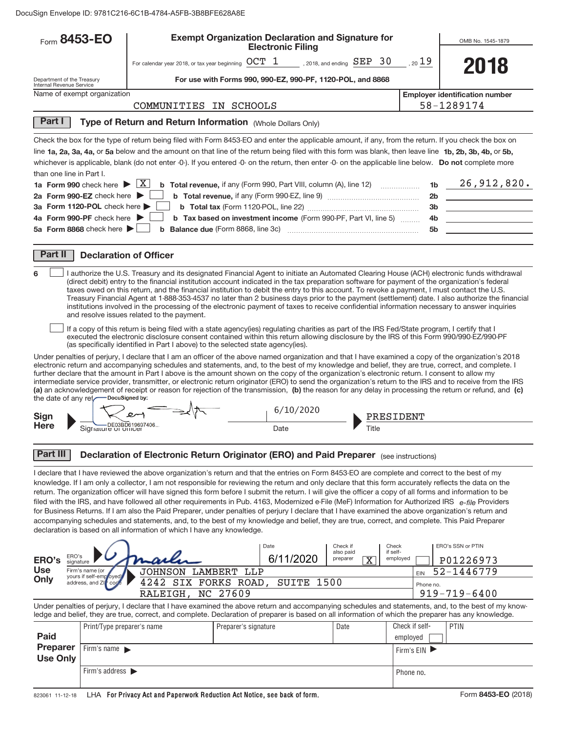DocuSign Envelope ID: 9781C216-6C1B-4784-A5FB-3B8BFE628A8E

|                            | Form 8453-EO                                                                                                                                                                                                                                                                                                                                                                                                                                                                                                                                                                                                                                                                                                                                                                                                                                                                                                                                                                                                 |                                                                                                                                                                                                                                                                                                                                                                                                                                                                                                                                                                                                                                                                                                                                                                                       |                      | <b>Exempt Organization Declaration and Signature for</b><br><b>Electronic Filing</b> |                                                        |                | OMB No. 1545-1879                                                                                                                                   |  |
|----------------------------|--------------------------------------------------------------------------------------------------------------------------------------------------------------------------------------------------------------------------------------------------------------------------------------------------------------------------------------------------------------------------------------------------------------------------------------------------------------------------------------------------------------------------------------------------------------------------------------------------------------------------------------------------------------------------------------------------------------------------------------------------------------------------------------------------------------------------------------------------------------------------------------------------------------------------------------------------------------------------------------------------------------|---------------------------------------------------------------------------------------------------------------------------------------------------------------------------------------------------------------------------------------------------------------------------------------------------------------------------------------------------------------------------------------------------------------------------------------------------------------------------------------------------------------------------------------------------------------------------------------------------------------------------------------------------------------------------------------------------------------------------------------------------------------------------------------|----------------------|--------------------------------------------------------------------------------------|--------------------------------------------------------|----------------|-----------------------------------------------------------------------------------------------------------------------------------------------------|--|
|                            |                                                                                                                                                                                                                                                                                                                                                                                                                                                                                                                                                                                                                                                                                                                                                                                                                                                                                                                                                                                                              | For calendar year 2018, or tax year beginning $OCT$ $1$ , 2018, and ending $SEP$ 30                                                                                                                                                                                                                                                                                                                                                                                                                                                                                                                                                                                                                                                                                                   |                      |                                                                                      |                                                        | $_{,20}$ 19    |                                                                                                                                                     |  |
| Department of the Treasury |                                                                                                                                                                                                                                                                                                                                                                                                                                                                                                                                                                                                                                                                                                                                                                                                                                                                                                                                                                                                              |                                                                                                                                                                                                                                                                                                                                                                                                                                                                                                                                                                                                                                                                                                                                                                                       |                      | For use with Forms 990, 990-EZ, 990-PF, 1120-POL, and 8868                           |                                                        |                | 2018                                                                                                                                                |  |
| Internal Revenue Service   | Name of exempt organization                                                                                                                                                                                                                                                                                                                                                                                                                                                                                                                                                                                                                                                                                                                                                                                                                                                                                                                                                                                  |                                                                                                                                                                                                                                                                                                                                                                                                                                                                                                                                                                                                                                                                                                                                                                                       |                      |                                                                                      |                                                        |                | <b>Employer identification number</b>                                                                                                               |  |
|                            |                                                                                                                                                                                                                                                                                                                                                                                                                                                                                                                                                                                                                                                                                                                                                                                                                                                                                                                                                                                                              | COMMUNITIES IN SCHOOLS                                                                                                                                                                                                                                                                                                                                                                                                                                                                                                                                                                                                                                                                                                                                                                |                      |                                                                                      |                                                        |                | 58-1289174                                                                                                                                          |  |
| Part I                     |                                                                                                                                                                                                                                                                                                                                                                                                                                                                                                                                                                                                                                                                                                                                                                                                                                                                                                                                                                                                              | Type of Return and Return Information (Whole Dollars Only)                                                                                                                                                                                                                                                                                                                                                                                                                                                                                                                                                                                                                                                                                                                            |                      |                                                                                      |                                                        |                |                                                                                                                                                     |  |
| than one line in Part I.   |                                                                                                                                                                                                                                                                                                                                                                                                                                                                                                                                                                                                                                                                                                                                                                                                                                                                                                                                                                                                              | Check the box for the type of return being filed with Form 8453-EO and enter the applicable amount, if any, from the return. If you check the box on<br>line 1a, 2a, 3a, 4a, or 5a below and the amount on that line of the return being filed with this form was blank, then leave line 1b, 2b, 3b, 4b, or 5b,<br>whichever is applicable, blank (do not enter -0-). If you entered -0- on the return, then enter -0- on the applicable line below. Do not complete more                                                                                                                                                                                                                                                                                                             |                      |                                                                                      |                                                        |                |                                                                                                                                                     |  |
|                            | 1a Form 990 check here $\blacktriangleright \mid X$                                                                                                                                                                                                                                                                                                                                                                                                                                                                                                                                                                                                                                                                                                                                                                                                                                                                                                                                                          |                                                                                                                                                                                                                                                                                                                                                                                                                                                                                                                                                                                                                                                                                                                                                                                       |                      | <b>b</b> Total revenue, if any (Form 990, Part VIII, column (A), line 12)            |                                                        | 1b             | 26,912,820.                                                                                                                                         |  |
|                            | 2a Form 990-EZ check here $\blacktriangleright$                                                                                                                                                                                                                                                                                                                                                                                                                                                                                                                                                                                                                                                                                                                                                                                                                                                                                                                                                              |                                                                                                                                                                                                                                                                                                                                                                                                                                                                                                                                                                                                                                                                                                                                                                                       |                      |                                                                                      |                                                        | 2 <sub>b</sub> |                                                                                                                                                     |  |
|                            | 3a Form 1120-POL check here                                                                                                                                                                                                                                                                                                                                                                                                                                                                                                                                                                                                                                                                                                                                                                                                                                                                                                                                                                                  |                                                                                                                                                                                                                                                                                                                                                                                                                                                                                                                                                                                                                                                                                                                                                                                       |                      |                                                                                      |                                                        | 3b             |                                                                                                                                                     |  |
|                            | 4a Form 990-PF check here<br>5a Form 8868 check here                                                                                                                                                                                                                                                                                                                                                                                                                                                                                                                                                                                                                                                                                                                                                                                                                                                                                                                                                         | b                                                                                                                                                                                                                                                                                                                                                                                                                                                                                                                                                                                                                                                                                                                                                                                     |                      | b Tax based on investment income (Form 990-PF, Part VI, line 5)                      |                                                        | 4b<br>5b       |                                                                                                                                                     |  |
|                            |                                                                                                                                                                                                                                                                                                                                                                                                                                                                                                                                                                                                                                                                                                                                                                                                                                                                                                                                                                                                              |                                                                                                                                                                                                                                                                                                                                                                                                                                                                                                                                                                                                                                                                                                                                                                                       |                      |                                                                                      |                                                        |                |                                                                                                                                                     |  |
| Part II                    |                                                                                                                                                                                                                                                                                                                                                                                                                                                                                                                                                                                                                                                                                                                                                                                                                                                                                                                                                                                                              | <b>Declaration of Officer</b>                                                                                                                                                                                                                                                                                                                                                                                                                                                                                                                                                                                                                                                                                                                                                         |                      |                                                                                      |                                                        |                |                                                                                                                                                     |  |
|                            |                                                                                                                                                                                                                                                                                                                                                                                                                                                                                                                                                                                                                                                                                                                                                                                                                                                                                                                                                                                                              | I authorize the U.S. Treasury and its designated Financial Agent to initiate an Automated Clearing House (ACH) electronic funds withdrawal<br>(direct debit) entry to the financial institution account indicated in the tax preparation software for payment of the organization's federal<br>taxes owed on this return, and the financial institution to debit the entry to this account. To revoke a payment, I must contact the U.S.<br>institutions involved in the processing of the electronic payment of taxes to receive confidential information necessary to answer inquiries<br>and resolve issues related to the payment.                                                                                                                                                |                      |                                                                                      |                                                        |                | Treasury Financial Agent at 1-888-353-4537 no later than 2 business days prior to the payment (settlement) date. I also authorize the financial     |  |
|                            |                                                                                                                                                                                                                                                                                                                                                                                                                                                                                                                                                                                                                                                                                                                                                                                                                                                                                                                                                                                                              | If a copy of this return is being filed with a state agency(ies) regulating charities as part of the IRS Fed/State program, I certify that I<br>executed the electronic disclosure consent contained within this return allowing disclosure by the IRS of this Form 990/990-EZ/990-PF<br>(as specifically identified in Part I above) to the selected state agency(ies).                                                                                                                                                                                                                                                                                                                                                                                                              |                      |                                                                                      |                                                        |                |                                                                                                                                                     |  |
| the date of any rel        | — DocuSigned by:                                                                                                                                                                                                                                                                                                                                                                                                                                                                                                                                                                                                                                                                                                                                                                                                                                                                                                                                                                                             | Under penalties of perjury, I declare that I am an officer of the above named organization and that I have examined a copy of the organization's 2018<br>electronic return and accompanying schedules and statements, and, to the best of my knowledge and belief, they are true, correct, and complete. I<br>further declare that the amount in Part I above is the amount shown on the copy of the organization's electronic return. I consent to allow my<br>intermediate service provider, transmitter, or electronic return originator (ERO) to send the organization's return to the IRS and to receive from the IRS<br>(a) an acknowledgement of receipt or reason for rejection of the transmission. (b) the reason for any delay in processing the return or refund, and (c) |                      |                                                                                      |                                                        |                |                                                                                                                                                     |  |
| Sign                       |                                                                                                                                                                                                                                                                                                                                                                                                                                                                                                                                                                                                                                                                                                                                                                                                                                                                                                                                                                                                              |                                                                                                                                                                                                                                                                                                                                                                                                                                                                                                                                                                                                                                                                                                                                                                                       |                      | 6/10/2020                                                                            |                                                        |                |                                                                                                                                                     |  |
| Here                       | Signature of Officer<br>Signature of Officer                                                                                                                                                                                                                                                                                                                                                                                                                                                                                                                                                                                                                                                                                                                                                                                                                                                                                                                                                                 |                                                                                                                                                                                                                                                                                                                                                                                                                                                                                                                                                                                                                                                                                                                                                                                       |                      | Date                                                                                 | Title                                                  |                |                                                                                                                                                     |  |
| <b>Part III</b>            |                                                                                                                                                                                                                                                                                                                                                                                                                                                                                                                                                                                                                                                                                                                                                                                                                                                                                                                                                                                                              | Declaration of Electronic Return Originator (ERO) and Paid Preparer (see instructions)                                                                                                                                                                                                                                                                                                                                                                                                                                                                                                                                                                                                                                                                                                |                      |                                                                                      |                                                        |                |                                                                                                                                                     |  |
|                            | I declare that I have reviewed the above organization's return and that the entries on Form 8453-EO are complete and correct to the best of my<br>knowledge. If I am only a collector, I am not responsible for reviewing the return and only declare that this form accurately reflects the data on the<br>return. The organization officer will have signed this form before I submit the return. I will give the officer a copy of all forms and information to be<br>filed with the IRS, and have followed all other requirements in Pub. 4163, Modernized e-File (MeF) Information for Authorized IRS e-file Providers<br>for Business Returns. If I am also the Paid Preparer, under penalties of perjury I declare that I have examined the above organization's return and<br>accompanying schedules and statements, and, to the best of my knowledge and belief, they are true, correct, and complete. This Paid Preparer<br>declaration is based on all information of which I have any knowledge. |                                                                                                                                                                                                                                                                                                                                                                                                                                                                                                                                                                                                                                                                                                                                                                                       |                      |                                                                                      |                                                        |                |                                                                                                                                                     |  |
| ERO's<br>ERO's             |                                                                                                                                                                                                                                                                                                                                                                                                                                                                                                                                                                                                                                                                                                                                                                                                                                                                                                                                                                                                              |                                                                                                                                                                                                                                                                                                                                                                                                                                                                                                                                                                                                                                                                                                                                                                                       |                      | Date<br>6/11/2020                                                                    | Check if<br>Check<br>also paid<br>if self-<br>preparer | employed       | ERO's SSN or PTIN                                                                                                                                   |  |
| <b>Use</b>                 | signature<br>Firm's name (or                                                                                                                                                                                                                                                                                                                                                                                                                                                                                                                                                                                                                                                                                                                                                                                                                                                                                                                                                                                 | <b>JOHNSON</b>                                                                                                                                                                                                                                                                                                                                                                                                                                                                                                                                                                                                                                                                                                                                                                        | <b>LAMBERT LLP</b>   |                                                                                      | х                                                      | EIN            | P01226973<br>52-1446779                                                                                                                             |  |
| Only                       | yours if self-employed<br>address, and ZI<br><sub>co</sub>                                                                                                                                                                                                                                                                                                                                                                                                                                                                                                                                                                                                                                                                                                                                                                                                                                                                                                                                                   | 4242<br>SIX                                                                                                                                                                                                                                                                                                                                                                                                                                                                                                                                                                                                                                                                                                                                                                           | FORKS ROAD,          | SUITE                                                                                | 1500                                                   | Phone no.      |                                                                                                                                                     |  |
|                            |                                                                                                                                                                                                                                                                                                                                                                                                                                                                                                                                                                                                                                                                                                                                                                                                                                                                                                                                                                                                              | <b>RALEIGH</b>                                                                                                                                                                                                                                                                                                                                                                                                                                                                                                                                                                                                                                                                                                                                                                        | NC 27609             |                                                                                      |                                                        |                | $919 - 719 - 6400$                                                                                                                                  |  |
|                            |                                                                                                                                                                                                                                                                                                                                                                                                                                                                                                                                                                                                                                                                                                                                                                                                                                                                                                                                                                                                              | ledge and belief, they are true, correct, and complete. Declaration of preparer is based on all information of which the preparer has any knowledge.                                                                                                                                                                                                                                                                                                                                                                                                                                                                                                                                                                                                                                  |                      |                                                                                      |                                                        |                | Under penalties of perjury, I declare that I have examined the above return and accompanying schedules and statements, and, to the best of my know- |  |
|                            | Print/Type preparer's name                                                                                                                                                                                                                                                                                                                                                                                                                                                                                                                                                                                                                                                                                                                                                                                                                                                                                                                                                                                   |                                                                                                                                                                                                                                                                                                                                                                                                                                                                                                                                                                                                                                                                                                                                                                                       | Preparer's signature |                                                                                      | Date                                                   | Check if self- | PTIN                                                                                                                                                |  |
| Paid<br>Preparer           | Firm's name $\blacktriangleright$                                                                                                                                                                                                                                                                                                                                                                                                                                                                                                                                                                                                                                                                                                                                                                                                                                                                                                                                                                            |                                                                                                                                                                                                                                                                                                                                                                                                                                                                                                                                                                                                                                                                                                                                                                                       |                      |                                                                                      |                                                        | employed       |                                                                                                                                                     |  |
| <b>Use Only</b>            |                                                                                                                                                                                                                                                                                                                                                                                                                                                                                                                                                                                                                                                                                                                                                                                                                                                                                                                                                                                                              |                                                                                                                                                                                                                                                                                                                                                                                                                                                                                                                                                                                                                                                                                                                                                                                       |                      |                                                                                      |                                                        | Firm's $EIN$   |                                                                                                                                                     |  |
|                            | Firm's address $\blacktriangleright$                                                                                                                                                                                                                                                                                                                                                                                                                                                                                                                                                                                                                                                                                                                                                                                                                                                                                                                                                                         |                                                                                                                                                                                                                                                                                                                                                                                                                                                                                                                                                                                                                                                                                                                                                                                       |                      |                                                                                      |                                                        | Phone no.      |                                                                                                                                                     |  |

823061 11‐12‐18 **For Privacy Act and Paperwork Reduction Act Notice, see back of form.** LHA Form (2018)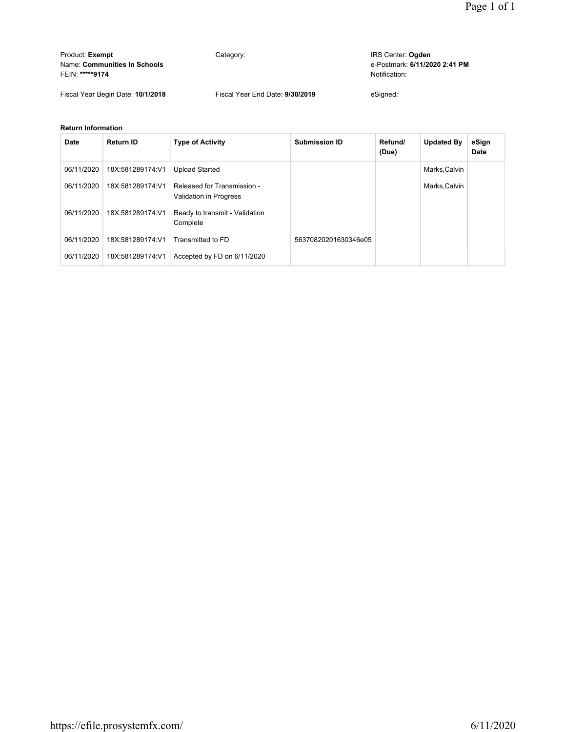| Product: Exempt<br>Name: Communities In Schools<br>FEIN: *****9174 | Category:                       | IRS Center: Ogden<br>e-Postmark: 6/11/2020 2:41 PM<br>Notification: |
|--------------------------------------------------------------------|---------------------------------|---------------------------------------------------------------------|
| Fiscal Year Begin Date: 10/1/2018                                  | Fiscal Year End Date: 9/30/2019 | eSianed:                                                            |

#### **Return Information**

| <b>Date</b> | <b>Return ID</b> | <b>Type of Activity</b>                                      | <b>Submission ID</b> | Refund/<br>(Due) | <b>Updated By</b> | eSign<br><b>Date</b> |
|-------------|------------------|--------------------------------------------------------------|----------------------|------------------|-------------------|----------------------|
| 06/11/2020  | 18X:581289174:V1 | <b>Upload Started</b>                                        |                      |                  | Marks, Calvin     |                      |
| 06/11/2020  | 18X:581289174:V1 | Released for Transmission -<br><b>Validation in Progress</b> |                      |                  | Marks, Calvin     |                      |
| 06/11/2020  | 18X:581289174:V1 | Ready to transmit - Validation<br>Complete                   |                      |                  |                   |                      |
| 06/11/2020  | 18X:581289174:V1 | Transmitted to FD                                            | 56370820201630346e05 |                  |                   |                      |
| 06/11/2020  | 18X:581289174:V1 | Accepted by FD on 6/11/2020                                  |                      |                  |                   |                      |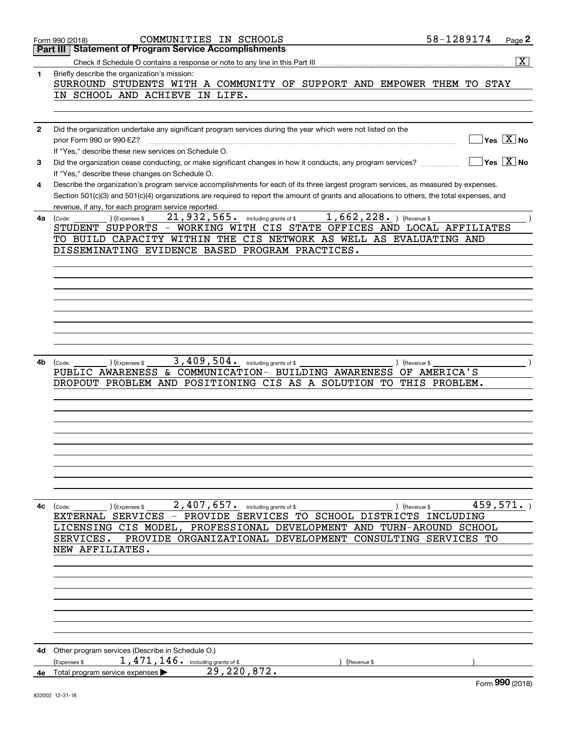|              | COMMUNITIES IN SCHOOLS<br>Form 990 (2018)                                                                                                    | 58-1289174 | Page 2                                 |
|--------------|----------------------------------------------------------------------------------------------------------------------------------------------|------------|----------------------------------------|
|              | <b>Statement of Program Service Accomplishments</b><br>Part III I                                                                            |            |                                        |
|              |                                                                                                                                              |            | $\overline{\mathbf{x}}$                |
| $\mathbf{1}$ | Briefly describe the organization's mission:                                                                                                 |            |                                        |
|              | SURROUND STUDENTS WITH A COMMUNITY OF SUPPORT AND EMPOWER THEM TO STAY                                                                       |            |                                        |
|              | IN SCHOOL AND ACHIEVE IN LIFE.                                                                                                               |            |                                        |
|              |                                                                                                                                              |            |                                        |
|              |                                                                                                                                              |            |                                        |
| $\mathbf{2}$ | Did the organization undertake any significant program services during the year which were not listed on the                                 |            |                                        |
|              | prior Form 990 or 990-EZ?                                                                                                                    |            | $\sqrt{}$ Yes $\sqrt{}$ X $\sqrt{}$ No |
|              | If "Yes," describe these new services on Schedule O.                                                                                         |            |                                        |
|              |                                                                                                                                              |            | $\sqrt{}$ Yes $\sqrt{}$ X $\sqrt{}$ No |
| 3            | Did the organization cease conducting, or make significant changes in how it conducts, any program services?                                 |            |                                        |
|              | If "Yes," describe these changes on Schedule O.                                                                                              |            |                                        |
| 4            | Describe the organization's program service accomplishments for each of its three largest program services, as measured by expenses.         |            |                                        |
|              | Section 501(c)(3) and 501(c)(4) organizations are required to report the amount of grants and allocations to others, the total expenses, and |            |                                        |
|              | revenue, if any, for each program service reported.                                                                                          |            |                                        |
| 4a           | 21,932,565. including grants of \$1,662,228. ) (Revenue \$<br>(Expenses \$<br>(Code:                                                         |            |                                        |
|              | STUDENT SUPPORTS - WORKING WITH CIS STATE OFFICES AND LOCAL AFFILIATES                                                                       |            |                                        |
|              | TO BUILD CAPACITY WITHIN THE CIS NETWORK AS WELL AS EVALUATING AND                                                                           |            |                                        |
|              | DISSEMINATING EVIDENCE BASED PROGRAM PRACTICES.                                                                                              |            |                                        |
|              |                                                                                                                                              |            |                                        |
|              |                                                                                                                                              |            |                                        |
|              |                                                                                                                                              |            |                                        |
|              |                                                                                                                                              |            |                                        |
|              |                                                                                                                                              |            |                                        |
|              |                                                                                                                                              |            |                                        |
|              |                                                                                                                                              |            |                                        |
|              |                                                                                                                                              |            |                                        |
|              |                                                                                                                                              |            |                                        |
| 4b           | ) (Revenue \$                                                                                                                                |            |                                        |
|              | ) (Expenses \$<br>(Code:<br>PUBLIC AWARENESS & COMMUNICATION- BUILDING AWARENESS OF AMERICA'S                                                |            |                                        |
|              | DROPOUT PROBLEM AND POSITIONING CIS AS A SOLUTION TO THIS PROBLEM.                                                                           |            |                                        |
|              |                                                                                                                                              |            |                                        |
|              |                                                                                                                                              |            |                                        |
|              |                                                                                                                                              |            |                                        |
|              |                                                                                                                                              |            |                                        |
|              |                                                                                                                                              |            |                                        |
|              |                                                                                                                                              |            |                                        |
|              |                                                                                                                                              |            |                                        |
|              |                                                                                                                                              |            |                                        |
|              |                                                                                                                                              |            |                                        |
|              |                                                                                                                                              |            |                                        |
|              |                                                                                                                                              |            |                                        |
| 4с           | $2$ , $407$ , $657$ or including grants of \$<br>(Expenses \$<br>(Code:<br>) (Revenue \$                                                     |            | 459,571.                               |
|              | EXTERNAL SERVICES - PROVIDE SERVICES TO SCHOOL DISTRICTS INCLUDING                                                                           |            |                                        |
|              | LICENSING CIS MODEL, PROFESSIONAL DEVELOPMENT AND TURN-AROUND SCHOOL                                                                         |            |                                        |
|              | PROVIDE ORGANIZATIONAL DEVELOPMENT CONSULTING SERVICES TO<br>SERVICES.                                                                       |            |                                        |
|              | NEW AFFILIATES.                                                                                                                              |            |                                        |
|              |                                                                                                                                              |            |                                        |
|              |                                                                                                                                              |            |                                        |
|              |                                                                                                                                              |            |                                        |
|              |                                                                                                                                              |            |                                        |
|              |                                                                                                                                              |            |                                        |
|              |                                                                                                                                              |            |                                        |
|              |                                                                                                                                              |            |                                        |
|              |                                                                                                                                              |            |                                        |
|              |                                                                                                                                              |            |                                        |
| 4d           | Other program services (Describe in Schedule O.)                                                                                             |            |                                        |
|              | 1,471,146. including grants of \$<br>(Expenses \$<br>(Revenue \$                                                                             |            |                                        |
| 4е           | 29, 220, 872.<br>Total program service expenses                                                                                              |            |                                        |
|              |                                                                                                                                              |            | Form 990 (2018)                        |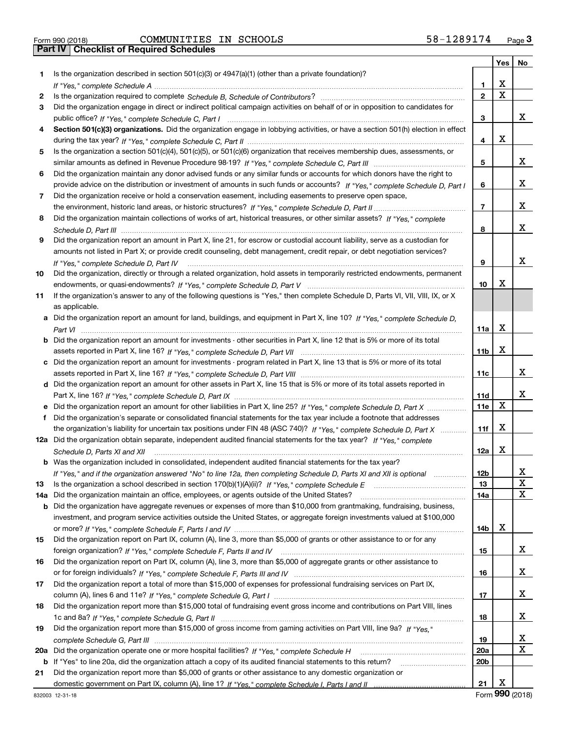Form 990 (2018) Page **3Part IV Checklist of Required Schedules** COMMUNITIES IN SCHOOLS 58-1289174

|     |                                                                                                                                  |                 | Yes | No               |
|-----|----------------------------------------------------------------------------------------------------------------------------------|-----------------|-----|------------------|
| 1   | Is the organization described in section $501(c)(3)$ or $4947(a)(1)$ (other than a private foundation)?                          |                 |     |                  |
|     |                                                                                                                                  | 1               | х   |                  |
| 2   |                                                                                                                                  | $\mathbf{2}$    | Χ   |                  |
| 3   | Did the organization engage in direct or indirect political campaign activities on behalf of or in opposition to candidates for  |                 |     |                  |
|     |                                                                                                                                  | 3               |     | x                |
| 4   | Section 501(c)(3) organizations. Did the organization engage in lobbying activities, or have a section 501(h) election in effect |                 |     |                  |
|     |                                                                                                                                  | 4               | х   |                  |
| 5   | Is the organization a section 501(c)(4), 501(c)(5), or 501(c)(6) organization that receives membership dues, assessments, or     |                 |     |                  |
|     |                                                                                                                                  | 5               |     | x                |
| 6   | Did the organization maintain any donor advised funds or any similar funds or accounts for which donors have the right to        |                 |     |                  |
|     | provide advice on the distribution or investment of amounts in such funds or accounts? If "Yes," complete Schedule D, Part I     | 6               |     | x                |
| 7   | Did the organization receive or hold a conservation easement, including easements to preserve open space,                        |                 |     |                  |
|     |                                                                                                                                  | $\overline{7}$  |     | x                |
| 8   | Did the organization maintain collections of works of art, historical treasures, or other similar assets? If "Yes," complete     |                 |     |                  |
|     |                                                                                                                                  | 8               |     | x                |
| 9   | Did the organization report an amount in Part X, line 21, for escrow or custodial account liability, serve as a custodian for    |                 |     |                  |
|     | amounts not listed in Part X; or provide credit counseling, debt management, credit repair, or debt negotiation services?        |                 |     |                  |
|     |                                                                                                                                  | 9               |     | х                |
| 10  | Did the organization, directly or through a related organization, hold assets in temporarily restricted endowments, permanent    |                 |     |                  |
|     |                                                                                                                                  | 10              | х   |                  |
| 11  | If the organization's answer to any of the following questions is "Yes," then complete Schedule D, Parts VI, VII, VIII, IX, or X |                 |     |                  |
|     | as applicable.                                                                                                                   |                 |     |                  |
|     | Did the organization report an amount for land, buildings, and equipment in Part X, line 10? If "Yes," complete Schedule D,      |                 | х   |                  |
|     |                                                                                                                                  | 11a             |     |                  |
| b   | Did the organization report an amount for investments - other securities in Part X, line 12 that is 5% or more of its total      | 11 <sub>b</sub> | х   |                  |
|     | c Did the organization report an amount for investments - program related in Part X, line 13 that is 5% or more of its total     |                 |     |                  |
|     |                                                                                                                                  | 11c             |     | x                |
|     | d Did the organization report an amount for other assets in Part X, line 15 that is 5% or more of its total assets reported in   |                 |     |                  |
|     |                                                                                                                                  | 11d             |     | х                |
|     | Did the organization report an amount for other liabilities in Part X, line 25? If "Yes," complete Schedule D, Part X            | <b>11e</b>      | X   |                  |
| f   | Did the organization's separate or consolidated financial statements for the tax year include a footnote that addresses          |                 |     |                  |
|     | the organization's liability for uncertain tax positions under FIN 48 (ASC 740)? If "Yes," complete Schedule D, Part X           | 11f             | х   |                  |
|     | 12a Did the organization obtain separate, independent audited financial statements for the tax year? If "Yes," complete          |                 |     |                  |
|     | Schedule D, Parts XI and XII                                                                                                     | 12a             | х   |                  |
|     | <b>b</b> Was the organization included in consolidated, independent audited financial statements for the tax year?               |                 |     |                  |
|     | If "Yes," and if the organization answered "No" to line 12a, then completing Schedule D, Parts XI and XII is optional            | 12 <sub>b</sub> |     | ∸                |
| 13  | Is the organization a school described in section 170(b)(1)(A)(ii)? If "Yes," complete Schedule E                                | 13              |     | X                |
| 14a | Did the organization maintain an office, employees, or agents outside of the United States?                                      | 14a             |     | X                |
| b   | Did the organization have aggregate revenues or expenses of more than \$10,000 from grantmaking, fundraising, business,          |                 |     |                  |
|     | investment, and program service activities outside the United States, or aggregate foreign investments valued at \$100,000       |                 |     |                  |
|     |                                                                                                                                  | 14b             | х   |                  |
| 15  | Did the organization report on Part IX, column (A), line 3, more than \$5,000 of grants or other assistance to or for any        |                 |     |                  |
|     |                                                                                                                                  | 15              |     | X,               |
| 16  | Did the organization report on Part IX, column (A), line 3, more than \$5,000 of aggregate grants or other assistance to         |                 |     |                  |
|     |                                                                                                                                  | 16              |     | х                |
| 17  | Did the organization report a total of more than \$15,000 of expenses for professional fundraising services on Part IX,          |                 |     |                  |
|     |                                                                                                                                  | 17              |     | х                |
| 18  | Did the organization report more than \$15,000 total of fundraising event gross income and contributions on Part VIII, lines     |                 |     |                  |
|     |                                                                                                                                  | 18              |     | x                |
| 19  | Did the organization report more than \$15,000 of gross income from gaming activities on Part VIII, line 9a? If "Yes."           |                 |     |                  |
|     |                                                                                                                                  | 19              |     | X<br>$\mathbf x$ |
| 20a |                                                                                                                                  | 20a             |     |                  |
| b   | If "Yes" to line 20a, did the organization attach a copy of its audited financial statements to this return?                     | 20 <sub>b</sub> |     |                  |
| 21  | Did the organization report more than \$5,000 of grants or other assistance to any domestic organization or                      | 21              | х   |                  |
|     |                                                                                                                                  |                 |     |                  |

Form (2018) **990**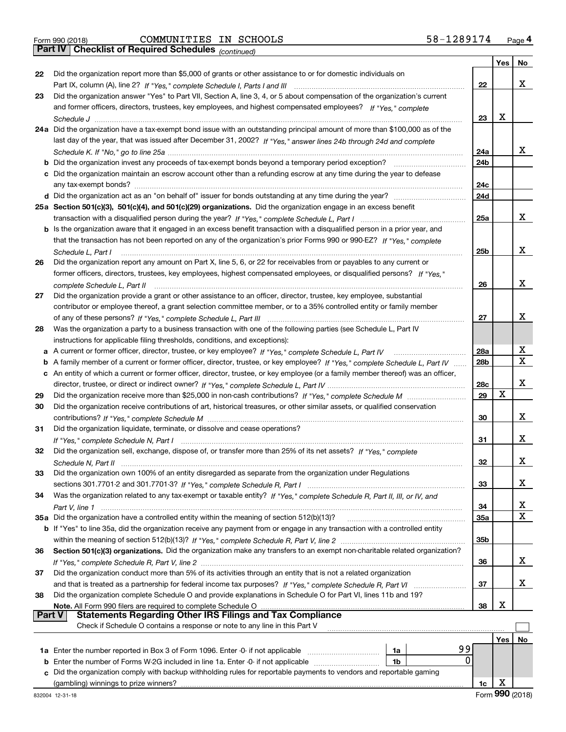*(continued)*

|               |                                                                                                                                   |                 | Yes | No. |
|---------------|-----------------------------------------------------------------------------------------------------------------------------------|-----------------|-----|-----|
| 22            | Did the organization report more than \$5,000 of grants or other assistance to or for domestic individuals on                     |                 |     |     |
|               |                                                                                                                                   | 22              |     | x   |
| 23            | Did the organization answer "Yes" to Part VII, Section A, line 3, 4, or 5 about compensation of the organization's current        |                 |     |     |
|               | and former officers, directors, trustees, key employees, and highest compensated employees? If "Yes," complete                    |                 |     |     |
|               |                                                                                                                                   | 23              | x   |     |
|               | 24a Did the organization have a tax-exempt bond issue with an outstanding principal amount of more than \$100,000 as of the       |                 |     |     |
|               | last day of the year, that was issued after December 31, 2002? If "Yes," answer lines 24b through 24d and complete                |                 |     |     |
|               |                                                                                                                                   | 24a             |     | x   |
|               | b Did the organization invest any proceeds of tax-exempt bonds beyond a temporary period exception?                               | 24b             |     |     |
|               | c Did the organization maintain an escrow account other than a refunding escrow at any time during the year to defease            |                 |     |     |
|               |                                                                                                                                   | 24c             |     |     |
|               |                                                                                                                                   | 24d             |     |     |
|               | 25a Section 501(c)(3), 501(c)(4), and 501(c)(29) organizations. Did the organization engage in an excess benefit                  |                 |     |     |
|               |                                                                                                                                   | 25a             |     | x   |
|               | b Is the organization aware that it engaged in an excess benefit transaction with a disqualified person in a prior year, and      |                 |     |     |
|               | that the transaction has not been reported on any of the organization's prior Forms 990 or 990-EZ? If "Yes," complete             |                 |     |     |
|               | Schedule L, Part I                                                                                                                | 25b             |     | х   |
| 26            | Did the organization report any amount on Part X, line 5, 6, or 22 for receivables from or payables to any current or             |                 |     |     |
|               | former officers, directors, trustees, key employees, highest compensated employees, or disqualified persons? If "Yes "            |                 |     |     |
|               | complete Schedule L, Part II                                                                                                      | 26              |     | x   |
| 27            | Did the organization provide a grant or other assistance to an officer, director, trustee, key employee, substantial              |                 |     |     |
|               | contributor or employee thereof, a grant selection committee member, or to a 35% controlled entity or family member               |                 |     |     |
|               |                                                                                                                                   | 27              |     | х   |
| 28            | Was the organization a party to a business transaction with one of the following parties (see Schedule L, Part IV                 |                 |     |     |
|               | instructions for applicable filing thresholds, conditions, and exceptions):                                                       |                 |     |     |
|               |                                                                                                                                   | 28a             |     | х   |
| b             | A family member of a current or former officer, director, trustee, or key employee? If "Yes," complete Schedule L, Part IV        | 28 <sub>b</sub> |     | x   |
|               | c An entity of which a current or former officer, director, trustee, or key employee (or a family member thereof) was an officer, |                 |     |     |
|               |                                                                                                                                   | 28c             |     | х   |
| 29            |                                                                                                                                   | 29              | X   |     |
| 30            | Did the organization receive contributions of art, historical treasures, or other similar assets, or qualified conservation       |                 |     |     |
|               |                                                                                                                                   | 30              |     | х   |
| 31            | Did the organization liquidate, terminate, or dissolve and cease operations?                                                      |                 |     |     |
|               |                                                                                                                                   | 31              |     | х   |
| 32            | Did the organization sell, exchange, dispose of, or transfer more than 25% of its net assets? If "Yes," complete                  |                 |     |     |
|               | Schedule N. Part II (1996) (1996) (1997) (1997) (1998) (1998) (1998) (1998) (1998) (1998) (1999) (1999) (1999)                    | 32              |     | х   |
| 33            | Did the organization own 100% of an entity disregarded as separate from the organization under Regulations                        |                 |     |     |
|               |                                                                                                                                   | 33              |     | x   |
| 34            | Was the organization related to any tax-exempt or taxable entity? If "Yes," complete Schedule R, Part II, III, or IV, and         |                 |     |     |
|               |                                                                                                                                   | 34              |     | X   |
|               | 35a Did the organization have a controlled entity within the meaning of section 512(b)(13)?                                       | 35a             |     | x   |
|               | b If "Yes" to line 35a, did the organization receive any payment from or engage in any transaction with a controlled entity       |                 |     |     |
|               |                                                                                                                                   | 35b             |     |     |
| 36            | Section 501(c)(3) organizations. Did the organization make any transfers to an exempt non-charitable related organization?        |                 |     |     |
|               |                                                                                                                                   | 36              |     | х   |
| 37            | Did the organization conduct more than 5% of its activities through an entity that is not a related organization                  |                 |     |     |
|               | and that is treated as a partnership for federal income tax purposes? If "Yes," complete Schedule R, Part VI                      | 37              |     | x   |
| 38            | Did the organization complete Schedule O and provide explanations in Schedule O for Part VI, lines 11b and 19?                    |                 |     |     |
|               | Note. All Form 990 filers are required to complete Schedule O                                                                     | 38              | х   |     |
| <b>Part V</b> | <b>Statements Regarding Other IRS Filings and Tax Compliance</b>                                                                  |                 |     |     |
|               | Check if Schedule O contains a response or note to any line in this Part V                                                        |                 |     |     |
|               |                                                                                                                                   |                 | Yes | No  |
|               | 99<br>1a                                                                                                                          |                 |     |     |
| b             | 0<br>Enter the number of Forms W-2G included in line 1a. Enter -0- if not applicable<br>1b                                        |                 |     |     |
|               | Did the organization comply with backup withholding rules for reportable payments to vendors and reportable gaming                |                 |     |     |
|               |                                                                                                                                   | 1c              | х   |     |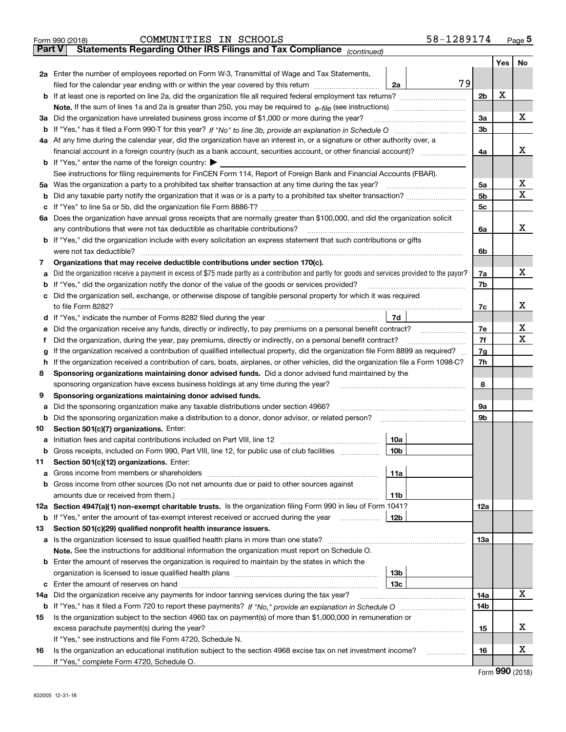|               | 58-1289174<br>COMMUNITIES IN SCHOOLS<br>Form 990 (2018)                                                                                           |                |     | Page $5$ |
|---------------|---------------------------------------------------------------------------------------------------------------------------------------------------|----------------|-----|----------|
| <b>Part V</b> | Statements Regarding Other IRS Filings and Tax Compliance (continued)                                                                             |                |     |          |
|               |                                                                                                                                                   |                | Yes | No       |
|               | 2a Enter the number of employees reported on Form W-3, Transmittal of Wage and Tax Statements,                                                    |                |     |          |
|               | 79<br>filed for the calendar year ending with or within the year covered by this return<br>2a                                                     |                |     |          |
|               | <b>b</b> If at least one is reported on line 2a, did the organization file all required federal employment tax returns?                           | 2 <sub>b</sub> | X   |          |
|               | Note. If the sum of lines 1a and 2a is greater than 250, you may be required to $e$ -file (see instructions) <i>marrouum</i> manus                |                |     |          |
|               | 3a Did the organization have unrelated business gross income of \$1,000 or more during the year?                                                  | 3a             |     | x        |
|               |                                                                                                                                                   | 3 <sub>b</sub> |     |          |
|               | 4a At any time during the calendar year, did the organization have an interest in, or a signature or other authority over, a                      |                |     |          |
|               | financial account in a foreign country (such as a bank account, securities account, or other financial account)?                                  | 4a             |     | x        |
|               | <b>b</b> If "Yes," enter the name of the foreign country: $\blacktriangleright$                                                                   |                |     |          |
|               | See instructions for filing requirements for FinCEN Form 114, Report of Foreign Bank and Financial Accounts (FBAR).                               |                |     |          |
|               | 5a Was the organization a party to a prohibited tax shelter transaction at any time during the tax year?                                          | 5a             |     | х        |
| b             |                                                                                                                                                   | 5 <sub>b</sub> |     | х        |
| c             |                                                                                                                                                   | 5c             |     |          |
|               | 6a Does the organization have annual gross receipts that are normally greater than \$100,000, and did the organization solicit                    |                |     |          |
|               | any contributions that were not tax deductible as charitable contributions?                                                                       | 6a             |     | x        |
|               | <b>b</b> If "Yes," did the organization include with every solicitation an express statement that such contributions or gifts                     |                |     |          |
|               | were not tax deductible?                                                                                                                          | 6b             |     |          |
| 7             | Organizations that may receive deductible contributions under section 170(c).                                                                     |                |     |          |
|               | a Did the organization receive a payment in excess of \$75 made partly as a contribution and partly for goods and services provided to the payor? | 7a             |     | х        |
| b             | If "Yes," did the organization notify the donor of the value of the goods or services provided?                                                   | 7b             |     |          |
| c             | Did the organization sell, exchange, or otherwise dispose of tangible personal property for which it was required                                 |                |     |          |
|               | to file Form 8282?                                                                                                                                | 7c             |     | x        |
|               | 7d                                                                                                                                                |                |     |          |
| е             | Did the organization receive any funds, directly or indirectly, to pay premiums on a personal benefit contract?                                   | 7e             |     | х<br>X   |
| Ť             | Did the organization, during the year, pay premiums, directly or indirectly, on a personal benefit contract?                                      | 7f             |     |          |
| g             | If the organization received a contribution of qualified intellectual property, did the organization file Form 8899 as required?                  | 7g             |     |          |
| h.            | If the organization received a contribution of cars, boats, airplanes, or other vehicles, did the organization file a Form 1098-C?                | 7h             |     |          |
| 8             | Sponsoring organizations maintaining donor advised funds. Did a donor advised fund maintained by the                                              |                |     |          |
|               | sponsoring organization have excess business holdings at any time during the year?                                                                | 8              |     |          |
| 9             | Sponsoring organizations maintaining donor advised funds.<br>Did the sponsoring organization make any taxable distributions under section 4966?   |                |     |          |
| а             |                                                                                                                                                   | 9а<br>9b       |     |          |
| b             | Did the sponsoring organization make a distribution to a donor, donor advisor, or related person?                                                 |                |     |          |
| 10            | Section 501(c)(7) organizations. Enter:<br>10a                                                                                                    |                |     |          |
|               | Gross receipts, included on Form 990, Part VIII, line 12, for public use of club facilities<br>10b                                                |                |     |          |
| b<br>11       | Section 501(c)(12) organizations. Enter:                                                                                                          |                |     |          |
| а             | 11a<br>Gross income from members or shareholders [11] continuum material contracts income from members or shareholders                            |                |     |          |
| b             | Gross income from other sources (Do not net amounts due or paid to other sources against                                                          |                |     |          |
|               | 11b                                                                                                                                               |                |     |          |
|               | 12a Section 4947(a)(1) non-exempt charitable trusts. Is the organization filing Form 990 in lieu of Form 1041?                                    | 12a            |     |          |
| b             | If "Yes," enter the amount of tax-exempt interest received or accrued during the year<br>12b                                                      |                |     |          |
| 13            | Section 501(c)(29) qualified nonprofit health insurance issuers.                                                                                  |                |     |          |
|               | a Is the organization licensed to issue qualified health plans in more than one state?                                                            | 13а            |     |          |
|               | Note. See the instructions for additional information the organization must report on Schedule O.                                                 |                |     |          |
|               | <b>b</b> Enter the amount of reserves the organization is required to maintain by the states in which the                                         |                |     |          |
|               | 13b                                                                                                                                               |                |     |          |
| c             | 13с                                                                                                                                               |                |     |          |
| 14a           | Did the organization receive any payments for indoor tanning services during the tax year?                                                        | 14a            |     | x        |
| b             |                                                                                                                                                   | 14b            |     |          |
| 15            | Is the organization subject to the section 4960 tax on payment(s) of more than \$1,000,000 in remuneration or                                     |                |     |          |
|               |                                                                                                                                                   | 15             |     | x        |
|               | If "Yes," see instructions and file Form 4720, Schedule N.                                                                                        |                |     |          |
| 16            | Is the organization an educational institution subject to the section 4968 excise tax on net investment income?<br>.                              | 16             |     | х        |
|               | If "Yes," complete Form 4720, Schedule O.                                                                                                         |                |     |          |
|               |                                                                                                                                                   |                |     |          |

Form (2018) **990**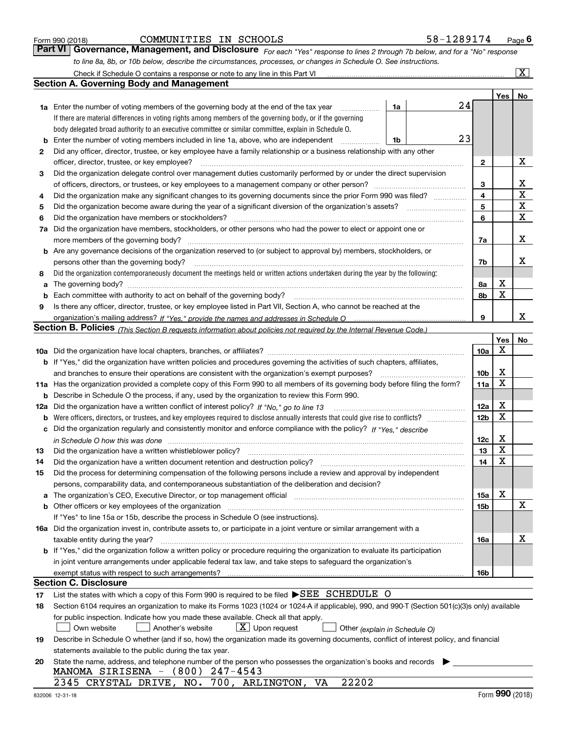|  | Form 990 (2018) |  |
|--|-----------------|--|
|  |                 |  |

| Form 990 (2018) | COMMUNITIES IN SCHOOLS                                                                  |  | 58-1289174                                                                                                                    | $P$ <sub>age</sub> 6    |
|-----------------|-----------------------------------------------------------------------------------------|--|-------------------------------------------------------------------------------------------------------------------------------|-------------------------|
|                 |                                                                                         |  | Part VI   Governance, Management, and Disclosure For each "Yes" response to lines 2 through 7b below, and for a "No" response |                         |
|                 |                                                                                         |  | to line 8a, 8b, or 10b below, describe the circumstances, processes, or changes in Schedule O. See instructions.              |                         |
|                 | Cheek if $C$ chedule $\bigcap$ containe a response ar note to any line in this Dert $U$ |  |                                                                                                                               | $\overline{\mathbf{x}}$ |

|        | Check if Schedule O contains a response or note to any line in this Part VI                                                                                                                                                    |    |  |                     |             | ΙX.    |  |  |  |
|--------|--------------------------------------------------------------------------------------------------------------------------------------------------------------------------------------------------------------------------------|----|--|---------------------|-------------|--------|--|--|--|
|        | <b>Section A. Governing Body and Management</b>                                                                                                                                                                                |    |  |                     |             |        |  |  |  |
|        |                                                                                                                                                                                                                                |    |  |                     | Yes         | No     |  |  |  |
|        | <b>1a</b> Enter the number of voting members of the governing body at the end of the tax year                                                                                                                                  | 1a |  | 24                  |             |        |  |  |  |
|        | If there are material differences in voting rights among members of the governing body, or if the governing                                                                                                                    |    |  |                     |             |        |  |  |  |
|        | body delegated broad authority to an executive committee or similar committee, explain in Schedule O.                                                                                                                          |    |  |                     |             |        |  |  |  |
| b      | Enter the number of voting members included in line 1a, above, who are independent                                                                                                                                             | 1b |  | 23                  |             |        |  |  |  |
| 2      | Did any officer, director, trustee, or key employee have a family relationship or a business relationship with any other                                                                                                       |    |  |                     |             |        |  |  |  |
|        | officer, director, trustee, or key employee?                                                                                                                                                                                   |    |  | $\mathbf{2}$        |             | X      |  |  |  |
| 3      | Did the organization delegate control over management duties customarily performed by or under the direct supervision                                                                                                          |    |  |                     |             |        |  |  |  |
|        |                                                                                                                                                                                                                                |    |  |                     |             |        |  |  |  |
| 4      | Did the organization make any significant changes to its governing documents since the prior Form 990 was filed?                                                                                                               |    |  | 3<br>$\overline{4}$ |             | x<br>X |  |  |  |
| 5      | Did the organization become aware during the year of a significant diversion of the organization's assets? <i>manageranian</i> entity                                                                                          |    |  | 5                   |             | X      |  |  |  |
| 6      | Did the organization have members or stockholders?                                                                                                                                                                             |    |  | 6                   |             | X      |  |  |  |
| 7a     | Did the organization have members, stockholders, or other persons who had the power to elect or appoint one or                                                                                                                 |    |  |                     |             |        |  |  |  |
|        | more members of the governing body?                                                                                                                                                                                            |    |  | 7a                  |             | x      |  |  |  |
|        | <b>b</b> Are any governance decisions of the organization reserved to (or subject to approval by) members, stockholders, or                                                                                                    |    |  |                     |             |        |  |  |  |
|        | persons other than the governing body?                                                                                                                                                                                         |    |  | 7b                  |             | x      |  |  |  |
|        | Did the organization contemporaneously document the meetings held or written actions undertaken during the year by the following:                                                                                              |    |  |                     |             |        |  |  |  |
| 8      |                                                                                                                                                                                                                                |    |  |                     | X           |        |  |  |  |
| a<br>b | Each committee with authority to act on behalf of the governing body?                                                                                                                                                          |    |  | 8a<br>8b            | X           |        |  |  |  |
|        |                                                                                                                                                                                                                                |    |  |                     |             |        |  |  |  |
| 9      | Is there any officer, director, trustee, or key employee listed in Part VII, Section A, who cannot be reached at the                                                                                                           |    |  | 9                   |             | x      |  |  |  |
|        | Section B. Policies <sub>(This Section B requests information about policies not required by the Internal Revenue Code.)</sub>                                                                                                 |    |  |                     |             |        |  |  |  |
|        |                                                                                                                                                                                                                                |    |  |                     | Yes         | No     |  |  |  |
|        |                                                                                                                                                                                                                                |    |  | 10a                 | Х           |        |  |  |  |
|        | <b>b</b> If "Yes," did the organization have written policies and procedures governing the activities of such chapters, affiliates,                                                                                            |    |  |                     |             |        |  |  |  |
|        | and branches to ensure their operations are consistent with the organization's exempt purposes?                                                                                                                                |    |  | 10 <sub>b</sub>     | X           |        |  |  |  |
|        | 11a Has the organization provided a complete copy of this Form 990 to all members of its governing body before filing the form?                                                                                                |    |  | 11a                 | $\mathbf X$ |        |  |  |  |
| b      | Describe in Schedule O the process, if any, used by the organization to review this Form 990.                                                                                                                                  |    |  |                     |             |        |  |  |  |
| 12a    | Did the organization have a written conflict of interest policy? If "No," go to line 13                                                                                                                                        |    |  | 12a                 | X           |        |  |  |  |
| b      |                                                                                                                                                                                                                                |    |  | 12 <sub>b</sub>     | X           |        |  |  |  |
| с      | Did the organization regularly and consistently monitor and enforce compliance with the policy? If "Yes." describe                                                                                                             |    |  |                     |             |        |  |  |  |
|        | in Schedule O how this was done measured and the control of the control of the state of the control of the control of the control of the control of the control of the control of the control of the control of the control of |    |  | 12c                 | X           |        |  |  |  |
| 13     | Did the organization have a written whistleblower policy?                                                                                                                                                                      |    |  | 13                  | X           |        |  |  |  |
| 14     | Did the organization have a written document retention and destruction policy?                                                                                                                                                 |    |  | 14                  | X           |        |  |  |  |
| 15     | Did the process for determining compensation of the following persons include a review and approval by independent                                                                                                             |    |  |                     |             |        |  |  |  |
|        | persons, comparability data, and contemporaneous substantiation of the deliberation and decision?                                                                                                                              |    |  |                     |             |        |  |  |  |
| а      | The organization's CEO, Executive Director, or top management official manufactured content of the organization's CEO, Executive Director, or top management official                                                          |    |  | 15a                 | X           |        |  |  |  |
|        |                                                                                                                                                                                                                                |    |  | 15b                 |             | х      |  |  |  |
|        | If "Yes" to line 15a or 15b, describe the process in Schedule O (see instructions).                                                                                                                                            |    |  |                     |             |        |  |  |  |
|        | 16a Did the organization invest in, contribute assets to, or participate in a joint venture or similar arrangement with a                                                                                                      |    |  |                     |             |        |  |  |  |
|        | taxable entity during the year?                                                                                                                                                                                                |    |  | 16a                 |             | х      |  |  |  |
|        | b If "Yes," did the organization follow a written policy or procedure requiring the organization to evaluate its participation                                                                                                 |    |  |                     |             |        |  |  |  |
|        | in joint venture arrangements under applicable federal tax law, and take steps to safeguard the organization's                                                                                                                 |    |  |                     |             |        |  |  |  |
|        | exempt status with respect to such arrangements?                                                                                                                                                                               |    |  | 16b                 |             |        |  |  |  |
|        | Section C. Disclosure                                                                                                                                                                                                          |    |  |                     |             |        |  |  |  |
| 17     | List the states with which a copy of this Form 990 is required to be filed SEE SCHEDULE O                                                                                                                                      |    |  |                     |             |        |  |  |  |
| 18     | Section 6104 requires an organization to make its Forms 1023 (1024 or 1024-A if applicable), 990, and 990-T (Section 501(c)(3)s only) available                                                                                |    |  |                     |             |        |  |  |  |
|        | for public inspection. Indicate how you made these available. Check all that apply.                                                                                                                                            |    |  |                     |             |        |  |  |  |
|        | $X$ Upon request<br>Own website<br>Another's website<br>Other (explain in Schedule O)                                                                                                                                          |    |  |                     |             |        |  |  |  |
| 19     | Describe in Schedule O whether (and if so, how) the organization made its governing documents, conflict of interest policy, and financial                                                                                      |    |  |                     |             |        |  |  |  |
|        | statements available to the public during the tax year.                                                                                                                                                                        |    |  |                     |             |        |  |  |  |
| 20     | State the name, address, and telephone number of the person who possesses the organization's books and records                                                                                                                 |    |  |                     |             |        |  |  |  |
|        | MANOMA SIRISENA - (800) 247-4543                                                                                                                                                                                               |    |  |                     |             |        |  |  |  |
|        | 2345 CRYSTAL DRIVE, NO. 700, ARLINGTON, VA<br>22202                                                                                                                                                                            |    |  |                     |             |        |  |  |  |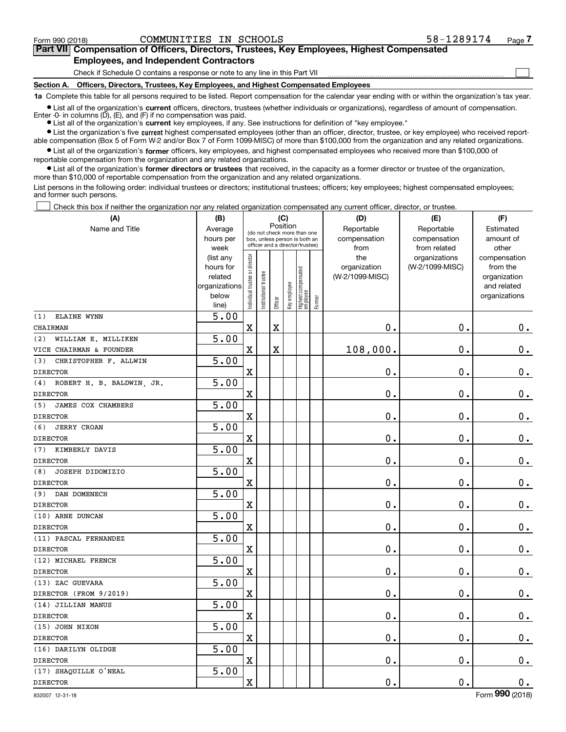$\mathcal{L}^{\text{max}}$ 

| Form 990 (2018) | COMMUNITIES IN SCHOOLS                                                                     |  | 58-1289174 | Page 7 |
|-----------------|--------------------------------------------------------------------------------------------|--|------------|--------|
|                 | Part VII Compensation of Officers, Directors, Trustees, Key Employees, Highest Compensated |  |            |        |
|                 | <b>Employees, and Independent Contractors</b>                                              |  |            |        |

Check if Schedule O contains a response or note to any line in this Part VII

**Section A. Officers, Directors, Trustees, Key Employees, and Highest Compensated Employees**

**1a**  Complete this table for all persons required to be listed. Report compensation for the calendar year ending with or within the organization's tax year.

**•** List all of the organization's current officers, directors, trustees (whether individuals or organizations), regardless of amount of compensation. Enter -0- in columns  $(D)$ ,  $(E)$ , and  $(F)$  if no compensation was paid.

● List all of the organization's **current** key employees, if any. See instructions for definition of "key employee."

**•** List the organization's five current highest compensated employees (other than an officer, director, trustee, or key employee) who received reportable compensation (Box 5 of Form W-2 and/or Box 7 of Form 1099-MISC) of more than \$100,000 from the organization and any related organizations.

 $\bullet$  List all of the organization's **former** officers, key employees, and highest compensated employees who received more than \$100,000 of reportable compensation from the organization and any related organizations.

**•** List all of the organization's former directors or trustees that received, in the capacity as a former director or trustee of the organization, more than \$10,000 of reportable compensation from the organization and any related organizations.

List persons in the following order: individual trustees or directors; institutional trustees; officers; key employees; highest compensated employees; and former such persons.

Check this box if neither the organization nor any related organization compensated any current officer, director, or trustee.  $\mathcal{L}^{\text{max}}$ 

| (A)                              | (B)                                                                  | (C)                                                                                                         |                      |         |              |                                   |        | (D)                                    | (E)                                        | (F)                                                                      |  |  |
|----------------------------------|----------------------------------------------------------------------|-------------------------------------------------------------------------------------------------------------|----------------------|---------|--------------|-----------------------------------|--------|----------------------------------------|--------------------------------------------|--------------------------------------------------------------------------|--|--|
| Name and Title                   | Average<br>hours per<br>week                                         | Position<br>(do not check more than one<br>box, unless person is both an<br>officer and a director/trustee) |                      |         |              |                                   |        | Reportable<br>compensation<br>from     | Reportable<br>compensation<br>from related | Estimated<br>amount of<br>other                                          |  |  |
|                                  | (list any<br>hours for<br>related<br>organizations<br>below<br>line) | n dividual trustee or director                                                                              | nstitutional trustee | Officer | Key employee | Highest compensated<br>  employee | Former | the<br>organization<br>(W-2/1099-MISC) | organizations<br>(W-2/1099-MISC)           | compensation<br>from the<br>organization<br>and related<br>organizations |  |  |
| ELAINE WYNN<br>(1)               | 5.00                                                                 |                                                                                                             |                      |         |              |                                   |        |                                        |                                            |                                                                          |  |  |
| CHAIRMAN                         |                                                                      | $\mathbf X$                                                                                                 |                      | X       |              |                                   |        | 0.                                     | $\mathbf 0$ .                              | $\mathbf 0$ .                                                            |  |  |
| (2)<br>WILLIAM E. MILLIKEN       | 5.00                                                                 |                                                                                                             |                      |         |              |                                   |        |                                        |                                            |                                                                          |  |  |
| VICE CHAIRMAN & FOUNDER          |                                                                      | X                                                                                                           |                      | X       |              |                                   |        | 108,000.                               | $\mathbf 0$ .                              | $0_{.}$                                                                  |  |  |
| CHRISTOPHER F. ALLWIN<br>(3)     | 5.00                                                                 |                                                                                                             |                      |         |              |                                   |        |                                        |                                            |                                                                          |  |  |
| <b>DIRECTOR</b>                  |                                                                      | X                                                                                                           |                      |         |              |                                   |        | $\mathbf 0$ .                          | $\mathbf 0$ .                              | $\mathbf 0$ .                                                            |  |  |
| ROBERT H. B. BALDWIN, JR.<br>(4) | 5.00                                                                 |                                                                                                             |                      |         |              |                                   |        |                                        |                                            |                                                                          |  |  |
| <b>DIRECTOR</b>                  |                                                                      | $\mathbf X$                                                                                                 |                      |         |              |                                   |        | $\mathbf 0$ .                          | $\mathbf 0$ .                              | $\mathbf 0$ .                                                            |  |  |
| JAMES COX CHAMBERS<br>(5)        | 5.00                                                                 |                                                                                                             |                      |         |              |                                   |        |                                        |                                            |                                                                          |  |  |
| <b>DIRECTOR</b>                  |                                                                      | $\mathbf X$                                                                                                 |                      |         |              |                                   |        | $\mathbf 0$ .                          | $\mathbf 0$ .                              | $\mathbf 0$ .                                                            |  |  |
| (6)<br><b>JERRY CROAN</b>        | 5.00                                                                 |                                                                                                             |                      |         |              |                                   |        |                                        |                                            |                                                                          |  |  |
| <b>DIRECTOR</b>                  |                                                                      | $\mathbf X$                                                                                                 |                      |         |              |                                   |        | $\mathbf 0$ .                          | $\mathbf 0$ .                              | $\mathbf 0$ .                                                            |  |  |
| (7)<br>KIMBERLY DAVIS            | 5.00                                                                 |                                                                                                             |                      |         |              |                                   |        |                                        |                                            |                                                                          |  |  |
| <b>DIRECTOR</b>                  |                                                                      | $\mathbf X$                                                                                                 |                      |         |              |                                   |        | $\mathbf 0$ .                          | $\mathbf 0$ .                              | $\mathbf 0$ .                                                            |  |  |
| JOSEPH DIDOMIZIO<br>(8)          | 5.00                                                                 |                                                                                                             |                      |         |              |                                   |        |                                        |                                            |                                                                          |  |  |
| <b>DIRECTOR</b>                  |                                                                      | $\mathbf X$                                                                                                 |                      |         |              |                                   |        | $\mathbf 0$ .                          | $\mathbf 0$ .                              | $\mathbf 0$ .                                                            |  |  |
| (9)<br>DAN DOMENECH              | 5.00                                                                 |                                                                                                             |                      |         |              |                                   |        |                                        |                                            |                                                                          |  |  |
| <b>DIRECTOR</b>                  |                                                                      | $\mathbf X$                                                                                                 |                      |         |              |                                   |        | $\mathbf 0$ .                          | $\mathbf 0$ .                              | $\mathbf 0$ .                                                            |  |  |
| (10) ARNE DUNCAN                 | 5.00                                                                 |                                                                                                             |                      |         |              |                                   |        |                                        |                                            |                                                                          |  |  |
| <b>DIRECTOR</b>                  |                                                                      | $\mathbf X$                                                                                                 |                      |         |              |                                   |        | $\mathbf 0$ .                          | $\mathbf 0$ .                              | $\mathbf 0$ .                                                            |  |  |
| (11) PASCAL FERNANDEZ            | 5.00                                                                 |                                                                                                             |                      |         |              |                                   |        |                                        |                                            |                                                                          |  |  |
| <b>DIRECTOR</b>                  |                                                                      | $\mathbf X$                                                                                                 |                      |         |              |                                   |        | $\mathbf 0$ .                          | $\mathbf 0$ .                              | $\mathbf 0$ .                                                            |  |  |
| (12) MICHAEL FRENCH              | 5.00                                                                 |                                                                                                             |                      |         |              |                                   |        |                                        |                                            |                                                                          |  |  |
| <b>DIRECTOR</b>                  |                                                                      | $\mathbf X$                                                                                                 |                      |         |              |                                   |        | $\mathbf 0$ .                          | $\mathbf 0$ .                              | $\mathbf 0$ .                                                            |  |  |
| (13) ZAC GUEVARA                 | 5.00                                                                 |                                                                                                             |                      |         |              |                                   |        |                                        |                                            |                                                                          |  |  |
| DIRECTOR (FROM 9/2019)           |                                                                      | $\mathbf X$                                                                                                 |                      |         |              |                                   |        | $\mathbf 0$ .                          | $\mathbf 0$ .                              | $\mathbf 0$ .                                                            |  |  |
| (14) JILLIAN MANUS               | 5.00                                                                 |                                                                                                             |                      |         |              |                                   |        |                                        |                                            |                                                                          |  |  |
| <b>DIRECTOR</b>                  |                                                                      | $\mathbf X$                                                                                                 |                      |         |              |                                   |        | $\mathbf 0$ .                          | $\mathbf 0$ .                              | $\mathbf 0$ .                                                            |  |  |
| (15) JOHN NIXON                  | 5.00                                                                 |                                                                                                             |                      |         |              |                                   |        |                                        |                                            |                                                                          |  |  |
| <b>DIRECTOR</b>                  |                                                                      | $\mathbf X$                                                                                                 |                      |         |              |                                   |        | $\mathbf 0$ .                          | $\mathbf 0$ .                              | $0_{.}$                                                                  |  |  |
| (16) DARILYN OLIDGE              | 5.00                                                                 |                                                                                                             |                      |         |              |                                   |        |                                        |                                            |                                                                          |  |  |
| <b>DIRECTOR</b>                  |                                                                      | $\mathbf X$                                                                                                 |                      |         |              |                                   |        | $\mathbf 0$ .                          | $\mathbf 0$ .                              | $0_{.}$                                                                  |  |  |
| (17) SHAQUILLE O'NEAL            | 5.00                                                                 |                                                                                                             |                      |         |              |                                   |        |                                        |                                            |                                                                          |  |  |
| <b>DIRECTOR</b>                  |                                                                      | $\mathbf X$                                                                                                 |                      |         |              |                                   |        | $\mathbf 0$ .                          | $\mathbf 0$ .                              | $\mathbf 0$ .                                                            |  |  |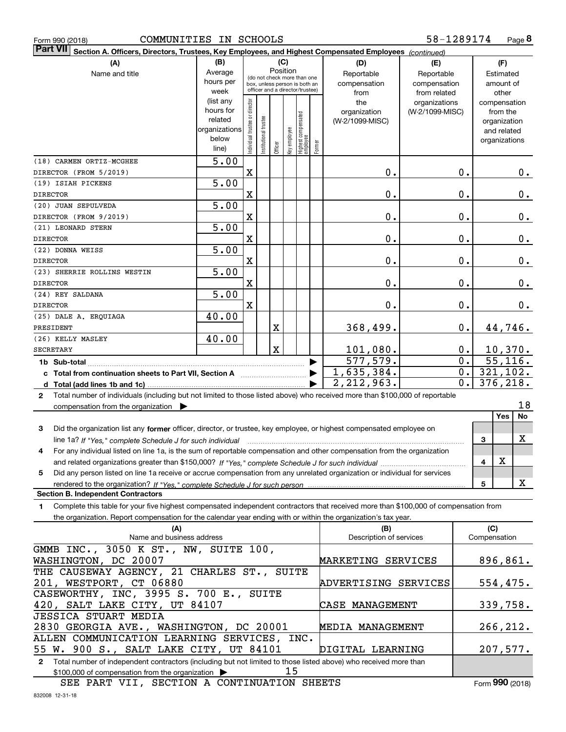| Form 990 (2018) |  |  |
|-----------------|--|--|

| Part VII Section A. Officers, Directors, Trustees, Key Employees, and Highest Compensated Employees (continued)                              |                          |                                 |                                                              |          |              |                                   |        |                 |                 |                  |                       |     |       |
|----------------------------------------------------------------------------------------------------------------------------------------------|--------------------------|---------------------------------|--------------------------------------------------------------|----------|--------------|-----------------------------------|--------|-----------------|-----------------|------------------|-----------------------|-----|-------|
| (A)                                                                                                                                          | (B)                      |                                 |                                                              |          | (C)          |                                   |        | (D)             | (E)             |                  |                       | (F) |       |
| Name and title                                                                                                                               | Average                  |                                 |                                                              | Position |              |                                   |        | Reportable      | Reportable      |                  | Estimated             |     |       |
|                                                                                                                                              | hours per                |                                 | (do not check more than one<br>box, unless person is both an |          |              |                                   |        | compensation    | compensation    |                  | amount of             |     |       |
|                                                                                                                                              | week                     | officer and a director/trustee) |                                                              |          |              |                                   | from   | from related    |                 |                  | other                 |     |       |
|                                                                                                                                              | (list any                |                                 |                                                              |          |              |                                   |        | the             | organizations   |                  | compensation          |     |       |
|                                                                                                                                              | hours for                |                                 |                                                              |          |              |                                   |        | organization    | (W-2/1099-MISC) |                  | from the              |     |       |
|                                                                                                                                              | related<br>organizations |                                 |                                                              |          |              |                                   |        | (W-2/1099-MISC) |                 |                  | organization          |     |       |
|                                                                                                                                              | below                    |                                 |                                                              |          |              |                                   |        |                 |                 |                  | and related           |     |       |
|                                                                                                                                              | line)                    | Individual trustee or director  | Institutional trustee                                        | Officer  | Key employee | Highest compensated<br>  employee | Former |                 |                 |                  | organizations         |     |       |
| (18) CARMEN ORTIZ-MCGHEE                                                                                                                     | $\overline{5.00}$        |                                 |                                                              |          |              |                                   |        |                 |                 |                  |                       |     |       |
| DIRECTOR (FROM 5/2019)                                                                                                                       |                          | $\mathbf X$                     |                                                              |          |              |                                   |        | 0.              |                 | $\mathbf 0$ .    |                       |     | 0.    |
| (19) ISIAH PICKENS                                                                                                                           | $\overline{5.00}$        |                                 |                                                              |          |              |                                   |        |                 |                 |                  |                       |     |       |
| <b>DIRECTOR</b>                                                                                                                              |                          | X                               |                                                              |          |              |                                   |        | 0.              | 0.              |                  |                       |     | $0$ . |
| (20) JUAN SEPULVEDA                                                                                                                          | $\overline{5.00}$        |                                 |                                                              |          |              |                                   |        |                 |                 |                  |                       |     |       |
| DIRECTOR (FROM 9/2019)                                                                                                                       |                          | X                               |                                                              |          |              |                                   |        | 0.              |                 | $\mathbf 0$ .    |                       |     | $0$ . |
| (21) LEONARD STERN                                                                                                                           | 5.00                     |                                 |                                                              |          |              |                                   |        |                 |                 |                  |                       |     |       |
| <b>DIRECTOR</b>                                                                                                                              |                          | X                               |                                                              |          |              |                                   |        | 0.              |                 | $\mathbf 0$ .    |                       |     | $0$ . |
| (22) DONNA WEISS                                                                                                                             | 5.00                     |                                 |                                                              |          |              |                                   |        |                 |                 |                  |                       |     |       |
| <b>DIRECTOR</b>                                                                                                                              |                          | X                               |                                                              |          |              |                                   |        | 0.              |                 | $\mathbf 0$ .    |                       |     | $0$ . |
| (23) SHERRIE ROLLINS WESTIN                                                                                                                  | 5.00                     |                                 |                                                              |          |              |                                   |        |                 |                 |                  |                       |     |       |
| <b>DIRECTOR</b>                                                                                                                              |                          | X                               |                                                              |          |              |                                   |        | 0.              |                 | $\mathbf 0$ .    |                       |     | $0$ . |
| (24) REY SALDANA                                                                                                                             | 5.00                     |                                 |                                                              |          |              |                                   |        |                 |                 |                  |                       |     |       |
| <b>DIRECTOR</b>                                                                                                                              |                          | $\mathbf X$                     |                                                              |          |              |                                   |        | 0.              |                 | $\mathbf 0$ .    |                       |     | 0.    |
| (25) DALE A. ERQUIAGA                                                                                                                        | 40.00                    |                                 |                                                              |          |              |                                   |        |                 |                 |                  |                       |     |       |
| PRESIDENT                                                                                                                                    |                          |                                 |                                                              | X        |              |                                   |        | 368,499.        |                 | $0$ .            | 44,746.               |     |       |
| (26) KELLY MASLEY                                                                                                                            | 40.00                    |                                 |                                                              |          |              |                                   |        |                 |                 |                  |                       |     |       |
| <b>SECRETARY</b>                                                                                                                             |                          |                                 |                                                              | X        |              |                                   |        | 101,080.        |                 | $0$ .            | 10, 370.              |     |       |
|                                                                                                                                              |                          |                                 |                                                              |          |              |                                   |        | 577,579.        |                 | $\overline{0}$ . | $\overline{55,116}$ . |     |       |
| c Total from continuation sheets to Part VII, Section A [11] [12] Total from continuation sheets to Part VII, Section A                      |                          |                                 |                                                              |          |              |                                   |        | 1,635,384.      |                 | 0.               | 321, 102.             |     |       |
|                                                                                                                                              |                          |                                 |                                                              |          |              |                                   |        | 2, 212, 963.    |                 | 0.               | 376, 218.             |     |       |
| Total number of individuals (including but not limited to those listed above) who received more than \$100,000 of reportable<br>$\mathbf{2}$ |                          |                                 |                                                              |          |              |                                   |        |                 |                 |                  |                       |     |       |
| compensation from the organization                                                                                                           |                          |                                 |                                                              |          |              |                                   |        |                 |                 |                  |                       |     | 18    |
|                                                                                                                                              |                          |                                 |                                                              |          |              |                                   |        |                 |                 |                  |                       | Yes | No    |
| Did the organization list any former officer, director, or trustee, key employee, or highest compensated employee on<br>3                    |                          |                                 |                                                              |          |              |                                   |        |                 |                 |                  |                       |     |       |
| line 1a? If "Yes," complete Schedule J for such individual manufactured contains and the Yes," complete Schedule J for such individual       |                          |                                 |                                                              |          |              |                                   |        |                 |                 |                  | 3                     |     | X     |
| For any individual listed on line 1a, is the sum of reportable compensation and other compensation from the organization<br>4                |                          |                                 |                                                              |          |              |                                   |        |                 |                 |                  |                       |     |       |
|                                                                                                                                              |                          |                                 |                                                              |          |              |                                   |        |                 |                 |                  | 4                     | X   |       |
| Did any person listed on line 1a receive or accrue compensation from any unrelated organization or individual for services<br>5              |                          |                                 |                                                              |          |              |                                   |        |                 |                 |                  |                       |     |       |
|                                                                                                                                              |                          |                                 |                                                              |          |              |                                   |        |                 |                 |                  | 5                     |     | х     |
| <b>Section B. Independent Contractors</b>                                                                                                    |                          |                                 |                                                              |          |              |                                   |        |                 |                 |                  |                       |     |       |
| Complete this table for your five highest compensated independent contractors that received more than \$100,000 of compensation from<br>1    |                          |                                 |                                                              |          |              |                                   |        |                 |                 |                  |                       |     |       |
| the organization. Report compensation for the calendar year ending with or within the organization's tax year.                               |                          |                                 |                                                              |          |              |                                   |        |                 |                 |                  |                       |     |       |
| (A)                                                                                                                                          | (B)                      |                                 |                                                              |          |              |                                   |        |                 |                 |                  | (C)                   |     |       |

**2**Total number of independent contractors (including but not limited to those listed above) who received more than \$100,000 of compensation from the organization  $\blacktriangleright$ WASHINGTON, DC 20007 201, WESTPORT, CT 06880 420, SALT LAKE CITY, UT 84107 2830 GEORGIA AVE., WASHINGTON, DC 20001 55 W. 900 S., SALT LAKE CITY, UT 84101 15 GMMB INC., 3050 K ST., NW, SUITE 100, THE CAUSEWAY AGENCY, 21 CHARLES ST., SUITE CASEWORTHY, INC, 3995 S. 700 E., SUITE JESSICA STUART MEDIA ALLEN COMMUNICATION LEARNING SERVICES, INC. MARKETING SERVICES ADVERTISING SERVICES CASE MANAGEMENT MEDIA MANAGEMENT DIGITAL LEARNING 896,861. 554,475. 339,758. 266,212. 207,577.

Name and business address  $\hskip1cm \vert$  Description of services  $\hskip1cm \vert$  Compensation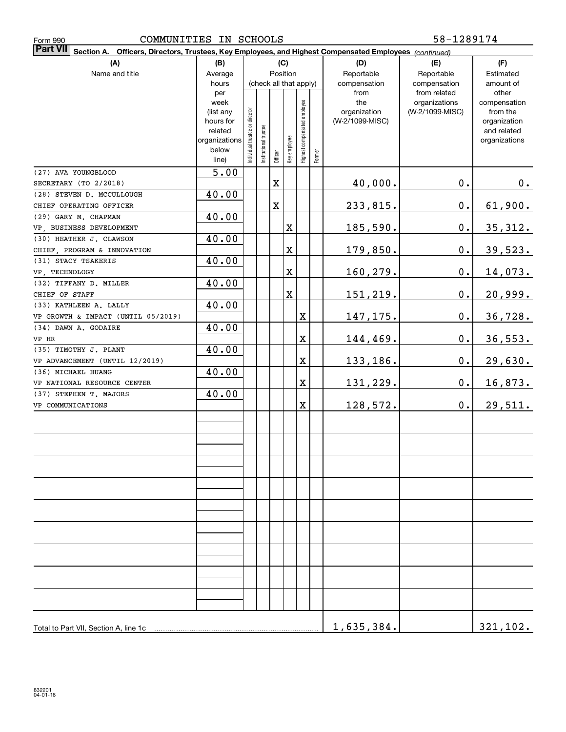| COMMUNITIES IN SCHOOLS<br>Form 990                                                                                        |                                                                                              |                                | 58-1289174            |                                   |              |                              |        |                                                                |                                                                  |                                                                                                |
|---------------------------------------------------------------------------------------------------------------------------|----------------------------------------------------------------------------------------------|--------------------------------|-----------------------|-----------------------------------|--------------|------------------------------|--------|----------------------------------------------------------------|------------------------------------------------------------------|------------------------------------------------------------------------------------------------|
| <b>Part VII</b><br>Section A. Officers, Directors, Trustees, Key Employees, and Highest Compensated Employees (continued) |                                                                                              |                                |                       |                                   |              |                              |        |                                                                |                                                                  |                                                                                                |
| (A)                                                                                                                       | (B)                                                                                          |                                |                       | (C)                               |              |                              |        | (D)                                                            | (E)                                                              | (F)                                                                                            |
| Name and title                                                                                                            | Average                                                                                      |                                |                       | Position                          |              |                              |        | Reportable                                                     | Reportable                                                       | Estimated                                                                                      |
|                                                                                                                           | hours<br>per<br>week<br>(list any<br>hours for<br>related<br>organizations<br>below<br>line) | Individual trustee or director | Institutional trustee | (check all that apply)<br>Officer | Key employee | Highest compensated employee | Former | compensation<br>from<br>the<br>organization<br>(W-2/1099-MISC) | compensation<br>from related<br>organizations<br>(W-2/1099-MISC) | amount of<br>other<br>compensation<br>from the<br>organization<br>and related<br>organizations |
| (27) AVA YOUNGBLOOD                                                                                                       | $\overline{5.00}$                                                                            |                                |                       |                                   |              |                              |        |                                                                |                                                                  |                                                                                                |
| SECRETARY (TO 2/2018)                                                                                                     |                                                                                              |                                |                       | $\mathbf X$                       |              |                              |        | 40,000.                                                        | $\mathbf 0$ .                                                    | 0.                                                                                             |
| (28) STEVEN D. MCCULLOUGH                                                                                                 | 40.00                                                                                        |                                |                       |                                   |              |                              |        |                                                                |                                                                  |                                                                                                |
| CHIEF OPERATING OFFICER                                                                                                   |                                                                                              |                                |                       | X                                 |              |                              |        | 233,815.                                                       | 0.                                                               | 61,900.                                                                                        |
| (29) GARY M. CHAPMAN                                                                                                      | 40.00                                                                                        |                                |                       |                                   |              |                              |        |                                                                |                                                                  |                                                                                                |
| VP, BUSINESS DEVELOPMENT                                                                                                  |                                                                                              |                                |                       |                                   | X            |                              |        | 185,590.                                                       | 0.                                                               | 35,312.                                                                                        |
| (30) HEATHER J. CLAWSON                                                                                                   | 40.00                                                                                        |                                |                       |                                   |              |                              |        |                                                                |                                                                  |                                                                                                |
| CHIEF, PROGRAM & INNOVATION                                                                                               |                                                                                              |                                |                       |                                   | X            |                              |        | 179,850.                                                       | 0.                                                               | 39,523.                                                                                        |
| (31) STACY TSAKERIS                                                                                                       | 40.00                                                                                        |                                |                       |                                   |              |                              |        |                                                                |                                                                  |                                                                                                |
| VP, TECHNOLOGY                                                                                                            |                                                                                              |                                |                       |                                   | X            |                              |        | 160,279.                                                       | 0.                                                               | <u>14,073.</u>                                                                                 |
| (32) TIFFANY D. MILLER                                                                                                    | 40.00                                                                                        |                                |                       |                                   |              |                              |        |                                                                |                                                                  |                                                                                                |
| CHIEF OF STAFF                                                                                                            |                                                                                              |                                |                       |                                   | X            |                              |        | 151,219.                                                       | 0.                                                               | 20,999.                                                                                        |
| (33) KATHLEEN A. LALLY<br>VP GROWTH & IMPACT (UNTIL 05/2019)                                                              | 40.00                                                                                        |                                |                       |                                   |              | X                            |        | 147,175.                                                       | 0.                                                               | 36,728.                                                                                        |
| (34) DAWN A. GODAIRE                                                                                                      | 40.00                                                                                        |                                |                       |                                   |              |                              |        |                                                                |                                                                  |                                                                                                |
| VP HR                                                                                                                     |                                                                                              |                                |                       |                                   |              | $\mathbf X$                  |        | 144,469.                                                       | 0.                                                               | 36,553.                                                                                        |
| (35) TIMOTHY J. PLANT                                                                                                     | 40.00                                                                                        |                                |                       |                                   |              |                              |        |                                                                |                                                                  |                                                                                                |
| VP ADVANCEMENT (UNTIL 12/2019)                                                                                            |                                                                                              |                                |                       |                                   |              | $\mathbf X$                  |        | 133,186.                                                       | $0\cdot$                                                         | 29,630.                                                                                        |
| (36) MICHAEL HUANG                                                                                                        | 40.00                                                                                        |                                |                       |                                   |              |                              |        |                                                                |                                                                  |                                                                                                |
| VP NATIONAL RESOURCE CENTER                                                                                               |                                                                                              |                                |                       |                                   |              | $\mathbf X$                  |        | 131,229.                                                       | 0.                                                               | <u>16,873.</u>                                                                                 |
| (37) STEPHEN T. MAJORS                                                                                                    | 40.00                                                                                        |                                |                       |                                   |              |                              |        |                                                                |                                                                  |                                                                                                |
| VP COMMUNICATIONS                                                                                                         |                                                                                              |                                |                       |                                   |              | $\mathbf X$                  |        | 128,572.                                                       | $0$ .                                                            | 29,511.                                                                                        |
|                                                                                                                           |                                                                                              |                                |                       |                                   |              |                              |        |                                                                |                                                                  |                                                                                                |
|                                                                                                                           |                                                                                              |                                |                       |                                   |              |                              |        |                                                                |                                                                  |                                                                                                |
|                                                                                                                           |                                                                                              |                                |                       |                                   |              |                              |        |                                                                |                                                                  |                                                                                                |
|                                                                                                                           |                                                                                              |                                |                       |                                   |              |                              |        |                                                                |                                                                  |                                                                                                |
|                                                                                                                           |                                                                                              |                                |                       |                                   |              |                              |        |                                                                |                                                                  |                                                                                                |
|                                                                                                                           |                                                                                              |                                |                       |                                   |              |                              |        |                                                                |                                                                  |                                                                                                |
|                                                                                                                           |                                                                                              |                                |                       |                                   |              |                              |        |                                                                |                                                                  |                                                                                                |
|                                                                                                                           |                                                                                              |                                |                       |                                   |              |                              |        |                                                                |                                                                  |                                                                                                |
|                                                                                                                           |                                                                                              |                                |                       |                                   |              |                              |        | 1,635,384.                                                     |                                                                  | 321, 102.                                                                                      |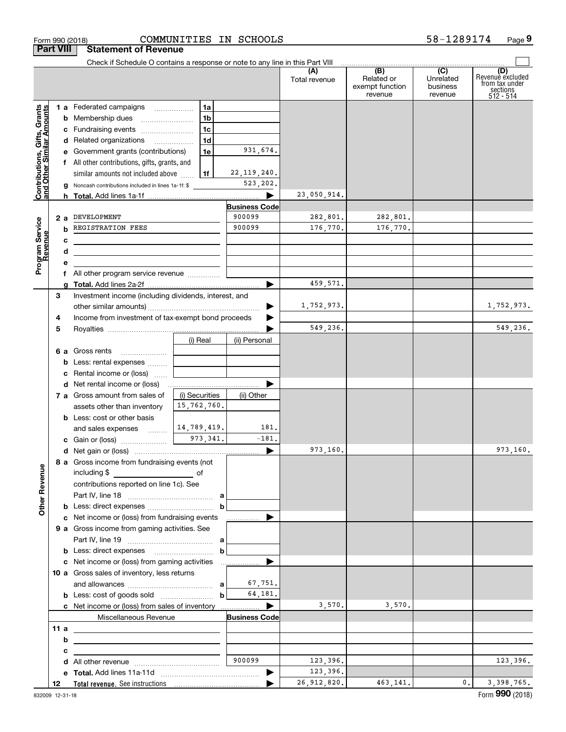|                                                                  |                  | Form 990 (2018)                                                                                                                                                                                                                      | COMMUNITIES IN SCHOOLS |                      |               |                                          | 58-1289174                       | Page 9                                                             |
|------------------------------------------------------------------|------------------|--------------------------------------------------------------------------------------------------------------------------------------------------------------------------------------------------------------------------------------|------------------------|----------------------|---------------|------------------------------------------|----------------------------------|--------------------------------------------------------------------|
|                                                                  | <b>Part VIII</b> | <b>Statement of Revenue</b>                                                                                                                                                                                                          |                        |                      |               |                                          |                                  |                                                                    |
|                                                                  |                  | Check if Schedule O contains a response or note to any line in this Part VIII (A) (B) (C) C                                                                                                                                          |                        |                      | Total revenue | Related or<br>exempt function<br>revenue | Unrelated<br>business<br>revenue | (D)<br>Revenuè excluded<br>from tax under<br>sections<br>512 - 514 |
|                                                                  |                  | 1 a Federated campaigns                                                                                                                                                                                                              | 1a                     |                      |               |                                          |                                  |                                                                    |
| <b>Contributions, Gifts, Grants</b><br>and Other Similar Amounts |                  |                                                                                                                                                                                                                                      | 1 <sub>b</sub>         |                      |               |                                          |                                  |                                                                    |
|                                                                  |                  | c Fundraising events                                                                                                                                                                                                                 | 1c                     |                      |               |                                          |                                  |                                                                    |
|                                                                  |                  | d Related organizations                                                                                                                                                                                                              | 1 <sub>d</sub>         |                      |               |                                          |                                  |                                                                    |
|                                                                  |                  | e Government grants (contributions)                                                                                                                                                                                                  | 1e                     | 931,674.             |               |                                          |                                  |                                                                    |
|                                                                  |                  | f All other contributions, gifts, grants, and                                                                                                                                                                                        |                        |                      |               |                                          |                                  |                                                                    |
|                                                                  |                  | similar amounts not included above                                                                                                                                                                                                   | 1f                     | 22, 119, 240.        |               |                                          |                                  |                                                                    |
|                                                                  | g                | Noncash contributions included in lines 1a-1f: \$                                                                                                                                                                                    |                        | 523,202.             |               |                                          |                                  |                                                                    |
|                                                                  |                  |                                                                                                                                                                                                                                      |                        | ▶                    | 23,050,914.   |                                          |                                  |                                                                    |
|                                                                  |                  |                                                                                                                                                                                                                                      |                        | <b>Business Code</b> |               |                                          |                                  |                                                                    |
|                                                                  |                  | 2 a DEVELOPMENT                                                                                                                                                                                                                      |                        | 900099               | 282,801.      | 282,801.                                 |                                  |                                                                    |
| Program Service<br>Revenue                                       | b                | REGISTRATION FEES                                                                                                                                                                                                                    |                        | 900099               | 176,770.      | 176,770.                                 |                                  |                                                                    |
|                                                                  | c                | <u> 1989 - Andrea Stadt Britain, amerikansk politiker (</u>                                                                                                                                                                          |                        |                      |               |                                          |                                  |                                                                    |
|                                                                  | d                | <u>and the state of the state of the state of the state of the state of the state of the state of the state of the state of the state of the state of the state of the state of the state of the state of the state of the state</u> |                        |                      |               |                                          |                                  |                                                                    |
|                                                                  | e                |                                                                                                                                                                                                                                      |                        |                      |               |                                          |                                  |                                                                    |
|                                                                  |                  | f All other program service revenue                                                                                                                                                                                                  |                        |                      |               |                                          |                                  |                                                                    |
|                                                                  | g                |                                                                                                                                                                                                                                      |                        |                      | 459,571.      |                                          |                                  |                                                                    |
|                                                                  | 3                | Investment income (including dividends, interest, and                                                                                                                                                                                |                        |                      |               |                                          |                                  |                                                                    |
|                                                                  |                  |                                                                                                                                                                                                                                      |                        | ▶                    | 1,752,973.    |                                          |                                  | 1,752,973.                                                         |
|                                                                  | 4                | Income from investment of tax-exempt bond proceeds                                                                                                                                                                                   |                        |                      |               |                                          |                                  |                                                                    |
|                                                                  | 5                |                                                                                                                                                                                                                                      |                        |                      | 549,236.      |                                          |                                  | 549,236.                                                           |
|                                                                  |                  |                                                                                                                                                                                                                                      | (i) Real               | (ii) Personal        |               |                                          |                                  |                                                                    |
|                                                                  |                  | 6 a Gross rents                                                                                                                                                                                                                      |                        |                      |               |                                          |                                  |                                                                    |
|                                                                  |                  | <b>b</b> Less: rental expenses                                                                                                                                                                                                       |                        |                      |               |                                          |                                  |                                                                    |
|                                                                  | с                | Rental income or (loss)                                                                                                                                                                                                              |                        |                      |               |                                          |                                  |                                                                    |
|                                                                  |                  |                                                                                                                                                                                                                                      |                        |                      |               |                                          |                                  |                                                                    |
|                                                                  |                  | 7 a Gross amount from sales of                                                                                                                                                                                                       | (i) Securities         | (ii) Other           |               |                                          |                                  |                                                                    |
|                                                                  |                  | assets other than inventory                                                                                                                                                                                                          | 15,762,760.            |                      |               |                                          |                                  |                                                                    |
|                                                                  |                  | <b>b</b> Less: cost or other basis                                                                                                                                                                                                   |                        |                      |               |                                          |                                  |                                                                    |
|                                                                  |                  | and sales expenses                                                                                                                                                                                                                   | 14,789,419.            | 181.                 |               |                                          |                                  |                                                                    |
|                                                                  |                  |                                                                                                                                                                                                                                      | 973, 341.              | $-181.$              |               |                                          |                                  |                                                                    |
|                                                                  |                  |                                                                                                                                                                                                                                      |                        |                      | 973,160.      |                                          |                                  | 973,160.                                                           |
|                                                                  |                  | 8 a Gross income from fundraising events (not                                                                                                                                                                                        |                        |                      |               |                                          |                                  |                                                                    |
|                                                                  |                  |                                                                                                                                                                                                                                      |                        |                      |               |                                          |                                  |                                                                    |
|                                                                  |                  | contributions reported on line 1c). See                                                                                                                                                                                              |                        |                      |               |                                          |                                  |                                                                    |
| <b>Other Revenue</b>                                             |                  |                                                                                                                                                                                                                                      |                        |                      |               |                                          |                                  |                                                                    |
|                                                                  |                  |                                                                                                                                                                                                                                      | b                      |                      |               |                                          |                                  |                                                                    |
|                                                                  |                  | c Net income or (loss) from fundraising events                                                                                                                                                                                       |                        | .                    |               |                                          |                                  |                                                                    |
|                                                                  |                  | 9 a Gross income from gaming activities. See                                                                                                                                                                                         |                        |                      |               |                                          |                                  |                                                                    |
|                                                                  |                  |                                                                                                                                                                                                                                      |                        |                      |               |                                          |                                  |                                                                    |
|                                                                  |                  |                                                                                                                                                                                                                                      | $\mathbf b$            |                      |               |                                          |                                  |                                                                    |
|                                                                  |                  |                                                                                                                                                                                                                                      |                        |                      |               |                                          |                                  |                                                                    |
|                                                                  |                  | 10 a Gross sales of inventory, less returns                                                                                                                                                                                          |                        |                      |               |                                          |                                  |                                                                    |
|                                                                  |                  |                                                                                                                                                                                                                                      |                        | 67,751.              |               |                                          |                                  |                                                                    |
|                                                                  |                  |                                                                                                                                                                                                                                      | $\mathbf{b}$           | 64,181.              |               |                                          |                                  |                                                                    |
|                                                                  |                  |                                                                                                                                                                                                                                      |                        |                      | 3,570.        | 3,570.                                   |                                  |                                                                    |
|                                                                  |                  | Miscellaneous Revenue                                                                                                                                                                                                                |                        | <b>Business Code</b> |               |                                          |                                  |                                                                    |
|                                                                  | 11 a             | <u> Alexandria de la contrada de la contrada de la contrada de la contrada de la contrada de la contrada de la c</u>                                                                                                                 |                        |                      |               |                                          |                                  |                                                                    |
|                                                                  | b                | <u> 1989 - Johann Barbara, martxa eta idazlea (h. 1989).</u>                                                                                                                                                                         |                        |                      |               |                                          |                                  |                                                                    |
|                                                                  | c                | the contract of the contract of the contract of the contract of the contract of                                                                                                                                                      |                        | 900099               | 123,396.      |                                          |                                  | 123,396.                                                           |
|                                                                  |                  |                                                                                                                                                                                                                                      |                        |                      | 123,396.      |                                          |                                  |                                                                    |
|                                                                  |                  |                                                                                                                                                                                                                                      |                        |                      | 26,912,820.   | 463,141.                                 | 0.                               | 3,398,765.                                                         |
|                                                                  | 12               |                                                                                                                                                                                                                                      |                        |                      |               |                                          |                                  |                                                                    |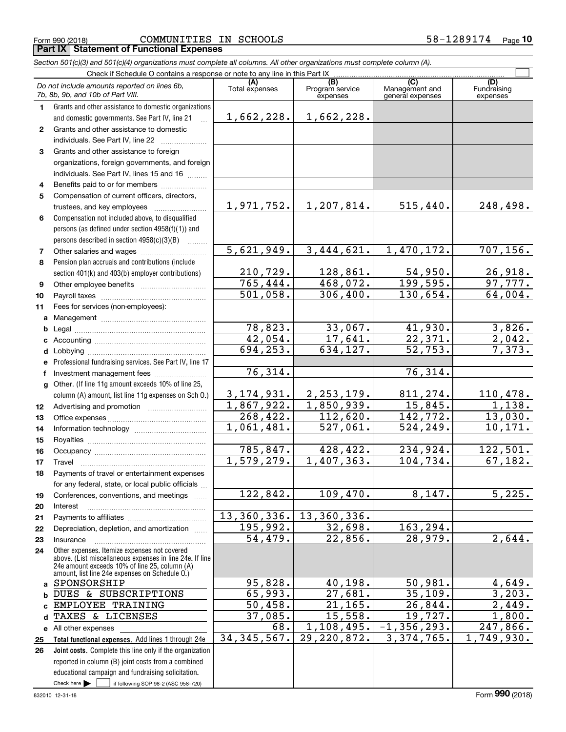#### Form 990 (2018) COMMUNITIES IN SCHOOLS 58-1289174 <sub>Page</sub> **Part IX Statement of Functional Expenses**

*Section 501(c)(3) and 501(c)(4) organizations must complete all columns. All other organizations must complete column (A).* Check if Schedule O contains a response or note to any line in this Part IX

|              | Do not include amounts reported on lines 6b,                                                              | (A)<br>Total expenses                 | (B)<br>Program service | (C)<br>Management and | (D)<br>Fundraising |
|--------------|-----------------------------------------------------------------------------------------------------------|---------------------------------------|------------------------|-----------------------|--------------------|
|              | 7b, 8b, 9b, and 10b of Part VIII.                                                                         |                                       | expenses               | general expenses      | expenses           |
| 1.           | Grants and other assistance to domestic organizations                                                     |                                       |                        |                       |                    |
|              | and domestic governments. See Part IV, line 21                                                            | 1,662,228.                            | 1,662,228.             |                       |                    |
| $\mathbf{2}$ | Grants and other assistance to domestic                                                                   |                                       |                        |                       |                    |
|              | individuals. See Part IV, line 22                                                                         |                                       |                        |                       |                    |
| 3            | Grants and other assistance to foreign                                                                    |                                       |                        |                       |                    |
|              | organizations, foreign governments, and foreign                                                           |                                       |                        |                       |                    |
|              | individuals. See Part IV, lines 15 and 16                                                                 |                                       |                        |                       |                    |
| 4            | Benefits paid to or for members                                                                           |                                       |                        |                       |                    |
| 5            | Compensation of current officers, directors,                                                              | 1,971,752.                            | 1,207,814.             | 515,440.              | 248,498.           |
|              | trustees, and key employees                                                                               |                                       |                        |                       |                    |
| 6            | Compensation not included above, to disqualified<br>persons (as defined under section 4958(f)(1)) and     |                                       |                        |                       |                    |
|              | persons described in section 4958(c)(3)(B)                                                                |                                       |                        |                       |                    |
| 7            |                                                                                                           | 5,621,949.                            | 3,444,621.             | 1,470,172.            | 707, 156.          |
| 8            | Pension plan accruals and contributions (include                                                          |                                       |                        |                       |                    |
|              | section 401(k) and 403(b) employer contributions)                                                         | 210,729.                              | 128,861.               | 54,950.               | 26,918.            |
| 9            |                                                                                                           | 765, 444.                             | 468,072.               | 199,595.              | 97,777.            |
| 10           |                                                                                                           | $\overline{501}$ , 058.               | 306,400.               | 130,654.              | 64,004.            |
| 11           | Fees for services (non-employees):                                                                        |                                       |                        |                       |                    |
| a            |                                                                                                           |                                       |                        |                       |                    |
| b            |                                                                                                           | 78,823.                               | 33,067.                | 41,930.               | 3,826.             |
| c            |                                                                                                           | 42,054.                               | 17,641.                | 22,371.               | 2,042.             |
| d            |                                                                                                           | 694,253.                              | 634,127.               | 52,753.               | 7,373.             |
|              | Professional fundraising services. See Part IV, line 17                                                   |                                       |                        |                       |                    |
| f            | Investment management fees                                                                                | 76, 314.                              |                        | 76,314.               |                    |
| g            | Other. (If line 11g amount exceeds 10% of line 25,                                                        |                                       |                        |                       |                    |
|              | column (A) amount, list line 11g expenses on Sch O.)                                                      | 3, 174, 931.                          | 2, 253, 179.           | 811,274.              | 110,478.           |
| 12           |                                                                                                           | 1,867,922.                            | 1,850,939.             | 15,845.               | 1,138.             |
| 13           |                                                                                                           | 268,422.                              | 112,620.               | 142,772.              | 13,030.            |
| 14           |                                                                                                           | $\overline{1,061},481.$               | $\overline{527,061}$ . | 524, 249.             | 10, 171.           |
| 15           |                                                                                                           |                                       |                        |                       | 122,501.           |
| 16           |                                                                                                           | 785, 847.<br>$\overline{1,579,279}$ . | 428,422.               | 234,924.              | 67, 182.           |
| 17           | Travel                                                                                                    |                                       | 1,407,363.             | 104,734.              |                    |
| 18           | Payments of travel or entertainment expenses                                                              |                                       |                        |                       |                    |
|              | for any federal, state, or local public officials<br>Conferences, conventions, and meetings               | 122,842.                              | 109,470.               | 8,147.                | 5,225.             |
| 19<br>20     | Interest                                                                                                  |                                       |                        |                       |                    |
| 21           |                                                                                                           | 13,360,336.                           | 13,360,336.            |                       |                    |
| 22           | Depreciation, depletion, and amortization                                                                 | 195,992.                              | 32,698.                | 163,294.              |                    |
| 23           | Insurance                                                                                                 | 54,479.                               | 22,856.                | 28,979.               | 2,644.             |
| 24           | Other expenses. Itemize expenses not covered                                                              |                                       |                        |                       |                    |
|              | above. (List miscellaneous expenses in line 24e. If line<br>24e amount exceeds 10% of line 25, column (A) |                                       |                        |                       |                    |
|              | amount, list line 24e expenses on Schedule O.)                                                            |                                       |                        |                       |                    |
| a            | SPONSORSHIP                                                                                               | 95,828.                               | 40,198.                | 50,981.               | 4,649.             |
| b            | DUES & SUBSCRIPTIONS                                                                                      | 65,993.                               | 27,681.                | 35,109.               | 3,203.             |
|              | EMPLOYEE TRAINING                                                                                         | 50,458.                               | 21, 165.               | 26,844.               | 2,449.             |
| d            | TAXES & LICENSES                                                                                          | 37,085.                               | 15,558.                | 19,727.               | 1,800.             |
|              | e All other expenses                                                                                      | 68.                                   | 1,108,495.             | $-1, 356, 293.$       | 247,866.           |
| 25           | Total functional expenses. Add lines 1 through 24e                                                        | 34, 345, 567.                         | 29, 220, 872.          | 3,374,765.            | 1,749,930.         |
| 26           | Joint costs. Complete this line only if the organization                                                  |                                       |                        |                       |                    |
|              | reported in column (B) joint costs from a combined                                                        |                                       |                        |                       |                    |
|              | educational campaign and fundraising solicitation.                                                        |                                       |                        |                       |                    |
|              | Check here<br>if following SOP 98-2 (ASC 958-720)                                                         |                                       |                        |                       | nnn.               |

 $\Box$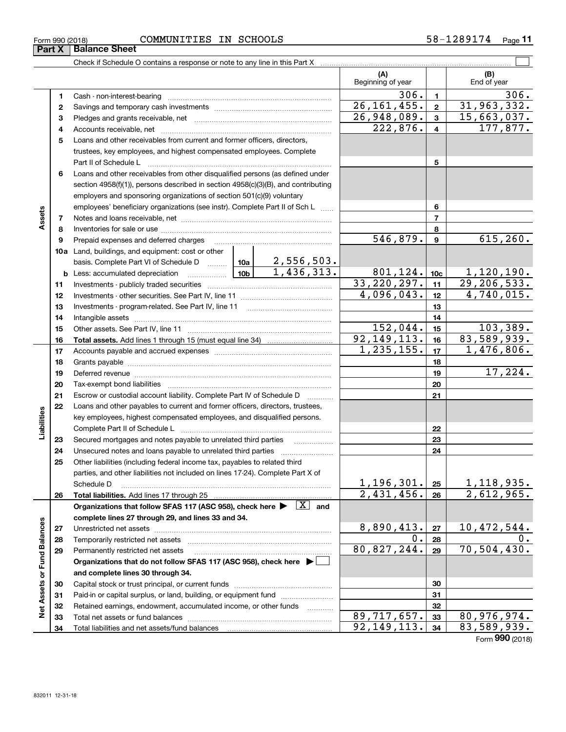| Form 990 (2018) | COMMUNITIES | IN | <b>SCHOOLS</b> | 1289174<br>$58 -$ | Page |  |
|-----------------|-------------|----|----------------|-------------------|------|--|
|                 |             |    |                |                   |      |  |

|                             |              |                                                                                                                                                                                                                                | (A)<br>Beginning of year |                  | (B)<br>End of year |
|-----------------------------|--------------|--------------------------------------------------------------------------------------------------------------------------------------------------------------------------------------------------------------------------------|--------------------------|------------------|--------------------|
|                             | 1            |                                                                                                                                                                                                                                | 306.                     | $\mathbf 1$      | 306.               |
|                             | $\mathbf{2}$ |                                                                                                                                                                                                                                | 26, 161, 455.            | $\mathbf{2}$     | 31,963,332.        |
|                             | 3            |                                                                                                                                                                                                                                | 26,948,089.              | $\mathbf{3}$     | 15,663,037.        |
|                             | 4            |                                                                                                                                                                                                                                | 222,876.                 | $\overline{4}$   | 177,877.           |
|                             | 5            | Loans and other receivables from current and former officers, directors,                                                                                                                                                       |                          |                  |                    |
|                             |              | trustees, key employees, and highest compensated employees. Complete                                                                                                                                                           |                          |                  |                    |
|                             |              |                                                                                                                                                                                                                                |                          | 5                |                    |
|                             | 6            | Loans and other receivables from other disqualified persons (as defined under                                                                                                                                                  |                          |                  |                    |
|                             |              | section $4958(f)(1)$ , persons described in section $4958(c)(3)(B)$ , and contributing                                                                                                                                         |                          |                  |                    |
|                             |              | employers and sponsoring organizations of section 501(c)(9) voluntary                                                                                                                                                          |                          |                  |                    |
|                             |              | employees' beneficiary organizations (see instr). Complete Part II of Sch L                                                                                                                                                    |                          | 6                |                    |
| Assets                      | 7            |                                                                                                                                                                                                                                |                          | $\overline{7}$   |                    |
|                             | 8            |                                                                                                                                                                                                                                |                          | 8                |                    |
|                             | 9            | Prepaid expenses and deferred charges                                                                                                                                                                                          | $\overline{546, 879}$ .  | $\boldsymbol{9}$ | 615, 260.          |
|                             |              | 10a Land, buildings, and equipment: cost or other                                                                                                                                                                              |                          |                  |                    |
|                             |              | basis. Complete Part VI of Schedule D $\begin{array}{ c c c c c }\n\hline\n10a & 2,556,503. \\ \hline\n\text{Less: accumulated depreciation} & \text{10b} & 1,436,313. \\ \hline\n\end{array}$                                 |                          |                  |                    |
|                             |              |                                                                                                                                                                                                                                | 801,124.                 | 10 <sub>c</sub>  | 1,120,190.         |
|                             | 11           |                                                                                                                                                                                                                                | 33, 220, 297.            | 11               | 29, 206, 533.      |
|                             | 12           |                                                                                                                                                                                                                                | 4,096,043.               | 12               | 4,740,015.         |
|                             | 13           |                                                                                                                                                                                                                                |                          | 13               |                    |
|                             | 14           |                                                                                                                                                                                                                                |                          | 14               |                    |
|                             | 15           |                                                                                                                                                                                                                                | 152,044.                 | 15               | 103,389.           |
|                             | 16           |                                                                                                                                                                                                                                | 92, 149, 113.            | 16               | 83,589,939.        |
|                             | 17           |                                                                                                                                                                                                                                | 1, 235, 155.             | 17               | 1,476,806.         |
|                             | 18           |                                                                                                                                                                                                                                |                          | 18               |                    |
|                             | 19           | Deferred revenue material contracts and a contract of the contract of the contract of the contract of the contract of the contract of the contract of the contract of the contract of the contract of the contract of the cont |                          | 19               | 17,224.            |
|                             | 20           |                                                                                                                                                                                                                                |                          | 20               |                    |
|                             | 21           | Escrow or custodial account liability. Complete Part IV of Schedule D                                                                                                                                                          |                          | 21               |                    |
|                             | 22           | Loans and other payables to current and former officers, directors, trustees,                                                                                                                                                  |                          |                  |                    |
|                             |              | key employees, highest compensated employees, and disqualified persons.                                                                                                                                                        |                          |                  |                    |
| Liabilities                 |              |                                                                                                                                                                                                                                |                          | 22               |                    |
|                             | 23           | Secured mortgages and notes payable to unrelated third parties                                                                                                                                                                 |                          | 23               |                    |
|                             | 24           |                                                                                                                                                                                                                                |                          | 24               |                    |
|                             | 25           | Other liabilities (including federal income tax, payables to related third                                                                                                                                                     |                          |                  |                    |
|                             |              | parties, and other liabilities not included on lines 17-24). Complete Part X of                                                                                                                                                | 1,196,301.               | 25               | 1, 118, 935.       |
|                             | 26           | Schedule D                                                                                                                                                                                                                     | 2,431,456.               | 26               | 2,612,965.         |
|                             |              | Organizations that follow SFAS 117 (ASC 958), check here $\blacktriangleright \begin{array}{c} \boxed{X} \end{array}$ and                                                                                                      |                          |                  |                    |
|                             |              | complete lines 27 through 29, and lines 33 and 34.                                                                                                                                                                             |                          |                  |                    |
|                             | 27           |                                                                                                                                                                                                                                | 8,890,413.               | 27               | 10,472,544.        |
|                             | 28           |                                                                                                                                                                                                                                | 0.                       | 28               |                    |
|                             | 29           | Permanently restricted net assets                                                                                                                                                                                              | 80,827,244.              | 29               | 70, 504, 430.      |
|                             |              | Organizations that do not follow SFAS 117 (ASC 958), check here ▶                                                                                                                                                              |                          |                  |                    |
|                             |              | and complete lines 30 through 34.                                                                                                                                                                                              |                          |                  |                    |
|                             | 30           |                                                                                                                                                                                                                                |                          | 30               |                    |
|                             | 31           | Paid-in or capital surplus, or land, building, or equipment fund                                                                                                                                                               |                          | 31               |                    |
| Net Assets or Fund Balances | 32           | Retained earnings, endowment, accumulated income, or other funds<br>.                                                                                                                                                          |                          | 32               |                    |
|                             | 33           | Total net assets or fund balances                                                                                                                                                                                              | 89,717,657.              | 33               | 80,976,974.        |
|                             | 34           |                                                                                                                                                                                                                                | 92, 149, 113.            | 34               | 83,589,939.        |

Form (2018) **990**

| Form 990 (2018) |                               |
|-----------------|-------------------------------|
|                 | <b>Part X   Balance Sheet</b> |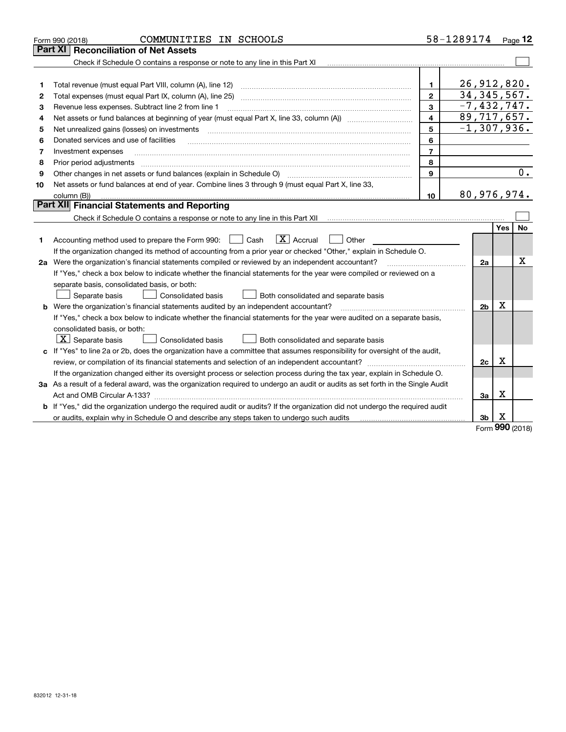|    | COMMUNITIES IN SCHOOLS<br>Form 990 (2018)                                                                                       |                         | 58-1289174 Page 12 |     |           |
|----|---------------------------------------------------------------------------------------------------------------------------------|-------------------------|--------------------|-----|-----------|
|    | <b>Reconciliation of Net Assets</b><br>Part XI                                                                                  |                         |                    |     |           |
|    | Check if Schedule O contains a response or note to any line in this Part XI                                                     |                         |                    |     |           |
|    |                                                                                                                                 |                         |                    |     |           |
| 1  | Total revenue (must equal Part VIII, column (A), line 12)                                                                       | 1                       | 26,912,820.        |     |           |
| 2  | Total expenses (must equal Part IX, column (A), line 25)                                                                        | $\overline{2}$          | 34, 345, 567.      |     |           |
| з  | Revenue less expenses. Subtract line 2 from line 1                                                                              | 3                       | $-7,432,747.$      |     |           |
| 4  |                                                                                                                                 | $\overline{\mathbf{A}}$ | 89,717,657.        |     |           |
| 5  | Net unrealized gains (losses) on investments                                                                                    | 5                       | $-1,307,936.$      |     |           |
| 6  | Donated services and use of facilities                                                                                          | 6                       |                    |     |           |
| 7  | Investment expenses                                                                                                             | $\overline{7}$          |                    |     |           |
| 8  | Prior period adjustments                                                                                                        | 8                       |                    |     |           |
| 9  |                                                                                                                                 | 9                       |                    |     | 0.        |
| 10 | Net assets or fund balances at end of year. Combine lines 3 through 9 (must equal Part X, line 33,                              |                         |                    |     |           |
|    | column (B))                                                                                                                     | 10                      | 80,976,974.        |     |           |
|    | Part XII Financial Statements and Reporting                                                                                     |                         |                    |     |           |
|    |                                                                                                                                 |                         |                    |     |           |
|    |                                                                                                                                 |                         |                    | Yes | <b>No</b> |
| 1  | $\boxed{\mathbf{X}}$ Accrual<br>Accounting method used to prepare the Form 990: <u>[</u> Cash<br>Other                          |                         |                    |     |           |
|    | If the organization changed its method of accounting from a prior year or checked "Other," explain in Schedule O.               |                         |                    |     |           |
|    | 2a Were the organization's financial statements compiled or reviewed by an independent accountant?                              |                         | 2a                 |     | х         |
|    | If "Yes," check a box below to indicate whether the financial statements for the year were compiled or reviewed on a            |                         |                    |     |           |
|    | separate basis, consolidated basis, or both:                                                                                    |                         |                    |     |           |
|    | Separate basis<br><b>Consolidated basis</b><br>Both consolidated and separate basis                                             |                         |                    |     |           |
|    | <b>b</b> Were the organization's financial statements audited by an independent accountant?                                     |                         | 2 <sub>b</sub>     | х   |           |
|    | If "Yes," check a box below to indicate whether the financial statements for the year were audited on a separate basis,         |                         |                    |     |           |
|    | consolidated basis, or both:                                                                                                    |                         |                    |     |           |
|    | $X$ Separate basis<br>Consolidated basis<br>Both consolidated and separate basis                                                |                         |                    |     |           |
|    | c If "Yes" to line 2a or 2b, does the organization have a committee that assumes responsibility for oversight of the audit,     |                         |                    |     |           |
|    |                                                                                                                                 |                         | 2c                 | х   |           |
|    | If the organization changed either its oversight process or selection process during the tax year, explain in Schedule O.       |                         |                    |     |           |
|    | 3a As a result of a federal award, was the organization required to undergo an audit or audits as set forth in the Single Audit |                         |                    |     |           |
|    |                                                                                                                                 |                         | За                 | х   |           |
|    | b If "Yes," did the organization undergo the required audit or audits? If the organization did not undergo the required audit   |                         |                    |     |           |
|    | or audits, explain why in Schedule O and describe any steps taken to undergo such audits                                        |                         | 3b                 | х   |           |

Form (2018) **990**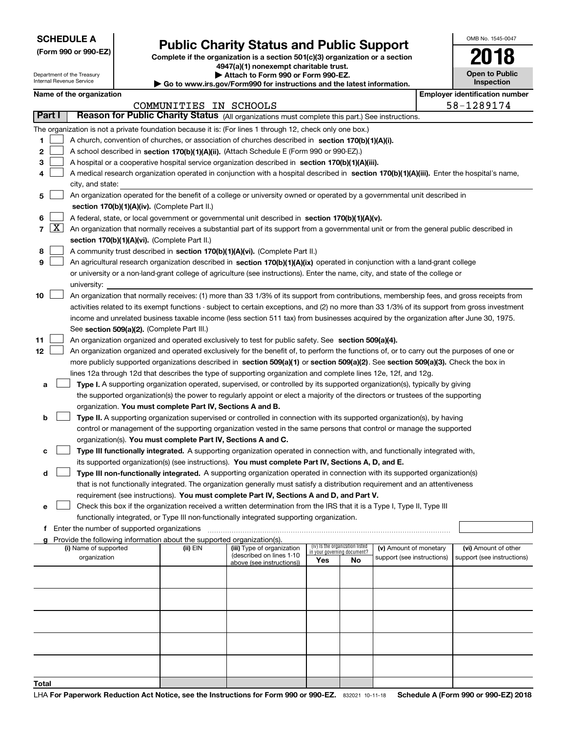Department of the Treasury

**(Form 990 or 990-EZ)**

## **Public Charity Status and Public Support**

**Complete if the organization is a section 501(c)(3) organization or a section 4947(a)(1) nonexempt charitable trust.**

**| Attach to Form 990 or Form 990-EZ.** 

| OMB No. 1545-0047     |
|-----------------------|
| 2018                  |
| <b>Open to Public</b> |

٦

|        | Internal Revenue Service |                                             |                                                                                    | $\blacktriangleright$ Go to www.irs.gov/Form990 for instructions and the latest information.                                                  |                             |                                 |                            |  | <b>Inspection</b>                     |  |
|--------|--------------------------|---------------------------------------------|------------------------------------------------------------------------------------|-----------------------------------------------------------------------------------------------------------------------------------------------|-----------------------------|---------------------------------|----------------------------|--|---------------------------------------|--|
|        | Name of the organization |                                             |                                                                                    |                                                                                                                                               |                             |                                 |                            |  | <b>Employer identification number</b> |  |
|        |                          |                                             | COMMUNITIES IN SCHOOLS                                                             |                                                                                                                                               |                             |                                 |                            |  | 58-1289174                            |  |
| Part I |                          |                                             |                                                                                    | Reason for Public Charity Status (All organizations must complete this part.) See instructions.                                               |                             |                                 |                            |  |                                       |  |
|        |                          |                                             |                                                                                    | The organization is not a private foundation because it is: (For lines 1 through 12, check only one box.)                                     |                             |                                 |                            |  |                                       |  |
| 1.     |                          |                                             |                                                                                    | A church, convention of churches, or association of churches described in section 170(b)(1)(A)(i).                                            |                             |                                 |                            |  |                                       |  |
| 2      |                          |                                             |                                                                                    | A school described in section 170(b)(1)(A)(ii). (Attach Schedule E (Form 990 or 990-EZ).)                                                     |                             |                                 |                            |  |                                       |  |
| 3      |                          |                                             |                                                                                    | A hospital or a cooperative hospital service organization described in section 170(b)(1)(A)(iii).                                             |                             |                                 |                            |  |                                       |  |
| 4      |                          |                                             |                                                                                    | A medical research organization operated in conjunction with a hospital described in section 170(b)(1)(A)(iii). Enter the hospital's name,    |                             |                                 |                            |  |                                       |  |
|        | city, and state:         |                                             |                                                                                    |                                                                                                                                               |                             |                                 |                            |  |                                       |  |
| 5      |                          |                                             |                                                                                    | An organization operated for the benefit of a college or university owned or operated by a governmental unit described in                     |                             |                                 |                            |  |                                       |  |
|        |                          |                                             | section 170(b)(1)(A)(iv). (Complete Part II.)                                      |                                                                                                                                               |                             |                                 |                            |  |                                       |  |
| 6      |                          |                                             |                                                                                    | A federal, state, or local government or governmental unit described in section 170(b)(1)(A)(v).                                              |                             |                                 |                            |  |                                       |  |
| 7      |                          |                                             |                                                                                    | $X$ An organization that normally receives a substantial part of its support from a governmental unit or from the general public described in |                             |                                 |                            |  |                                       |  |
|        |                          |                                             | section 170(b)(1)(A)(vi). (Complete Part II.)                                      |                                                                                                                                               |                             |                                 |                            |  |                                       |  |
| 8      |                          |                                             |                                                                                    | A community trust described in section 170(b)(1)(A)(vi). (Complete Part II.)                                                                  |                             |                                 |                            |  |                                       |  |
| 9      |                          |                                             |                                                                                    | An agricultural research organization described in section 170(b)(1)(A)(ix) operated in conjunction with a land-grant college                 |                             |                                 |                            |  |                                       |  |
|        |                          |                                             |                                                                                    | or university or a non-land-grant college of agriculture (see instructions). Enter the name, city, and state of the college or                |                             |                                 |                            |  |                                       |  |
|        | university:              |                                             |                                                                                    |                                                                                                                                               |                             |                                 |                            |  |                                       |  |
| 10     |                          |                                             |                                                                                    | An organization that normally receives: (1) more than 33 1/3% of its support from contributions, membership fees, and gross receipts from     |                             |                                 |                            |  |                                       |  |
|        |                          |                                             |                                                                                    | activities related to its exempt functions - subject to certain exceptions, and (2) no more than 33 1/3% of its support from gross investment |                             |                                 |                            |  |                                       |  |
|        |                          |                                             |                                                                                    | income and unrelated business taxable income (less section 511 tax) from businesses acquired by the organization after June 30, 1975.         |                             |                                 |                            |  |                                       |  |
|        |                          |                                             | See section 509(a)(2). (Complete Part III.)                                        |                                                                                                                                               |                             |                                 |                            |  |                                       |  |
| 11     |                          |                                             |                                                                                    | An organization organized and operated exclusively to test for public safety. See section 509(a)(4).                                          |                             |                                 |                            |  |                                       |  |
| 12     |                          |                                             |                                                                                    | An organization organized and operated exclusively for the benefit of, to perform the functions of, or to carry out the purposes of one or    |                             |                                 |                            |  |                                       |  |
|        |                          |                                             |                                                                                    | more publicly supported organizations described in section 509(a)(1) or section 509(a)(2). See section 509(a)(3). Check the box in            |                             |                                 |                            |  |                                       |  |
|        |                          |                                             |                                                                                    | lines 12a through 12d that describes the type of supporting organization and complete lines 12e, 12f, and 12g.                                |                             |                                 |                            |  |                                       |  |
| а      |                          |                                             |                                                                                    | Type I. A supporting organization operated, supervised, or controlled by its supported organization(s), typically by giving                   |                             |                                 |                            |  |                                       |  |
|        |                          |                                             |                                                                                    | the supported organization(s) the power to regularly appoint or elect a majority of the directors or trustees of the supporting               |                             |                                 |                            |  |                                       |  |
|        |                          |                                             | organization. You must complete Part IV, Sections A and B.                         |                                                                                                                                               |                             |                                 |                            |  |                                       |  |
| b      |                          |                                             |                                                                                    | Type II. A supporting organization supervised or controlled in connection with its supported organization(s), by having                       |                             |                                 |                            |  |                                       |  |
|        |                          |                                             |                                                                                    | control or management of the supporting organization vested in the same persons that control or manage the supported                          |                             |                                 |                            |  |                                       |  |
|        |                          |                                             | organization(s). You must complete Part IV, Sections A and C.                      |                                                                                                                                               |                             |                                 |                            |  |                                       |  |
| с      |                          |                                             |                                                                                    | Type III functionally integrated. A supporting organization operated in connection with, and functionally integrated with,                    |                             |                                 |                            |  |                                       |  |
|        |                          |                                             |                                                                                    | its supported organization(s) (see instructions). You must complete Part IV, Sections A, D, and E.                                            |                             |                                 |                            |  |                                       |  |
| d      |                          |                                             |                                                                                    | Type III non-functionally integrated. A supporting organization operated in connection with its supported organization(s)                     |                             |                                 |                            |  |                                       |  |
|        |                          |                                             |                                                                                    | that is not functionally integrated. The organization generally must satisfy a distribution requirement and an attentiveness                  |                             |                                 |                            |  |                                       |  |
|        |                          |                                             |                                                                                    | requirement (see instructions). You must complete Part IV, Sections A and D, and Part V.                                                      |                             |                                 |                            |  |                                       |  |
| е      |                          |                                             |                                                                                    | Check this box if the organization received a written determination from the IRS that it is a Type I, Type II, Type III                       |                             |                                 |                            |  |                                       |  |
|        |                          |                                             |                                                                                    | functionally integrated, or Type III non-functionally integrated supporting organization.                                                     |                             |                                 |                            |  |                                       |  |
| f      |                          | Enter the number of supported organizations |                                                                                    |                                                                                                                                               |                             |                                 |                            |  |                                       |  |
|        | (i) Name of supported    |                                             | Provide the following information about the supported organization(s).<br>(ii) EIN | (iii) Type of organization                                                                                                                    |                             | (iv) Is the organization listed | (v) Amount of monetary     |  | (vi) Amount of other                  |  |
|        | organization             |                                             |                                                                                    | (described on lines 1-10                                                                                                                      | in your governing document? |                                 | support (see instructions) |  | support (see instructions)            |  |
|        |                          |                                             |                                                                                    | above (see instructions))                                                                                                                     | Yes                         | No                              |                            |  |                                       |  |
|        |                          |                                             |                                                                                    |                                                                                                                                               |                             |                                 |                            |  |                                       |  |
|        |                          |                                             |                                                                                    |                                                                                                                                               |                             |                                 |                            |  |                                       |  |
|        |                          |                                             |                                                                                    |                                                                                                                                               |                             |                                 |                            |  |                                       |  |
|        |                          |                                             |                                                                                    |                                                                                                                                               |                             |                                 |                            |  |                                       |  |
|        |                          |                                             |                                                                                    |                                                                                                                                               |                             |                                 |                            |  |                                       |  |
|        |                          |                                             |                                                                                    |                                                                                                                                               |                             |                                 |                            |  |                                       |  |
|        |                          |                                             |                                                                                    |                                                                                                                                               |                             |                                 |                            |  |                                       |  |
|        |                          |                                             |                                                                                    |                                                                                                                                               |                             |                                 |                            |  |                                       |  |
|        |                          |                                             |                                                                                    |                                                                                                                                               |                             |                                 |                            |  |                                       |  |
|        |                          |                                             |                                                                                    |                                                                                                                                               |                             |                                 |                            |  |                                       |  |
| Total  |                          |                                             |                                                                                    |                                                                                                                                               |                             |                                 |                            |  |                                       |  |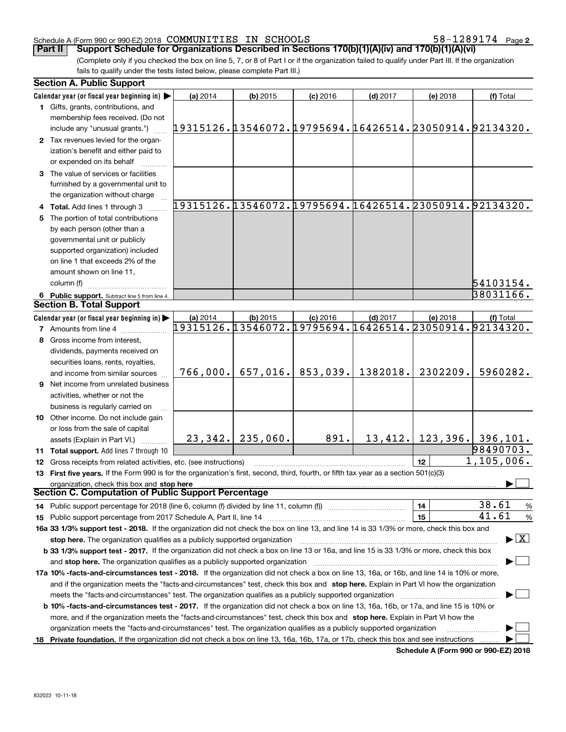**2**

(Complete only if you checked the box on line 5, 7, or 8 of Part I or if the organization failed to qualify under Part III. If the organization fails to qualify under the tests listed below, please complete Part III.) **Part II** | Support Schedule for Organizations Described in Sections 170(b)(1)(A)(iv) and 170(b)(1)(A)(vi)

| <b>Section A. Public Support</b>                                                                                                               |                                                        |                    |            |            |                                |                                 |  |
|------------------------------------------------------------------------------------------------------------------------------------------------|--------------------------------------------------------|--------------------|------------|------------|--------------------------------|---------------------------------|--|
| Calendar year (or fiscal year beginning in)                                                                                                    | (a) 2014                                               | $(b)$ 2015         | $(c)$ 2016 | $(d)$ 2017 | (e) 2018                       | (f) Total                       |  |
| 1 Gifts, grants, contributions, and                                                                                                            |                                                        |                    |            |            |                                |                                 |  |
| membership fees received. (Do not                                                                                                              |                                                        |                    |            |            |                                |                                 |  |
| include any "unusual grants.")                                                                                                                 | 19315126.13546072.19795694.16426514.23050914.92134320. |                    |            |            |                                |                                 |  |
| 2 Tax revenues levied for the organ-                                                                                                           |                                                        |                    |            |            |                                |                                 |  |
| ization's benefit and either paid to                                                                                                           |                                                        |                    |            |            |                                |                                 |  |
| or expended on its behalf                                                                                                                      |                                                        |                    |            |            |                                |                                 |  |
| 3 The value of services or facilities                                                                                                          |                                                        |                    |            |            |                                |                                 |  |
| furnished by a governmental unit to                                                                                                            |                                                        |                    |            |            |                                |                                 |  |
| the organization without charge                                                                                                                |                                                        |                    |            |            |                                |                                 |  |
| 4 Total. Add lines 1 through 3                                                                                                                 | 19315126.13546072.19795694.16426514.23050914.92134320. |                    |            |            |                                |                                 |  |
| 5 The portion of total contributions                                                                                                           |                                                        |                    |            |            |                                |                                 |  |
| by each person (other than a                                                                                                                   |                                                        |                    |            |            |                                |                                 |  |
| governmental unit or publicly                                                                                                                  |                                                        |                    |            |            |                                |                                 |  |
| supported organization) included                                                                                                               |                                                        |                    |            |            |                                |                                 |  |
|                                                                                                                                                |                                                        |                    |            |            |                                |                                 |  |
| on line 1 that exceeds 2% of the                                                                                                               |                                                        |                    |            |            |                                |                                 |  |
| amount shown on line 11,                                                                                                                       |                                                        |                    |            |            |                                |                                 |  |
| column (f)                                                                                                                                     |                                                        |                    |            |            |                                | 54103154.                       |  |
| 6 Public support. Subtract line 5 from line 4.                                                                                                 |                                                        |                    |            |            |                                | 38031166.                       |  |
| <b>Section B. Total Support</b>                                                                                                                |                                                        |                    |            |            |                                |                                 |  |
| Calendar year (or fiscal year beginning in)                                                                                                    | (a) 2014                                               | $(b)$ 2015         | $(c)$ 2016 | $(d)$ 2017 | (e) 2018                       | (f) Total                       |  |
| <b>7</b> Amounts from line 4                                                                                                                   | 19315126.13546072.19795694.16426514.23050914.92134320. |                    |            |            |                                |                                 |  |
| 8 Gross income from interest,                                                                                                                  |                                                        |                    |            |            |                                |                                 |  |
| dividends, payments received on                                                                                                                |                                                        |                    |            |            |                                |                                 |  |
| securities loans, rents, royalties,                                                                                                            |                                                        |                    |            |            |                                |                                 |  |
| and income from similar sources                                                                                                                | 766,000.                                               | 657,016.           | 853,039.   | 1382018.   | 2302209.                       | 5960282.                        |  |
| <b>9</b> Net income from unrelated business                                                                                                    |                                                        |                    |            |            |                                |                                 |  |
| activities, whether or not the                                                                                                                 |                                                        |                    |            |            |                                |                                 |  |
| business is regularly carried on                                                                                                               |                                                        |                    |            |            |                                |                                 |  |
| 10 Other income. Do not include gain                                                                                                           |                                                        |                    |            |            |                                |                                 |  |
| or loss from the sale of capital                                                                                                               |                                                        |                    |            |            |                                |                                 |  |
| assets (Explain in Part VI.)                                                                                                                   |                                                        | $23,342.$ 235,060. | 891.       |            | $13,412.$   123,396.  396,101. |                                 |  |
| <b>11 Total support.</b> Add lines 7 through 10                                                                                                |                                                        |                    |            |            |                                | 98490703.                       |  |
| 12 Gross receipts from related activities, etc. (see instructions)                                                                             |                                                        |                    |            |            | 12                             | 1,105,006.                      |  |
|                                                                                                                                                |                                                        |                    |            |            |                                |                                 |  |
| 13 First five years. If the Form 990 is for the organization's first, second, third, fourth, or fifth tax year as a section 501(c)(3)          |                                                        |                    |            |            |                                |                                 |  |
| organization, check this box and stop here<br>Section C. Computation of Public Support Percentage                                              |                                                        |                    |            |            |                                |                                 |  |
|                                                                                                                                                |                                                        |                    |            |            |                                | 38.61                           |  |
| 14 Public support percentage for 2018 (line 6, column (f) divided by line 11, column (f) <i>manumeronominimi</i> ng                            |                                                        |                    |            |            | 14                             | $\frac{9}{6}$<br>41.61          |  |
|                                                                                                                                                |                                                        |                    |            |            | 15                             | $\frac{9}{6}$                   |  |
| 16a 33 1/3% support test - 2018. If the organization did not check the box on line 13, and line 14 is 33 1/3% or more, check this box and      |                                                        |                    |            |            |                                |                                 |  |
| stop here. The organization qualifies as a publicly supported organization                                                                     |                                                        |                    |            |            |                                | $\blacktriangleright$ $\vert$ X |  |
| b 33 1/3% support test - 2017. If the organization did not check a box on line 13 or 16a, and line 15 is 33 1/3% or more, check this box       |                                                        |                    |            |            |                                |                                 |  |
| and stop here. The organization qualifies as a publicly supported organization                                                                 |                                                        |                    |            |            |                                |                                 |  |
| 17a 10% -facts-and-circumstances test - 2018. If the organization did not check a box on line 13, 16a, or 16b, and line 14 is 10% or more,     |                                                        |                    |            |            |                                |                                 |  |
| and if the organization meets the "facts-and-circumstances" test, check this box and stop here. Explain in Part VI how the organization        |                                                        |                    |            |            |                                |                                 |  |
| meets the "facts-and-circumstances" test. The organization qualifies as a publicly supported organization                                      |                                                        |                    |            |            |                                |                                 |  |
| <b>b 10% -facts-and-circumstances test - 2017.</b> If the organization did not check a box on line 13, 16a, 16b, or 17a, and line 15 is 10% or |                                                        |                    |            |            |                                |                                 |  |
| more, and if the organization meets the "facts-and-circumstances" test, check this box and stop here. Explain in Part VI how the               |                                                        |                    |            |            |                                |                                 |  |
| organization meets the "facts-and-circumstances" test. The organization qualifies as a publicly supported organization                         |                                                        |                    |            |            |                                |                                 |  |
| 18 Private foundation. If the organization did not check a box on line 13, 16a, 16b, 17a, or 17b, check this box and see instructions          |                                                        |                    |            |            |                                |                                 |  |
|                                                                                                                                                |                                                        |                    |            |            |                                |                                 |  |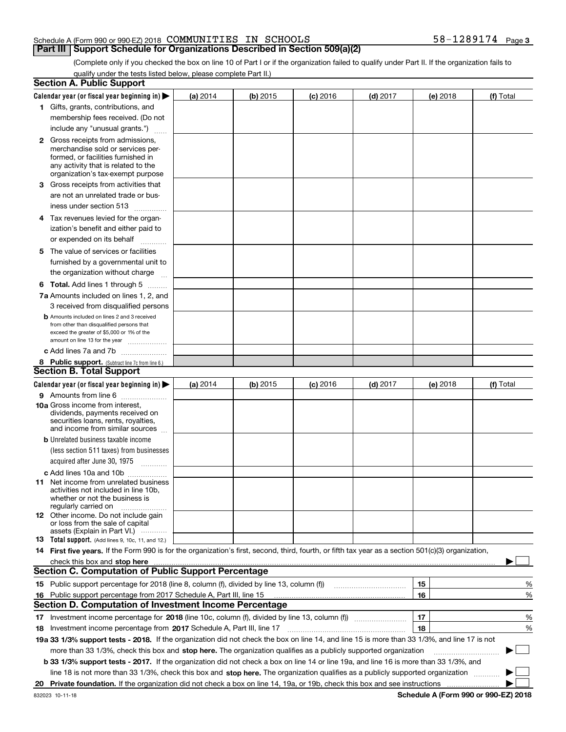#### **Part III** | Support Schedule for Organizations Described in Section 509(a)(2)

(Complete only if you checked the box on line 10 of Part I or if the organization failed to qualify under Part II. If the organization fails to qualify under the tests listed below, please complete Part II.)

|    | <b>Section A. Public Support</b>                                                                                                                                                                                                                                                             |            |            |            |            |          |          |             |   |
|----|----------------------------------------------------------------------------------------------------------------------------------------------------------------------------------------------------------------------------------------------------------------------------------------------|------------|------------|------------|------------|----------|----------|-------------|---|
|    | Calendar year (or fiscal year beginning in) $\blacktriangleright$                                                                                                                                                                                                                            | (a) 2014   | (b) 2015   | $(c)$ 2016 | $(d)$ 2017 |          | (e) 2018 | (f) Total   |   |
|    | 1 Gifts, grants, contributions, and                                                                                                                                                                                                                                                          |            |            |            |            |          |          |             |   |
|    | membership fees received. (Do not                                                                                                                                                                                                                                                            |            |            |            |            |          |          |             |   |
|    | include any "unusual grants.")                                                                                                                                                                                                                                                               |            |            |            |            |          |          |             |   |
|    | <b>2</b> Gross receipts from admissions,                                                                                                                                                                                                                                                     |            |            |            |            |          |          |             |   |
|    | merchandise sold or services per-                                                                                                                                                                                                                                                            |            |            |            |            |          |          |             |   |
|    | formed, or facilities furnished in                                                                                                                                                                                                                                                           |            |            |            |            |          |          |             |   |
|    | any activity that is related to the<br>organization's tax-exempt purpose                                                                                                                                                                                                                     |            |            |            |            |          |          |             |   |
|    |                                                                                                                                                                                                                                                                                              |            |            |            |            |          |          |             |   |
|    | 3 Gross receipts from activities that                                                                                                                                                                                                                                                        |            |            |            |            |          |          |             |   |
|    | are not an unrelated trade or bus-                                                                                                                                                                                                                                                           |            |            |            |            |          |          |             |   |
|    | iness under section 513                                                                                                                                                                                                                                                                      |            |            |            |            |          |          |             |   |
|    | 4 Tax revenues levied for the organ-                                                                                                                                                                                                                                                         |            |            |            |            |          |          |             |   |
|    | ization's benefit and either paid to                                                                                                                                                                                                                                                         |            |            |            |            |          |          |             |   |
|    | or expended on its behalf<br>.                                                                                                                                                                                                                                                               |            |            |            |            |          |          |             |   |
|    | 5 The value of services or facilities                                                                                                                                                                                                                                                        |            |            |            |            |          |          |             |   |
|    | furnished by a governmental unit to                                                                                                                                                                                                                                                          |            |            |            |            |          |          |             |   |
|    | the organization without charge                                                                                                                                                                                                                                                              |            |            |            |            |          |          |             |   |
|    | <b>6 Total.</b> Add lines 1 through 5                                                                                                                                                                                                                                                        |            |            |            |            |          |          |             |   |
|    | 7a Amounts included on lines 1, 2, and                                                                                                                                                                                                                                                       |            |            |            |            |          |          |             |   |
|    | 3 received from disqualified persons                                                                                                                                                                                                                                                         |            |            |            |            |          |          |             |   |
|    | <b>b</b> Amounts included on lines 2 and 3 received                                                                                                                                                                                                                                          |            |            |            |            |          |          |             |   |
|    | from other than disqualified persons that                                                                                                                                                                                                                                                    |            |            |            |            |          |          |             |   |
|    | exceed the greater of \$5,000 or 1% of the<br>amount on line 13 for the year                                                                                                                                                                                                                 |            |            |            |            |          |          |             |   |
|    | c Add lines 7a and 7b                                                                                                                                                                                                                                                                        |            |            |            |            |          |          |             |   |
|    |                                                                                                                                                                                                                                                                                              |            |            |            |            |          |          |             |   |
|    | 8 Public support. (Subtract line 7c from line 6.)<br><b>Section B. Total Support</b>                                                                                                                                                                                                         |            |            |            |            |          |          |             |   |
|    | Calendar year (or fiscal year beginning in) $\blacktriangleright$                                                                                                                                                                                                                            |            | $(b)$ 2015 |            | $(d)$ 2017 |          |          |             |   |
|    |                                                                                                                                                                                                                                                                                              | (a) $2014$ |            | $(c)$ 2016 |            |          | (e) 2018 | (f) Total   |   |
|    | 9 Amounts from line 6<br><b>10a</b> Gross income from interest,                                                                                                                                                                                                                              |            |            |            |            |          |          |             |   |
|    | dividends, payments received on                                                                                                                                                                                                                                                              |            |            |            |            |          |          |             |   |
|    | securities loans, rents, royalties,                                                                                                                                                                                                                                                          |            |            |            |            |          |          |             |   |
|    | and income from similar sources                                                                                                                                                                                                                                                              |            |            |            |            |          |          |             |   |
|    | <b>b</b> Unrelated business taxable income                                                                                                                                                                                                                                                   |            |            |            |            |          |          |             |   |
|    | (less section 511 taxes) from businesses                                                                                                                                                                                                                                                     |            |            |            |            |          |          |             |   |
|    | acquired after June 30, 1975                                                                                                                                                                                                                                                                 |            |            |            |            |          |          |             |   |
|    | c Add lines 10a and 10b                                                                                                                                                                                                                                                                      |            |            |            |            |          |          |             |   |
|    | 11 Net income from unrelated business                                                                                                                                                                                                                                                        |            |            |            |            |          |          |             |   |
|    | activities not included in line 10b,<br>whether or not the business is                                                                                                                                                                                                                       |            |            |            |            |          |          |             |   |
|    | regularly carried on                                                                                                                                                                                                                                                                         |            |            |            |            |          |          |             |   |
|    | <b>12</b> Other income. Do not include gain                                                                                                                                                                                                                                                  |            |            |            |            |          |          |             |   |
|    | or loss from the sale of capital                                                                                                                                                                                                                                                             |            |            |            |            |          |          |             |   |
|    | assets (Explain in Part VI.)<br>13 Total support. (Add lines 9, 10c, 11, and 12.)                                                                                                                                                                                                            |            |            |            |            |          |          |             |   |
|    | 14 First five years. If the Form 990 is for the organization's first, second, third, fourth, or fifth tax year as a section 501(c)(3) organization,                                                                                                                                          |            |            |            |            |          |          |             |   |
|    |                                                                                                                                                                                                                                                                                              |            |            |            |            |          |          |             |   |
|    | check this box and stop here measurements and contain the state of the state of the state of the state of the state of the state of the state of the state of the state of the state of the state of the state of the state of<br><b>Section C. Computation of Public Support Percentage</b> |            |            |            |            |          |          |             |   |
|    | 15 Public support percentage for 2018 (line 8, column (f), divided by line 13, column (f))                                                                                                                                                                                                   |            |            |            |            | 15       |          |             |   |
|    |                                                                                                                                                                                                                                                                                              |            |            |            |            | 16       |          |             | % |
| 16 | Public support percentage from 2017 Schedule A, Part III, line 15<br>Section D. Computation of Investment Income Percentage                                                                                                                                                                  |            |            |            |            |          |          |             | % |
|    |                                                                                                                                                                                                                                                                                              |            |            |            |            |          |          |             |   |
|    | 17 Investment income percentage for 2018 (line 10c, column (f), divided by line 13, column (f))                                                                                                                                                                                              |            |            |            |            | 17<br>18 |          |             | % |
|    | 18 Investment income percentage from 2017 Schedule A, Part III, line 17                                                                                                                                                                                                                      |            |            |            |            |          |          |             | % |
|    | 19a 33 1/3% support tests - 2018. If the organization did not check the box on line 14, and line 15 is more than 33 1/3%, and line 17 is not                                                                                                                                                 |            |            |            |            |          |          |             |   |
|    | more than 33 1/3%, check this box and stop here. The organization qualifies as a publicly supported organization                                                                                                                                                                             |            |            |            |            |          |          | $\sim$<br>▶ |   |
|    | b 33 1/3% support tests - 2017. If the organization did not check a box on line 14 or line 19a, and line 16 is more than 33 1/3%, and                                                                                                                                                        |            |            |            |            |          |          |             |   |
|    | line 18 is not more than 33 1/3%, check this box and stop here. The organization qualifies as a publicly supported organization                                                                                                                                                              |            |            |            |            |          |          |             |   |
| 20 | Private foundation. If the organization did not check a box on line 14, 19a, or 19b, check this box and see instructions                                                                                                                                                                     |            |            |            |            |          |          |             |   |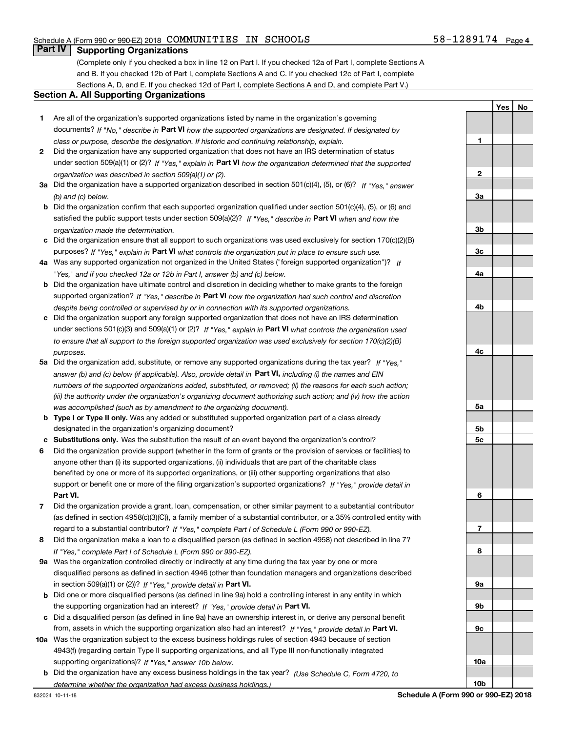#### 58-1289174 Page 4

**1**

**2**

**3a**

**3b**

**3c**

**4a**

**4b**

**4c**

**5a**

**5b5c**

**6**

**7**

**8**

**9a**

**9b**

**9c**

**10a**

**10b**

**YesNo**

#### **Part IV Supporting Organizations**

(Complete only if you checked a box in line 12 on Part I. If you checked 12a of Part I, complete Sections A and B. If you checked 12b of Part I, complete Sections A and C. If you checked 12c of Part I, complete Sections A, D, and E. If you checked 12d of Part I, complete Sections A and D, and complete Part V.)

#### **Section A. All Supporting Organizations**

- **1** Are all of the organization's supported organizations listed by name in the organization's governing documents? If "No," describe in **Part VI** how the supported organizations are designated. If designated by *class or purpose, describe the designation. If historic and continuing relationship, explain.*
- **2** Did the organization have any supported organization that does not have an IRS determination of status under section 509(a)(1) or (2)? If "Yes," explain in Part VI how the organization determined that the supported *organization was described in section 509(a)(1) or (2).*
- **3a** Did the organization have a supported organization described in section 501(c)(4), (5), or (6)? If "Yes," answer *(b) and (c) below.*
- **b** Did the organization confirm that each supported organization qualified under section 501(c)(4), (5), or (6) and satisfied the public support tests under section 509(a)(2)? If "Yes," describe in **Part VI** when and how the *organization made the determination.*
- **c**Did the organization ensure that all support to such organizations was used exclusively for section 170(c)(2)(B) purposes? If "Yes," explain in **Part VI** what controls the organization put in place to ensure such use.
- **4a***If* Was any supported organization not organized in the United States ("foreign supported organization")? *"Yes," and if you checked 12a or 12b in Part I, answer (b) and (c) below.*
- **b** Did the organization have ultimate control and discretion in deciding whether to make grants to the foreign supported organization? If "Yes," describe in **Part VI** how the organization had such control and discretion *despite being controlled or supervised by or in connection with its supported organizations.*
- **c** Did the organization support any foreign supported organization that does not have an IRS determination under sections 501(c)(3) and 509(a)(1) or (2)? If "Yes," explain in **Part VI** what controls the organization used *to ensure that all support to the foreign supported organization was used exclusively for section 170(c)(2)(B) purposes.*
- **5a***If "Yes,"* Did the organization add, substitute, or remove any supported organizations during the tax year? answer (b) and (c) below (if applicable). Also, provide detail in **Part VI,** including (i) the names and EIN *numbers of the supported organizations added, substituted, or removed; (ii) the reasons for each such action; (iii) the authority under the organization's organizing document authorizing such action; and (iv) how the action was accomplished (such as by amendment to the organizing document).*
- **b** Type I or Type II only. Was any added or substituted supported organization part of a class already designated in the organization's organizing document?
- **cSubstitutions only.**  Was the substitution the result of an event beyond the organization's control?
- **6** Did the organization provide support (whether in the form of grants or the provision of services or facilities) to **Part VI.** *If "Yes," provide detail in* support or benefit one or more of the filing organization's supported organizations? anyone other than (i) its supported organizations, (ii) individuals that are part of the charitable class benefited by one or more of its supported organizations, or (iii) other supporting organizations that also
- **7**Did the organization provide a grant, loan, compensation, or other similar payment to a substantial contributor *If "Yes," complete Part I of Schedule L (Form 990 or 990-EZ).* regard to a substantial contributor? (as defined in section 4958(c)(3)(C)), a family member of a substantial contributor, or a 35% controlled entity with
- **8** Did the organization make a loan to a disqualified person (as defined in section 4958) not described in line 7? *If "Yes," complete Part I of Schedule L (Form 990 or 990-EZ).*
- **9a** Was the organization controlled directly or indirectly at any time during the tax year by one or more in section 509(a)(1) or (2))? If "Yes," *provide detail in* <code>Part VI.</code> disqualified persons as defined in section 4946 (other than foundation managers and organizations described
- **b** Did one or more disqualified persons (as defined in line 9a) hold a controlling interest in any entity in which the supporting organization had an interest? If "Yes," provide detail in P**art VI**.
- **c**Did a disqualified person (as defined in line 9a) have an ownership interest in, or derive any personal benefit from, assets in which the supporting organization also had an interest? If "Yes," provide detail in P**art VI.**
- **10a** Was the organization subject to the excess business holdings rules of section 4943 because of section supporting organizations)? If "Yes," answer 10b below. 4943(f) (regarding certain Type II supporting organizations, and all Type III non-functionally integrated
- **b** Did the organization have any excess business holdings in the tax year? (Use Schedule C, Form 4720, to *determine whether the organization had excess business holdings.)*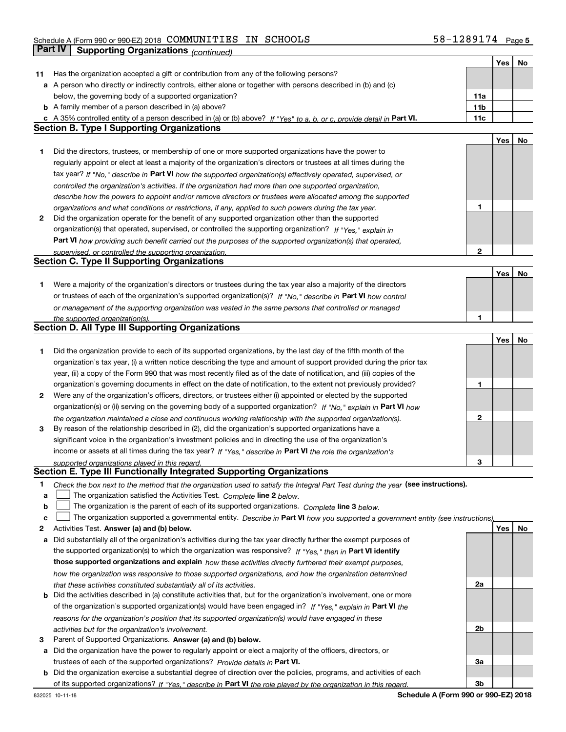## Schedule A (Form 990 or 990-EZ) 2018 Page COMMUNITIES IN SCHOOLS 58-1289174**Part IV | Supporting Organizations** *(continued)*

|    |                                                                                                                                                                                                             |                 | Yes | No |
|----|-------------------------------------------------------------------------------------------------------------------------------------------------------------------------------------------------------------|-----------------|-----|----|
| 11 | Has the organization accepted a gift or contribution from any of the following persons?                                                                                                                     |                 |     |    |
|    | a A person who directly or indirectly controls, either alone or together with persons described in (b) and (c)                                                                                              |                 |     |    |
|    | below, the governing body of a supported organization?                                                                                                                                                      | 11a             |     |    |
|    | <b>b</b> A family member of a person described in (a) above?                                                                                                                                                | 11 <sub>b</sub> |     |    |
|    | c A 35% controlled entity of a person described in (a) or (b) above? If "Yes" to a, b, or c, provide detail in Part VI.                                                                                     | 11c             |     |    |
|    | <b>Section B. Type I Supporting Organizations</b>                                                                                                                                                           |                 |     |    |
|    |                                                                                                                                                                                                             |                 | Yes | No |
| 1  | Did the directors, trustees, or membership of one or more supported organizations have the power to                                                                                                         |                 |     |    |
|    | regularly appoint or elect at least a majority of the organization's directors or trustees at all times during the                                                                                          |                 |     |    |
|    | tax year? If "No," describe in Part VI how the supported organization(s) effectively operated, supervised, or                                                                                               |                 |     |    |
|    | controlled the organization's activities. If the organization had more than one supported organization,                                                                                                     |                 |     |    |
|    | describe how the powers to appoint and/or remove directors or trustees were allocated among the supported                                                                                                   |                 |     |    |
|    | organizations and what conditions or restrictions, if any, applied to such powers during the tax year.                                                                                                      | 1               |     |    |
| 2  | Did the organization operate for the benefit of any supported organization other than the supported                                                                                                         |                 |     |    |
|    |                                                                                                                                                                                                             |                 |     |    |
|    | organization(s) that operated, supervised, or controlled the supporting organization? If "Yes," explain in                                                                                                  |                 |     |    |
|    | Part VI how providing such benefit carried out the purposes of the supported organization(s) that operated,                                                                                                 |                 |     |    |
|    | supervised, or controlled the supporting organization.                                                                                                                                                      | 2               |     |    |
|    | <b>Section C. Type II Supporting Organizations</b>                                                                                                                                                          |                 |     |    |
|    |                                                                                                                                                                                                             |                 | Yes | No |
| 1. | Were a majority of the organization's directors or trustees during the tax year also a majority of the directors                                                                                            |                 |     |    |
|    | or trustees of each of the organization's supported organization(s)? If "No," describe in Part VI how control                                                                                               |                 |     |    |
|    | or management of the supporting organization was vested in the same persons that controlled or managed                                                                                                      |                 |     |    |
|    | the supported organization(s).                                                                                                                                                                              | 1               |     |    |
|    | Section D. All Type III Supporting Organizations                                                                                                                                                            |                 |     |    |
|    |                                                                                                                                                                                                             |                 | Yes | No |
| 1  | Did the organization provide to each of its supported organizations, by the last day of the fifth month of the                                                                                              |                 |     |    |
|    | organization's tax year, (i) a written notice describing the type and amount of support provided during the prior tax                                                                                       |                 |     |    |
|    | year, (ii) a copy of the Form 990 that was most recently filed as of the date of notification, and (iii) copies of the                                                                                      |                 |     |    |
|    | organization's governing documents in effect on the date of notification, to the extent not previously provided?                                                                                            | 1               |     |    |
| 2  | Were any of the organization's officers, directors, or trustees either (i) appointed or elected by the supported                                                                                            |                 |     |    |
|    | organization(s) or (ii) serving on the governing body of a supported organization? If "No," explain in Part VI how                                                                                          |                 |     |    |
|    | the organization maintained a close and continuous working relationship with the supported organization(s).                                                                                                 | 2               |     |    |
| 3  | By reason of the relationship described in (2), did the organization's supported organizations have a                                                                                                       |                 |     |    |
|    | significant voice in the organization's investment policies and in directing the use of the organization's                                                                                                  |                 |     |    |
|    | income or assets at all times during the tax year? If "Yes," describe in Part VI the role the organization's                                                                                                |                 |     |    |
|    | supported organizations played in this regard.                                                                                                                                                              | З               |     |    |
|    | Section E. Type III Functionally Integrated Supporting Organizations                                                                                                                                        |                 |     |    |
| 1  |                                                                                                                                                                                                             |                 |     |    |
|    | Check the box next to the method that the organization used to satisfy the Integral Part Test during the year (see instructions).<br>The organization satisfied the Activities Test. Complete line 2 below. |                 |     |    |
| а  |                                                                                                                                                                                                             |                 |     |    |
| b  | The organization is the parent of each of its supported organizations. Complete line 3 below.                                                                                                               |                 |     |    |
| с  | The organization supported a governmental entity. Describe in Part VI how you supported a government entity (see instructions),                                                                             |                 |     |    |
| 2  | Activities Test. Answer (a) and (b) below.                                                                                                                                                                  |                 | Yes | No |
| а  | Did substantially all of the organization's activities during the tax year directly further the exempt purposes of                                                                                          |                 |     |    |
|    | the supported organization(s) to which the organization was responsive? If "Yes," then in Part VI identify                                                                                                  |                 |     |    |
|    | those supported organizations and explain how these activities directly furthered their exempt purposes,                                                                                                    |                 |     |    |
|    | how the organization was responsive to those supported organizations, and how the organization determined                                                                                                   |                 |     |    |
|    | that these activities constituted substantially all of its activities.                                                                                                                                      | 2a              |     |    |
|    | <b>b</b> Did the activities described in (a) constitute activities that, but for the organization's involvement, one or more                                                                                |                 |     |    |
|    | of the organization's supported organization(s) would have been engaged in? If "Yes," explain in Part VI the                                                                                                |                 |     |    |
|    | reasons for the organization's position that its supported organization(s) would have engaged in these                                                                                                      |                 |     |    |
|    | activities but for the organization's involvement.                                                                                                                                                          | 2b              |     |    |
| 3  | Parent of Supported Organizations. Answer (a) and (b) below.                                                                                                                                                |                 |     |    |
| а  | Did the organization have the power to regularly appoint or elect a majority of the officers, directors, or                                                                                                 |                 |     |    |
|    | trustees of each of the supported organizations? Provide details in Part VI.                                                                                                                                | За              |     |    |
|    | <b>b</b> Did the organization exercise a substantial degree of direction over the policies, programs, and activities of each                                                                                |                 |     |    |
|    | of its supported organizations? If "Yes." describe in Part VI the role played by the organization in this regard.                                                                                           | Зb              |     |    |
|    |                                                                                                                                                                                                             |                 |     |    |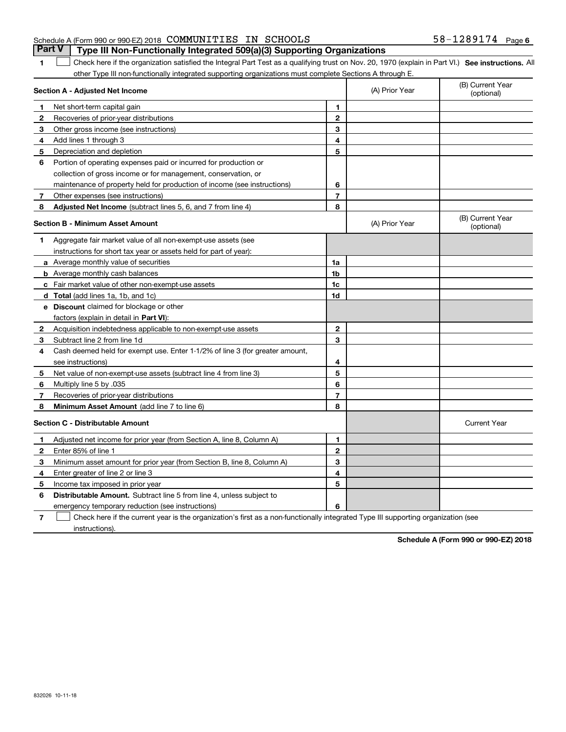#### Schedule A (Form 990 or 990-EZ) 2018 Page COMMUNITIES IN SCHOOLS 58-1289174**Part V Type III Non-Functionally Integrated 509(a)(3) Supporting Organizations**

**1**

**SEP 10. See instructions.** All antegral Part Test as a qualifying trust on Nov. 20, 1970 (explain in Part VI.) See instructions. All other Type III non-functionally integrated supporting organizations must complete Sections A through E.  $\overline{\phantom{0}}$ 

|              | Section A - Adjusted Net Income                                              |                | (A) Prior Year | (B) Current Year<br>(optional) |
|--------------|------------------------------------------------------------------------------|----------------|----------------|--------------------------------|
| 1.           | Net short-term capital gain                                                  | 1              |                |                                |
| 2            | Recoveries of prior-year distributions                                       | $\overline{2}$ |                |                                |
| 3            | Other gross income (see instructions)                                        | 3              |                |                                |
| 4            | Add lines 1 through 3                                                        | 4              |                |                                |
| 5            | Depreciation and depletion                                                   | 5              |                |                                |
| 6            | Portion of operating expenses paid or incurred for production or             |                |                |                                |
|              | collection of gross income or for management, conservation, or               |                |                |                                |
|              | maintenance of property held for production of income (see instructions)     | 6              |                |                                |
| 7            | Other expenses (see instructions)                                            | $\overline{7}$ |                |                                |
| 8            | <b>Adjusted Net Income</b> (subtract lines 5, 6, and 7 from line 4)          | 8              |                |                                |
|              | <b>Section B - Minimum Asset Amount</b>                                      |                | (A) Prior Year | (B) Current Year<br>(optional) |
| 1            | Aggregate fair market value of all non-exempt-use assets (see                |                |                |                                |
|              | instructions for short tax year or assets held for part of year):            |                |                |                                |
|              | a Average monthly value of securities                                        | 1a             |                |                                |
|              | <b>b</b> Average monthly cash balances                                       | 1 <sub>b</sub> |                |                                |
|              | c Fair market value of other non-exempt-use assets                           | 1c             |                |                                |
|              | d Total (add lines 1a, 1b, and 1c)                                           | 1d             |                |                                |
|              | <b>e</b> Discount claimed for blockage or other                              |                |                |                                |
|              | factors (explain in detail in Part VI):                                      |                |                |                                |
| $\mathbf{2}$ | Acquisition indebtedness applicable to non-exempt-use assets                 | $\mathbf{2}$   |                |                                |
| з            | Subtract line 2 from line 1d                                                 | 3              |                |                                |
| 4            | Cash deemed held for exempt use. Enter 1-1/2% of line 3 (for greater amount, |                |                |                                |
|              | see instructions)                                                            | 4              |                |                                |
| 5            | Net value of non-exempt-use assets (subtract line 4 from line 3)             | 5              |                |                                |
| 6            | Multiply line 5 by .035                                                      | 6              |                |                                |
| 7            | Recoveries of prior-year distributions                                       | $\overline{7}$ |                |                                |
| 8            | Minimum Asset Amount (add line 7 to line 6)                                  | 8              |                |                                |
|              | <b>Section C - Distributable Amount</b>                                      |                |                | <b>Current Year</b>            |
| $\mathbf 1$  | Adjusted net income for prior year (from Section A, line 8, Column A)        | 1              |                |                                |
| $\mathbf{2}$ | Enter 85% of line 1                                                          | $\mathbf{2}$   |                |                                |
| 3            | Minimum asset amount for prior year (from Section B, line 8, Column A)       | 3              |                |                                |
| 4            | Enter greater of line 2 or line 3                                            | 4              |                |                                |
| 5            | Income tax imposed in prior year                                             | 5              |                |                                |
| 6            | <b>Distributable Amount.</b> Subtract line 5 from line 4, unless subject to  |                |                |                                |
|              | emergency temporary reduction (see instructions)                             | 6              |                |                                |

**7**Check here if the current year is the organization's first as a non-functionally integrated Type III supporting organization (see instructions).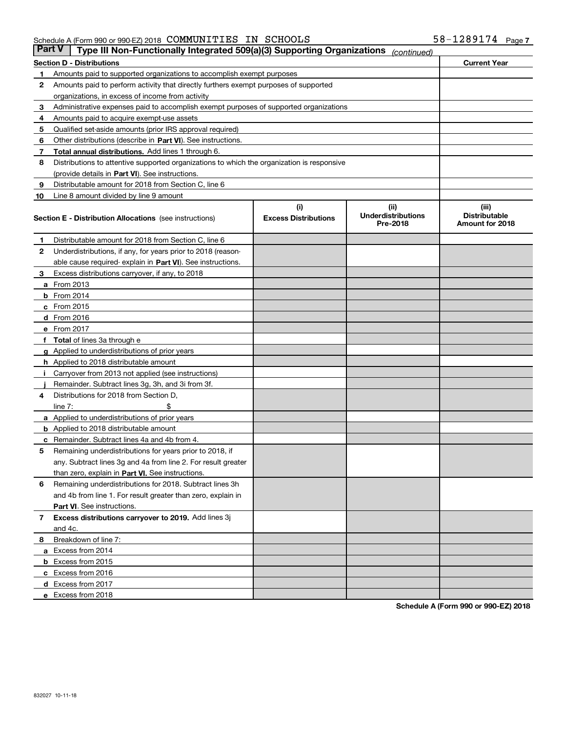| Part V | Type III Non-Functionally Integrated 509(a)(3) Supporting Organizations                    |                             | (continued)                           |                                         |
|--------|--------------------------------------------------------------------------------------------|-----------------------------|---------------------------------------|-----------------------------------------|
|        | Section D - Distributions                                                                  |                             |                                       | <b>Current Year</b>                     |
| 1      | Amounts paid to supported organizations to accomplish exempt purposes                      |                             |                                       |                                         |
| 2      | Amounts paid to perform activity that directly furthers exempt purposes of supported       |                             |                                       |                                         |
|        | organizations, in excess of income from activity                                           |                             |                                       |                                         |
| 3      | Administrative expenses paid to accomplish exempt purposes of supported organizations      |                             |                                       |                                         |
| 4      | Amounts paid to acquire exempt-use assets                                                  |                             |                                       |                                         |
| 5      | Qualified set-aside amounts (prior IRS approval required)                                  |                             |                                       |                                         |
| 6      | Other distributions (describe in Part VI). See instructions.                               |                             |                                       |                                         |
| 7      | Total annual distributions. Add lines 1 through 6.                                         |                             |                                       |                                         |
| 8      | Distributions to attentive supported organizations to which the organization is responsive |                             |                                       |                                         |
|        | (provide details in Part VI). See instructions.                                            |                             |                                       |                                         |
| 9      | Distributable amount for 2018 from Section C, line 6                                       |                             |                                       |                                         |
| 10     | Line 8 amount divided by line 9 amount                                                     |                             |                                       |                                         |
|        |                                                                                            | (i)                         | (ii)                                  | (iii)                                   |
|        | Section E - Distribution Allocations (see instructions)                                    | <b>Excess Distributions</b> | <b>Underdistributions</b><br>Pre-2018 | <b>Distributable</b><br>Amount for 2018 |
| 1      | Distributable amount for 2018 from Section C, line 6                                       |                             |                                       |                                         |
| 2      | Underdistributions, if any, for years prior to 2018 (reason-                               |                             |                                       |                                         |
|        | able cause required- explain in Part VI). See instructions.                                |                             |                                       |                                         |
| з      | Excess distributions carryover, if any, to 2018                                            |                             |                                       |                                         |
|        | <b>a</b> From 2013                                                                         |                             |                                       |                                         |
|        | <b>b</b> From $2014$                                                                       |                             |                                       |                                         |
|        | $c$ From 2015                                                                              |                             |                                       |                                         |
|        | <b>d</b> From 2016                                                                         |                             |                                       |                                         |
|        | e From 2017                                                                                |                             |                                       |                                         |
|        | <b>Total</b> of lines 3a through e                                                         |                             |                                       |                                         |
|        | <b>g</b> Applied to underdistributions of prior years                                      |                             |                                       |                                         |
|        | <b>h</b> Applied to 2018 distributable amount                                              |                             |                                       |                                         |
|        | Carryover from 2013 not applied (see instructions)                                         |                             |                                       |                                         |
|        | Remainder. Subtract lines 3g, 3h, and 3i from 3f.                                          |                             |                                       |                                         |
| 4      | Distributions for 2018 from Section D,                                                     |                             |                                       |                                         |
|        | line $7:$                                                                                  |                             |                                       |                                         |
|        | <b>a</b> Applied to underdistributions of prior years                                      |                             |                                       |                                         |
|        | <b>b</b> Applied to 2018 distributable amount                                              |                             |                                       |                                         |
| c      | Remainder. Subtract lines 4a and 4b from 4.                                                |                             |                                       |                                         |
| 5      | Remaining underdistributions for years prior to 2018, if                                   |                             |                                       |                                         |
|        | any. Subtract lines 3g and 4a from line 2. For result greater                              |                             |                                       |                                         |
|        | than zero, explain in Part VI. See instructions.                                           |                             |                                       |                                         |
| 6      | Remaining underdistributions for 2018. Subtract lines 3h                                   |                             |                                       |                                         |
|        | and 4b from line 1. For result greater than zero, explain in                               |                             |                                       |                                         |
|        | <b>Part VI.</b> See instructions.                                                          |                             |                                       |                                         |
| 7      | Excess distributions carryover to 2019. Add lines 3j                                       |                             |                                       |                                         |
|        | and 4c.                                                                                    |                             |                                       |                                         |
| 8      | Breakdown of line 7:                                                                       |                             |                                       |                                         |
|        | a Excess from 2014                                                                         |                             |                                       |                                         |
|        | <b>b</b> Excess from 2015                                                                  |                             |                                       |                                         |
|        | c Excess from 2016                                                                         |                             |                                       |                                         |
|        | d Excess from 2017                                                                         |                             |                                       |                                         |
|        | e Excess from 2018                                                                         |                             |                                       |                                         |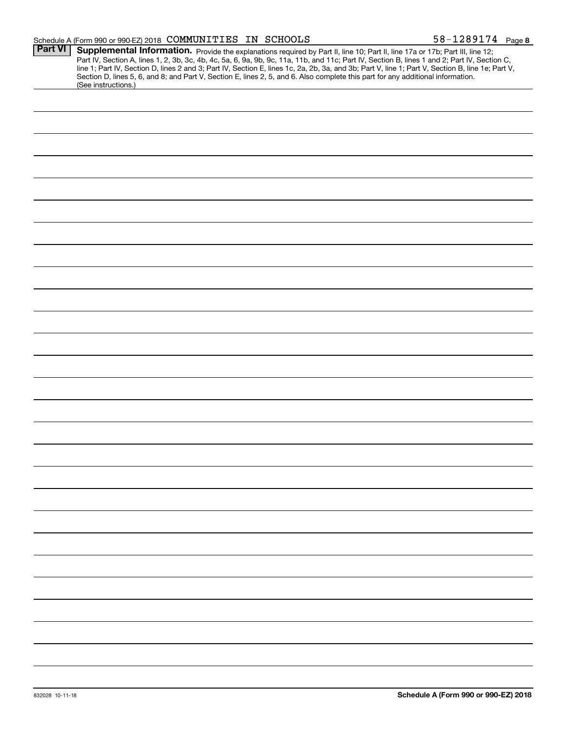|                | SCIEDULE A (FOIII 990 OF 990-EZ) ZUTO COMMONATILIS IN BOILOOMB<br>OU LAUJIT Faye o                                                                                                                                                                                                                                                                                                                                                                                                                                                                                   |
|----------------|----------------------------------------------------------------------------------------------------------------------------------------------------------------------------------------------------------------------------------------------------------------------------------------------------------------------------------------------------------------------------------------------------------------------------------------------------------------------------------------------------------------------------------------------------------------------|
| <b>Part VI</b> | Supplemental Information. Provide the explanations required by Part II, line 10; Part II, line 17a or 17b; Part III, line 12;<br>Part IV, Section A, lines 1, 2, 3b, 3c, 4b, 4c, 5a, 6, 9a, 9b, 9c, 11a, 11b, and 11c; Part IV, Section B, lines 1 and 2; Part IV, Section C,<br>line 1; Part IV, Section D, lines 2 and 3; Part IV, Section E, lines 1c, 2a, 2b, 3a, and 3b; Part V, line 1; Part V, Section B, line 1e; Part V,<br>Section D, lines 5, 6, and 8; and Part V, Section E, lines 2, 5, and 6. Also complete this part for any additional information. |
|                | (See instructions.)                                                                                                                                                                                                                                                                                                                                                                                                                                                                                                                                                  |
|                |                                                                                                                                                                                                                                                                                                                                                                                                                                                                                                                                                                      |
|                |                                                                                                                                                                                                                                                                                                                                                                                                                                                                                                                                                                      |
|                |                                                                                                                                                                                                                                                                                                                                                                                                                                                                                                                                                                      |
|                |                                                                                                                                                                                                                                                                                                                                                                                                                                                                                                                                                                      |
|                |                                                                                                                                                                                                                                                                                                                                                                                                                                                                                                                                                                      |
|                |                                                                                                                                                                                                                                                                                                                                                                                                                                                                                                                                                                      |
|                |                                                                                                                                                                                                                                                                                                                                                                                                                                                                                                                                                                      |
|                |                                                                                                                                                                                                                                                                                                                                                                                                                                                                                                                                                                      |
|                |                                                                                                                                                                                                                                                                                                                                                                                                                                                                                                                                                                      |
|                |                                                                                                                                                                                                                                                                                                                                                                                                                                                                                                                                                                      |
|                |                                                                                                                                                                                                                                                                                                                                                                                                                                                                                                                                                                      |
|                |                                                                                                                                                                                                                                                                                                                                                                                                                                                                                                                                                                      |
|                |                                                                                                                                                                                                                                                                                                                                                                                                                                                                                                                                                                      |
|                |                                                                                                                                                                                                                                                                                                                                                                                                                                                                                                                                                                      |
|                |                                                                                                                                                                                                                                                                                                                                                                                                                                                                                                                                                                      |
|                |                                                                                                                                                                                                                                                                                                                                                                                                                                                                                                                                                                      |
|                |                                                                                                                                                                                                                                                                                                                                                                                                                                                                                                                                                                      |
|                |                                                                                                                                                                                                                                                                                                                                                                                                                                                                                                                                                                      |
|                |                                                                                                                                                                                                                                                                                                                                                                                                                                                                                                                                                                      |
|                |                                                                                                                                                                                                                                                                                                                                                                                                                                                                                                                                                                      |
|                |                                                                                                                                                                                                                                                                                                                                                                                                                                                                                                                                                                      |
|                |                                                                                                                                                                                                                                                                                                                                                                                                                                                                                                                                                                      |
|                |                                                                                                                                                                                                                                                                                                                                                                                                                                                                                                                                                                      |
|                |                                                                                                                                                                                                                                                                                                                                                                                                                                                                                                                                                                      |
|                |                                                                                                                                                                                                                                                                                                                                                                                                                                                                                                                                                                      |
|                |                                                                                                                                                                                                                                                                                                                                                                                                                                                                                                                                                                      |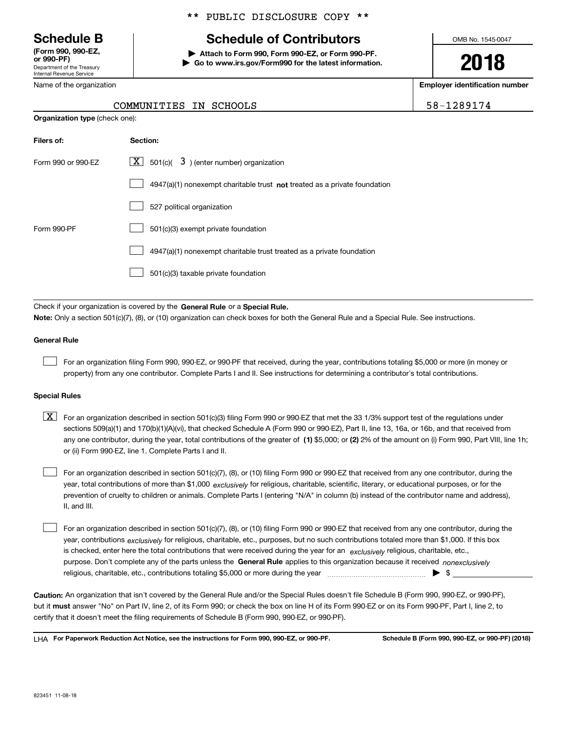Department of the Treasury Internal Revenue Service **(Form 990, 990-EZ, or 990-PF)**

\*\* PUBLIC DISCLOSURE COPY \*\*

# **Schedule B Schedule of Contributors**

**| Attach to Form 990, Form 990-EZ, or Form 990-PF. | Go to www.irs.gov/Form990 for the latest information.** OMB No. 1545-0047

**2018**

**Employer identification number**

| 8-1289174 |  |
|-----------|--|
|-----------|--|

| Department of the Treasury<br>Internal Revenue Service |
|--------------------------------------------------------|
| Name of the organization                               |

**Organization type** (check one):

#### COMMUNITIES IN SCHOOLS 35-1289174 1289174

| Filers of:         | Section:                                                                           |
|--------------------|------------------------------------------------------------------------------------|
| Form 990 or 990-EZ | $3$ ) (enter number) organization<br>$X$ 501(c)(                                   |
|                    | $4947(a)(1)$ nonexempt charitable trust <b>not</b> treated as a private foundation |
|                    | 527 political organization                                                         |
| Form 990-PF        | 501(c)(3) exempt private foundation                                                |
|                    | 4947(a)(1) nonexempt charitable trust treated as a private foundation              |
|                    | 501(c)(3) taxable private foundation                                               |

Check if your organization is covered by the **General Rule** or a **Special Rule. Note:**  Only a section 501(c)(7), (8), or (10) organization can check boxes for both the General Rule and a Special Rule. See instructions.

#### **General Rule**

 $\mathcal{L}^{\text{max}}$ 

For an organization filing Form 990, 990-EZ, or 990-PF that received, during the year, contributions totaling \$5,000 or more (in money or property) from any one contributor. Complete Parts I and II. See instructions for determining a contributor's total contributions.

#### **Special Rules**

any one contributor, during the year, total contributions of the greater of  $\,$  (1) \$5,000; or **(2)** 2% of the amount on (i) Form 990, Part VIII, line 1h;  $\boxed{\textbf{X}}$  For an organization described in section 501(c)(3) filing Form 990 or 990-EZ that met the 33 1/3% support test of the regulations under sections 509(a)(1) and 170(b)(1)(A)(vi), that checked Schedule A (Form 990 or 990-EZ), Part II, line 13, 16a, or 16b, and that received from or (ii) Form 990-EZ, line 1. Complete Parts I and II.

year, total contributions of more than \$1,000 *exclusively* for religious, charitable, scientific, literary, or educational purposes, or for the For an organization described in section 501(c)(7), (8), or (10) filing Form 990 or 990-EZ that received from any one contributor, during the prevention of cruelty to children or animals. Complete Parts I (entering "N/A" in column (b) instead of the contributor name and address), II, and III.  $\mathcal{L}^{\text{max}}$ 

purpose. Don't complete any of the parts unless the **General Rule** applies to this organization because it received *nonexclusively* year, contributions <sub>exclusively</sub> for religious, charitable, etc., purposes, but no such contributions totaled more than \$1,000. If this box is checked, enter here the total contributions that were received during the year for an  $\;$ exclusively religious, charitable, etc., For an organization described in section 501(c)(7), (8), or (10) filing Form 990 or 990-EZ that received from any one contributor, during the religious, charitable, etc., contributions totaling \$5,000 or more during the year  $\Box$ — $\Box$   $\Box$  $\mathcal{L}^{\text{max}}$ 

**Caution:**  An organization that isn't covered by the General Rule and/or the Special Rules doesn't file Schedule B (Form 990, 990-EZ, or 990-PF),  **must** but it answer "No" on Part IV, line 2, of its Form 990; or check the box on line H of its Form 990-EZ or on its Form 990-PF, Part I, line 2, to certify that it doesn't meet the filing requirements of Schedule B (Form 990, 990-EZ, or 990-PF).

**For Paperwork Reduction Act Notice, see the instructions for Form 990, 990-EZ, or 990-PF. Schedule B (Form 990, 990-EZ, or 990-PF) (2018)** LHA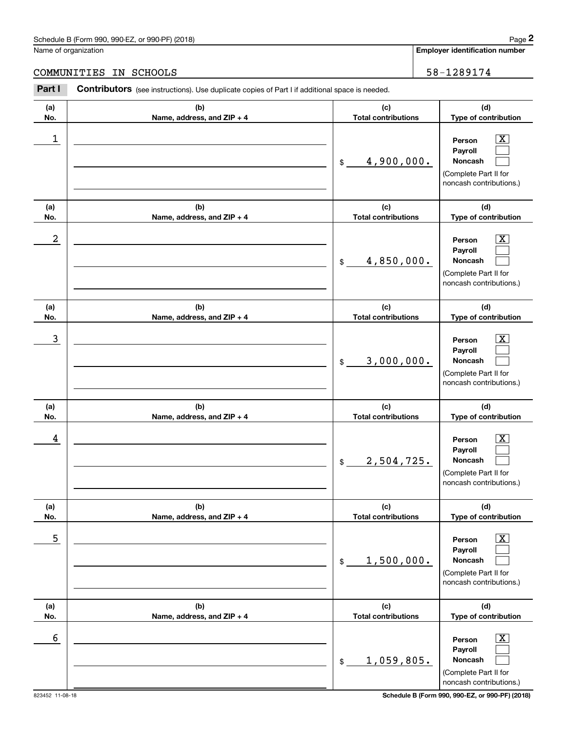|                  | Schedule B (Form 990, 990-EZ, or 990-PF) (2018)                                                       |                                   | Page 2                                                                                                      |
|------------------|-------------------------------------------------------------------------------------------------------|-----------------------------------|-------------------------------------------------------------------------------------------------------------|
|                  | Name of organization                                                                                  |                                   | <b>Employer identification number</b>                                                                       |
|                  | COMMUNITIES<br>IN SCHOOLS                                                                             |                                   | 58-1289174                                                                                                  |
| Part I           | <b>Contributors</b> (see instructions). Use duplicate copies of Part I if additional space is needed. |                                   |                                                                                                             |
| (a)<br>No.       | (b)<br>Name, address, and ZIP + 4                                                                     | (c)<br><b>Total contributions</b> | (d)<br>Type of contribution                                                                                 |
| $\mathbf 1$      |                                                                                                       | 4,900,000.<br>$$\mathbb{S}$$      | $\overline{\mathbf{X}}$<br>Person<br>Payroll<br>Noncash<br>(Complete Part II for<br>noncash contributions.) |
| (a)<br>No.       | (b)<br>Name, address, and ZIP + 4                                                                     | (c)<br><b>Total contributions</b> | (d)<br>Type of contribution                                                                                 |
| $\boldsymbol{2}$ |                                                                                                       | 4,850,000.<br>$\$\$               | $\overline{\mathbf{X}}$<br>Person<br>Payroll<br>Noncash<br>(Complete Part II for<br>noncash contributions.) |
| (a)<br>No.       | (b)<br>Name, address, and ZIP + 4                                                                     | (c)<br><b>Total contributions</b> | (d)<br>Type of contribution                                                                                 |
| $\mathbf{3}$     |                                                                                                       | 3,000,000.<br>$$\mathbb{S}$$      | $\overline{\mathbf{X}}$<br>Person<br>Payroll<br>Noncash<br>(Complete Part II for<br>noncash contributions.) |
| (a)<br>No.       | (b)<br>Name, address, and ZIP + 4                                                                     | (c)<br><b>Total contributions</b> | (d)<br>Type of contribution                                                                                 |
| 4                |                                                                                                       | 2,504,725.<br>$$\mathbb{S}$$      | $\mathbf{X}$<br>Person<br>Payroll<br>Noncash<br>(Complete Part II for<br>noncash contributions.)            |
| (a)<br>No.       | (b)<br>Name, address, and ZIP + 4                                                                     | (c)<br><b>Total contributions</b> | (d)<br>Type of contribution                                                                                 |
| 5                |                                                                                                       | 1,500,000.<br>\$                  | $\overline{\mathbf{X}}$<br>Person<br>Payroll<br>Noncash<br>(Complete Part II for<br>noncash contributions.) |
| (a)<br>No.       | (b)<br>Name, address, and ZIP + 4                                                                     | (c)<br><b>Total contributions</b> | (d)<br>Type of contribution                                                                                 |
| 6                |                                                                                                       | 1,059,805.<br>\$                  | $\overline{\mathbf{X}}$<br>Person<br>Payroll<br>Noncash<br>(Complete Part II for<br>noncash contributions.) |

823452 11-08-18 **Schedule B (Form 990, 990-EZ, or 990-PF) (2018)**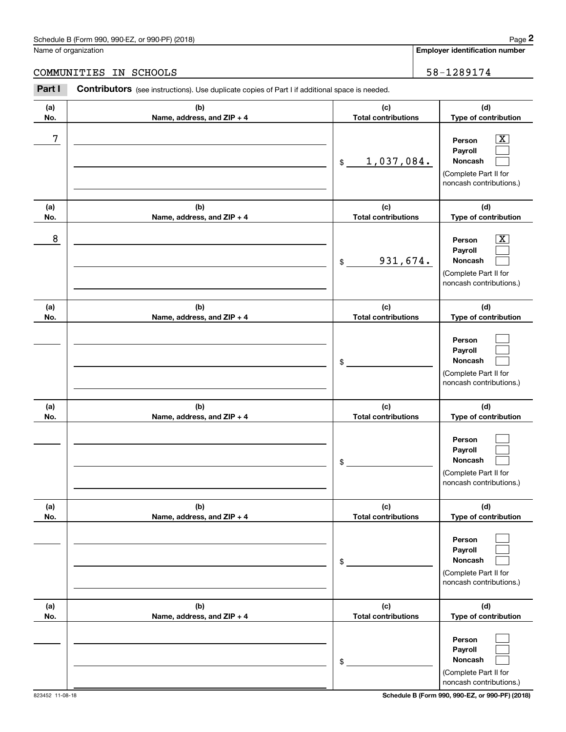|            | Schedule B (Form 990, 990-EZ, or 990-PF) (2018)                                                |                                   | Page 2                                                                                                      |
|------------|------------------------------------------------------------------------------------------------|-----------------------------------|-------------------------------------------------------------------------------------------------------------|
|            | Name of organization                                                                           |                                   | <b>Employer identification number</b>                                                                       |
|            | COMMUNITIES<br>IN SCHOOLS                                                                      |                                   | 58-1289174                                                                                                  |
| Part I     | Contributors (see instructions). Use duplicate copies of Part I if additional space is needed. |                                   |                                                                                                             |
| (a)<br>No. | (b)<br>Name, address, and ZIP + 4                                                              | (c)<br><b>Total contributions</b> | (d)<br>Type of contribution                                                                                 |
| 7          |                                                                                                | 1,037,084.<br>\$                  | $\overline{\mathbf{X}}$<br>Person<br>Payroll<br>Noncash<br>(Complete Part II for<br>noncash contributions.) |
| (a)<br>No. | (b)<br>Name, address, and ZIP + 4                                                              | (c)<br><b>Total contributions</b> | (d)<br>Type of contribution                                                                                 |
| 8          |                                                                                                | 931,674.<br>\$                    | $\overline{\mathbf{X}}$<br>Person<br>Payroll<br>Noncash<br>(Complete Part II for<br>noncash contributions.) |
| (a)<br>No. | (b)<br>Name, address, and ZIP + 4                                                              | (c)<br><b>Total contributions</b> | (d)<br>Type of contribution                                                                                 |
|            |                                                                                                | \$                                | Person<br>Payroll<br>Noncash<br>(Complete Part II for<br>noncash contributions.)                            |
| (a)<br>No. | (b)<br>Name, address, and ZIP + 4                                                              | (c)<br><b>Total contributions</b> | (d)<br>Type of contribution                                                                                 |
|            |                                                                                                | \$                                | Person<br>Payroll<br>Noncash<br>(Complete Part II for<br>noncash contributions.)                            |
| (a)<br>No. | (b)<br>Name, address, and ZIP + 4                                                              | (c)<br><b>Total contributions</b> | (d)<br>Type of contribution                                                                                 |
|            |                                                                                                | \$                                | Person<br>Payroll<br>Noncash<br>(Complete Part II for<br>noncash contributions.)                            |
| (a)<br>No. | (b)<br>Name, address, and ZIP + 4                                                              | (c)<br><b>Total contributions</b> | (d)<br>Type of contribution                                                                                 |
|            |                                                                                                | \$                                | Person<br>Payroll<br>Noncash<br>(Complete Part II for<br>noncash contributions.)                            |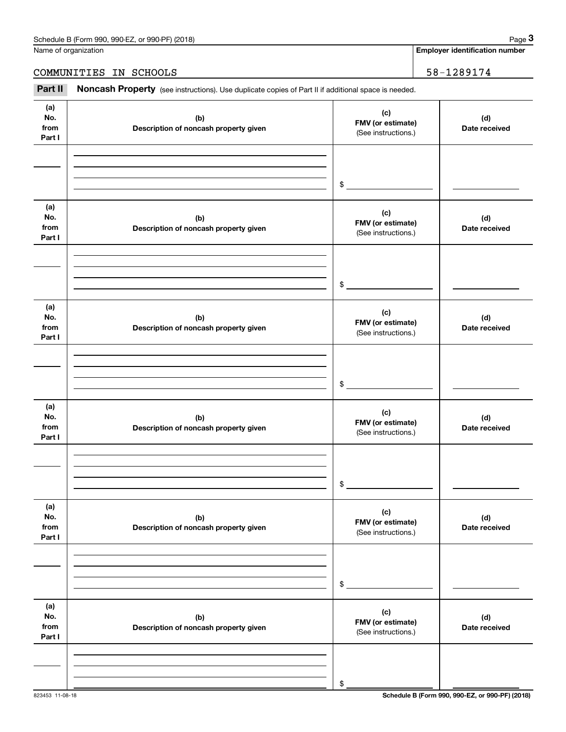Name of organization

#### COMMUNITIES IN SCHOOLS 38-1289174

Chedule B (Form 990, 990-EZ, or 990-PF) (2018)<br>
Iame of organization<br> **20 COMMUNITIES IN SCHOOLS**<br> **Part II Noncash Property** (see instructions). Use duplicate copies of Part II if additional space is needed.

| (b)<br>Description of noncash property given | (c)<br>FMV (or estimate)<br>(See instructions.) | (d)<br>Date received |
|----------------------------------------------|-------------------------------------------------|----------------------|
|                                              | $\frac{1}{2}$                                   |                      |
| (b)<br>Description of noncash property given | (c)<br>FMV (or estimate)<br>(See instructions.) | (d)<br>Date received |
|                                              | $$^{\circ}$                                     |                      |
| (b)<br>Description of noncash property given | (c)<br>FMV (or estimate)<br>(See instructions.) | (d)<br>Date received |
|                                              | $$^{\circ}$                                     |                      |
| (b)<br>Description of noncash property given | (c)<br>FMV (or estimate)<br>(See instructions.) | (d)<br>Date received |
|                                              | \$                                              |                      |
| (b)<br>Description of noncash property given | (c)<br>FMV (or estimate)<br>(See instructions.) | (d)<br>Date received |
|                                              | \$                                              |                      |
| (b)<br>Description of noncash property given | (c)<br>FMV (or estimate)<br>(See instructions.) | (d)<br>Date received |
|                                              | \$                                              |                      |
|                                              |                                                 |                      |

823453 11-08-18 **Schedule B (Form 990, 990-EZ, or 990-PF) (2018)**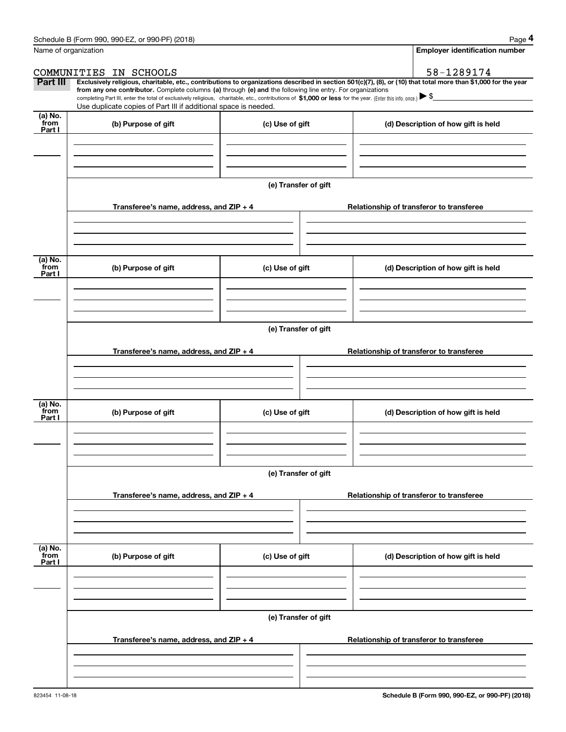|                           | Schedule B (Form 990, 990-EZ, or 990-PF) (2018)                                                                                                                                   |                      | Page 4                                                                                                                                                         |
|---------------------------|-----------------------------------------------------------------------------------------------------------------------------------------------------------------------------------|----------------------|----------------------------------------------------------------------------------------------------------------------------------------------------------------|
|                           | Name of organization                                                                                                                                                              |                      | <b>Employer identification number</b>                                                                                                                          |
|                           | COMMUNITIES IN SCHOOLS                                                                                                                                                            |                      | 58-1289174                                                                                                                                                     |
| Part III                  | from any one contributor. Complete columns (a) through (e) and the following line entry. For organizations                                                                        |                      | Exclusively religious, charitable, etc., contributions to organizations described in section 501(c)(7), (8), or (10) that total more than \$1,000 for the year |
|                           | completing Part III, enter the total of exclusively religious, charitable, etc., contributions of \$1,000 or less for the year. (Enter this info. once.) $\blacktriangleright$ \$ |                      |                                                                                                                                                                |
| (a) No.                   | Use duplicate copies of Part III if additional space is needed.                                                                                                                   |                      |                                                                                                                                                                |
| from<br>Part I            | (b) Purpose of gift                                                                                                                                                               | (c) Use of gift      | (d) Description of how gift is held                                                                                                                            |
|                           |                                                                                                                                                                                   |                      |                                                                                                                                                                |
|                           |                                                                                                                                                                                   |                      |                                                                                                                                                                |
|                           |                                                                                                                                                                                   |                      |                                                                                                                                                                |
|                           |                                                                                                                                                                                   | (e) Transfer of gift |                                                                                                                                                                |
|                           | Transferee's name, address, and ZIP + 4                                                                                                                                           |                      | Relationship of transferor to transferee                                                                                                                       |
|                           |                                                                                                                                                                                   |                      |                                                                                                                                                                |
|                           |                                                                                                                                                                                   |                      |                                                                                                                                                                |
|                           |                                                                                                                                                                                   |                      |                                                                                                                                                                |
| (a) No.<br>from<br>Part I | (b) Purpose of gift                                                                                                                                                               | (c) Use of gift      | (d) Description of how gift is held                                                                                                                            |
|                           |                                                                                                                                                                                   |                      |                                                                                                                                                                |
|                           |                                                                                                                                                                                   |                      |                                                                                                                                                                |
|                           |                                                                                                                                                                                   |                      |                                                                                                                                                                |
|                           |                                                                                                                                                                                   | (e) Transfer of gift |                                                                                                                                                                |
|                           | Transferee's name, address, and ZIP + 4                                                                                                                                           |                      | Relationship of transferor to transferee                                                                                                                       |
|                           |                                                                                                                                                                                   |                      |                                                                                                                                                                |
|                           |                                                                                                                                                                                   |                      |                                                                                                                                                                |
|                           |                                                                                                                                                                                   |                      |                                                                                                                                                                |
| (a) No.<br>from           | (b) Purpose of gift                                                                                                                                                               | (c) Use of gift      | (d) Description of how gift is held                                                                                                                            |
| Part I                    |                                                                                                                                                                                   |                      |                                                                                                                                                                |
|                           |                                                                                                                                                                                   |                      |                                                                                                                                                                |
|                           |                                                                                                                                                                                   |                      |                                                                                                                                                                |
|                           |                                                                                                                                                                                   | (e) Transfer of gift |                                                                                                                                                                |
|                           |                                                                                                                                                                                   |                      |                                                                                                                                                                |
|                           | Transferee's name, address, and $ZIP + 4$                                                                                                                                         |                      | Relationship of transferor to transferee                                                                                                                       |
|                           |                                                                                                                                                                                   |                      |                                                                                                                                                                |
|                           |                                                                                                                                                                                   |                      |                                                                                                                                                                |
|                           |                                                                                                                                                                                   |                      |                                                                                                                                                                |
| (a) No.<br>from<br>Part I | (b) Purpose of gift                                                                                                                                                               | (c) Use of gift      | (d) Description of how gift is held                                                                                                                            |
|                           |                                                                                                                                                                                   |                      |                                                                                                                                                                |
|                           |                                                                                                                                                                                   |                      |                                                                                                                                                                |
|                           |                                                                                                                                                                                   |                      |                                                                                                                                                                |
|                           |                                                                                                                                                                                   | (e) Transfer of gift |                                                                                                                                                                |
|                           | Transferee's name, address, and $ZIP + 4$                                                                                                                                         |                      | Relationship of transferor to transferee                                                                                                                       |
|                           |                                                                                                                                                                                   |                      |                                                                                                                                                                |
|                           |                                                                                                                                                                                   |                      |                                                                                                                                                                |
|                           |                                                                                                                                                                                   |                      |                                                                                                                                                                |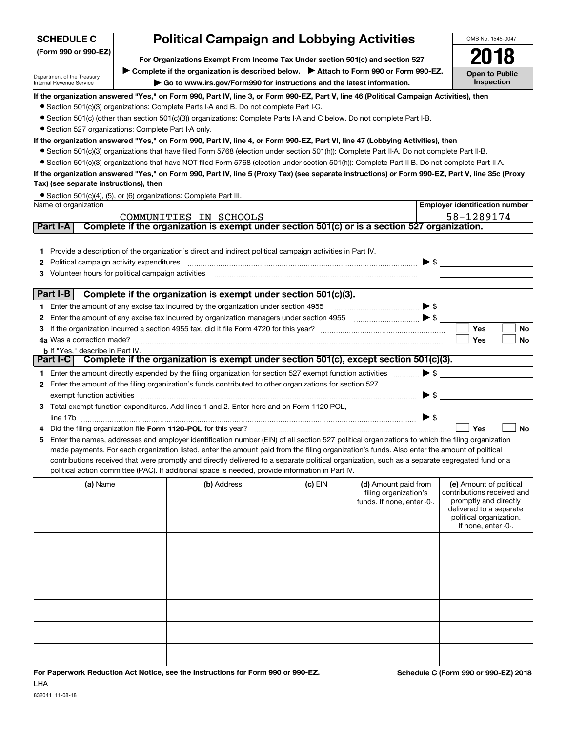| <b>SCHEDULE C</b>                                      | <b>Political Campaign and Lobbying Activities</b>                                                                                                                                                                                                                                              |           |                                                                                                                                                                                                                                                                                                                                                                             | OMB No. 1545-0047                                |
|--------------------------------------------------------|------------------------------------------------------------------------------------------------------------------------------------------------------------------------------------------------------------------------------------------------------------------------------------------------|-----------|-----------------------------------------------------------------------------------------------------------------------------------------------------------------------------------------------------------------------------------------------------------------------------------------------------------------------------------------------------------------------------|--------------------------------------------------|
| (Form 990 or 990-EZ)                                   |                                                                                                                                                                                                                                                                                                |           |                                                                                                                                                                                                                                                                                                                                                                             |                                                  |
|                                                        | For Organizations Exempt From Income Tax Under section 501(c) and section 527                                                                                                                                                                                                                  |           |                                                                                                                                                                                                                                                                                                                                                                             |                                                  |
| Department of the Treasury                             | ► Complete if the organization is described below. ► Attach to Form 990 or Form 990-EZ.                                                                                                                                                                                                        |           |                                                                                                                                                                                                                                                                                                                                                                             | <b>Open to Public</b>                            |
| Internal Revenue Service                               | Go to www.irs.gov/Form990 for instructions and the latest information.                                                                                                                                                                                                                         |           |                                                                                                                                                                                                                                                                                                                                                                             | Inspection                                       |
|                                                        | If the organization answered "Yes," on Form 990, Part IV, line 3, or Form 990-EZ, Part V, line 46 (Political Campaign Activities), then                                                                                                                                                        |           |                                                                                                                                                                                                                                                                                                                                                                             |                                                  |
|                                                        | • Section 501(c)(3) organizations: Complete Parts I-A and B. Do not complete Part I-C.                                                                                                                                                                                                         |           |                                                                                                                                                                                                                                                                                                                                                                             |                                                  |
|                                                        | • Section 501(c) (other than section 501(c)(3)) organizations: Complete Parts I-A and C below. Do not complete Part I-B.                                                                                                                                                                       |           |                                                                                                                                                                                                                                                                                                                                                                             |                                                  |
| • Section 527 organizations: Complete Part I-A only.   | If the organization answered "Yes," on Form 990, Part IV, line 4, or Form 990-EZ, Part VI, line 47 (Lobbying Activities), then                                                                                                                                                                 |           |                                                                                                                                                                                                                                                                                                                                                                             |                                                  |
|                                                        | ● Section 501(c)(3) organizations that have filed Form 5768 (election under section 501(h)): Complete Part II-A. Do not complete Part II-B.                                                                                                                                                    |           |                                                                                                                                                                                                                                                                                                                                                                             |                                                  |
|                                                        | • Section 501(c)(3) organizations that have NOT filed Form 5768 (election under section 501(h)): Complete Part II-B. Do not complete Part II-A.                                                                                                                                                |           |                                                                                                                                                                                                                                                                                                                                                                             |                                                  |
|                                                        | If the organization answered "Yes," on Form 990, Part IV, line 5 (Proxy Tax) (see separate instructions) or Form 990-EZ, Part V, line 35c (Proxy                                                                                                                                               |           |                                                                                                                                                                                                                                                                                                                                                                             |                                                  |
| Tax) (see separate instructions), then                 |                                                                                                                                                                                                                                                                                                |           |                                                                                                                                                                                                                                                                                                                                                                             |                                                  |
|                                                        | • Section 501(c)(4), (5), or (6) organizations: Complete Part III.                                                                                                                                                                                                                             |           |                                                                                                                                                                                                                                                                                                                                                                             |                                                  |
| Name of organization                                   |                                                                                                                                                                                                                                                                                                |           |                                                                                                                                                                                                                                                                                                                                                                             | <b>Employer identification number</b>            |
|                                                        | COMMUNITIES IN SCHOOLS                                                                                                                                                                                                                                                                         |           |                                                                                                                                                                                                                                                                                                                                                                             | 58-1289174                                       |
| Part I-A                                               | Complete if the organization is exempt under section 501(c) or is a section 527 organization.                                                                                                                                                                                                  |           |                                                                                                                                                                                                                                                                                                                                                                             |                                                  |
|                                                        |                                                                                                                                                                                                                                                                                                |           |                                                                                                                                                                                                                                                                                                                                                                             |                                                  |
|                                                        | 1 Provide a description of the organization's direct and indirect political campaign activities in Part IV.                                                                                                                                                                                    |           |                                                                                                                                                                                                                                                                                                                                                                             |                                                  |
| Political campaign activity expenditures<br>2          |                                                                                                                                                                                                                                                                                                |           |                                                                                                                                                                                                                                                                                                                                                                             | $\blacktriangleright$ \$                         |
| Volunteer hours for political campaign activities<br>З |                                                                                                                                                                                                                                                                                                |           |                                                                                                                                                                                                                                                                                                                                                                             |                                                  |
| Part I-B                                               | Complete if the organization is exempt under section 501(c)(3).                                                                                                                                                                                                                                |           |                                                                                                                                                                                                                                                                                                                                                                             |                                                  |
|                                                        | 1 Enter the amount of any excise tax incurred by the organization under section 4955                                                                                                                                                                                                           |           | $\begin{picture}(20,10) \put(0,0){\vector(1,0){10}} \put(15,0){\vector(1,0){10}} \put(15,0){\vector(1,0){10}} \put(15,0){\vector(1,0){10}} \put(15,0){\vector(1,0){10}} \put(15,0){\vector(1,0){10}} \put(15,0){\vector(1,0){10}} \put(15,0){\vector(1,0){10}} \put(15,0){\vector(1,0){10}} \put(15,0){\vector(1,0){10}} \put(15,0){\vector(1,0){10}} \put(15,0){\vector(1$ |                                                  |
| 2                                                      | Enter the amount of any excise tax incurred by organization managers under section 4955                                                                                                                                                                                                        |           | $\begin{picture}(20,10) \put(0,0){\line(1,0){10}} \put(15,0){\line(1,0){10}} \put(15,0){\line(1,0){10}} \put(15,0){\line(1,0){10}} \put(15,0){\line(1,0){10}} \put(15,0){\line(1,0){10}} \put(15,0){\line(1,0){10}} \put(15,0){\line(1,0){10}} \put(15,0){\line(1,0){10}} \put(15,0){\line(1,0){10}} \put(15,0){\line(1,0){10}} \put(15,0){\line(1$                         |                                                  |
| З                                                      |                                                                                                                                                                                                                                                                                                |           |                                                                                                                                                                                                                                                                                                                                                                             | <b>Yes</b><br><b>No</b>                          |
|                                                        |                                                                                                                                                                                                                                                                                                |           |                                                                                                                                                                                                                                                                                                                                                                             | Yes<br>No                                        |
| <b>b</b> If "Yes," describe in Part IV.                |                                                                                                                                                                                                                                                                                                |           |                                                                                                                                                                                                                                                                                                                                                                             |                                                  |
| <b>Part I-C</b>                                        | Complete if the organization is exempt under section $501(c)$ , except section $501(c)(3)$ .                                                                                                                                                                                                   |           |                                                                                                                                                                                                                                                                                                                                                                             |                                                  |
|                                                        | 1 Enter the amount directly expended by the filing organization for section 527 exempt function activities                                                                                                                                                                                     |           |                                                                                                                                                                                                                                                                                                                                                                             | $\blacktriangleright$ \$                         |
|                                                        | 2 Enter the amount of the filing organization's funds contributed to other organizations for section 527                                                                                                                                                                                       |           |                                                                                                                                                                                                                                                                                                                                                                             |                                                  |
| exempt function activities                             |                                                                                                                                                                                                                                                                                                |           | $\triangleright$ \$                                                                                                                                                                                                                                                                                                                                                         |                                                  |
|                                                        | 3 Total exempt function expenditures. Add lines 1 and 2. Enter here and on Form 1120-POL,                                                                                                                                                                                                      |           |                                                                                                                                                                                                                                                                                                                                                                             |                                                  |
|                                                        |                                                                                                                                                                                                                                                                                                |           | $\blacktriangleright$ \$                                                                                                                                                                                                                                                                                                                                                    |                                                  |
|                                                        |                                                                                                                                                                                                                                                                                                |           |                                                                                                                                                                                                                                                                                                                                                                             | Yes<br><b>No</b>                                 |
| 5                                                      | Enter the names, addresses and employer identification number (EIN) of all section 527 political organizations to which the filing organization<br>made payments. For each organization listed, enter the amount paid from the filing organization's funds. Also enter the amount of political |           |                                                                                                                                                                                                                                                                                                                                                                             |                                                  |
|                                                        | contributions received that were promptly and directly delivered to a separate political organization, such as a separate segregated fund or a                                                                                                                                                 |           |                                                                                                                                                                                                                                                                                                                                                                             |                                                  |
|                                                        | political action committee (PAC). If additional space is needed, provide information in Part IV.                                                                                                                                                                                               |           |                                                                                                                                                                                                                                                                                                                                                                             |                                                  |
| (a) Name                                               | (b) Address                                                                                                                                                                                                                                                                                    | $(c)$ EIN | (d) Amount paid from                                                                                                                                                                                                                                                                                                                                                        | (e) Amount of political                          |
|                                                        |                                                                                                                                                                                                                                                                                                |           | filing organization's                                                                                                                                                                                                                                                                                                                                                       | contributions received and                       |
|                                                        |                                                                                                                                                                                                                                                                                                |           | funds. If none, enter -0-.                                                                                                                                                                                                                                                                                                                                                  | promptly and directly<br>delivered to a separate |
|                                                        |                                                                                                                                                                                                                                                                                                |           |                                                                                                                                                                                                                                                                                                                                                                             | political organization.                          |
|                                                        |                                                                                                                                                                                                                                                                                                |           |                                                                                                                                                                                                                                                                                                                                                                             | If none, enter -0-.                              |
|                                                        |                                                                                                                                                                                                                                                                                                |           |                                                                                                                                                                                                                                                                                                                                                                             |                                                  |
|                                                        |                                                                                                                                                                                                                                                                                                |           |                                                                                                                                                                                                                                                                                                                                                                             |                                                  |
|                                                        |                                                                                                                                                                                                                                                                                                |           |                                                                                                                                                                                                                                                                                                                                                                             |                                                  |
|                                                        |                                                                                                                                                                                                                                                                                                |           |                                                                                                                                                                                                                                                                                                                                                                             |                                                  |
|                                                        |                                                                                                                                                                                                                                                                                                |           |                                                                                                                                                                                                                                                                                                                                                                             |                                                  |
|                                                        |                                                                                                                                                                                                                                                                                                |           |                                                                                                                                                                                                                                                                                                                                                                             |                                                  |
|                                                        |                                                                                                                                                                                                                                                                                                |           |                                                                                                                                                                                                                                                                                                                                                                             |                                                  |
|                                                        |                                                                                                                                                                                                                                                                                                |           |                                                                                                                                                                                                                                                                                                                                                                             |                                                  |
|                                                        |                                                                                                                                                                                                                                                                                                |           |                                                                                                                                                                                                                                                                                                                                                                             |                                                  |
|                                                        |                                                                                                                                                                                                                                                                                                |           |                                                                                                                                                                                                                                                                                                                                                                             |                                                  |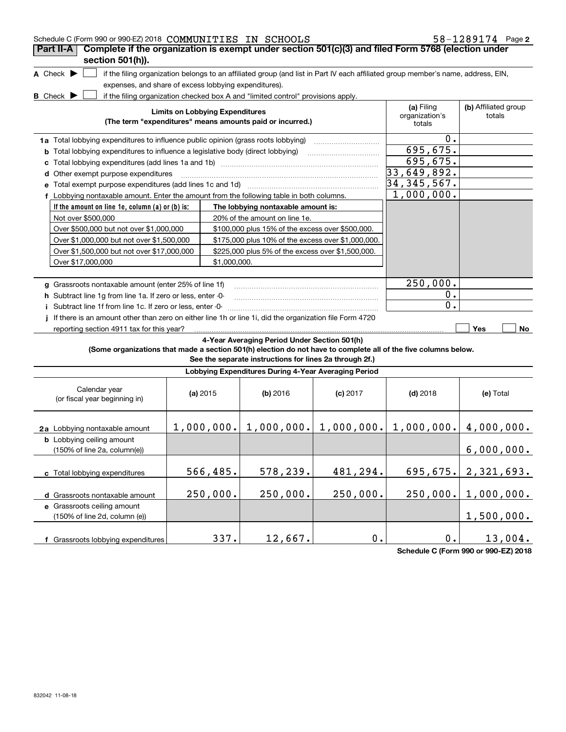| Schedule C (Form 990 or 990-EZ) 2018 COMMUNITIES IN SCHOOLS                                                                         |                                        |              |                                                                                                                                   |               |                                        | 58-1289174 Page 2              |
|-------------------------------------------------------------------------------------------------------------------------------------|----------------------------------------|--------------|-----------------------------------------------------------------------------------------------------------------------------------|---------------|----------------------------------------|--------------------------------|
| Complete if the organization is exempt under section 501(c)(3) and filed Form 5768 (election under<br>Part II-A<br>section 501(h)). |                                        |              |                                                                                                                                   |               |                                        |                                |
| A Check $\blacktriangleright$                                                                                                       |                                        |              | if the filing organization belongs to an affiliated group (and list in Part IV each affiliated group member's name, address, EIN, |               |                                        |                                |
| expenses, and share of excess lobbying expenditures).                                                                               |                                        |              |                                                                                                                                   |               |                                        |                                |
| <b>B</b> Check $\blacktriangleright$                                                                                                |                                        |              | if the filing organization checked box A and "limited control" provisions apply.                                                  |               |                                        |                                |
|                                                                                                                                     | <b>Limits on Lobbying Expenditures</b> |              | (The term "expenditures" means amounts paid or incurred.)                                                                         |               | (a) Filing<br>organization's<br>totals | (b) Affiliated group<br>totals |
| 1a Total lobbying expenditures to influence public opinion (grass roots lobbying)                                                   |                                        |              |                                                                                                                                   |               | 0.                                     |                                |
|                                                                                                                                     |                                        |              |                                                                                                                                   |               | 695,675.                               |                                |
| <b>b</b> Total lobbying expenditures to influence a legislative body (direct lobbying)                                              |                                        |              |                                                                                                                                   |               | 695,675.                               |                                |
| c                                                                                                                                   |                                        |              |                                                                                                                                   |               | 33,649,892.                            |                                |
| d Other exempt purpose expenditures                                                                                                 |                                        |              |                                                                                                                                   |               | 34,345,567.                            |                                |
| Total exempt purpose expenditures (add lines 1c and 1d)<br>е                                                                        |                                        |              |                                                                                                                                   |               | 1,000,000.                             |                                |
| f Lobbying nontaxable amount. Enter the amount from the following table in both columns.                                            |                                        |              |                                                                                                                                   |               |                                        |                                |
| If the amount on line 1e, column $(a)$ or $(b)$ is:                                                                                 |                                        |              | The lobbying nontaxable amount is:                                                                                                |               |                                        |                                |
| Not over \$500,000                                                                                                                  |                                        |              | 20% of the amount on line 1e.                                                                                                     |               |                                        |                                |
| Over \$500,000 but not over \$1,000,000                                                                                             |                                        |              | \$100,000 plus 15% of the excess over \$500,000.                                                                                  |               |                                        |                                |
| Over \$1,000,000 but not over \$1,500,000                                                                                           |                                        |              | \$175,000 plus 10% of the excess over \$1,000,000.                                                                                |               |                                        |                                |
| Over \$1,500,000 but not over \$17,000,000                                                                                          |                                        |              | \$225,000 plus 5% of the excess over \$1,500,000.                                                                                 |               |                                        |                                |
| Over \$17,000,000                                                                                                                   |                                        | \$1,000,000. |                                                                                                                                   |               |                                        |                                |
| g Grassroots nontaxable amount (enter 25% of line 1f)                                                                               |                                        |              |                                                                                                                                   |               | 250,000.                               |                                |
| h Subtract line 1g from line 1a. If zero or less, enter -0-                                                                         |                                        |              |                                                                                                                                   |               | 0.                                     |                                |
| i Subtract line 1f from line 1c. If zero or less, enter -0-                                                                         |                                        |              |                                                                                                                                   |               | 0.                                     |                                |
| If there is an amount other than zero on either line 1h or line 1i, did the organization file Form 4720                             |                                        |              |                                                                                                                                   |               |                                        |                                |
| reporting section 4911 tax for this year?                                                                                           |                                        |              |                                                                                                                                   |               |                                        | Yes<br>No                      |
| (Some organizations that made a section 501(h) election do not have to complete all of the five columns below.                      |                                        |              | 4-Year Averaging Period Under Section 501(h)<br>See the separate instructions for lines 2a through 2f.)                           |               |                                        |                                |
|                                                                                                                                     |                                        |              | Lobbying Expenditures During 4-Year Averaging Period                                                                              |               |                                        |                                |
| Calendar year<br>(or fiscal year beginning in)                                                                                      | (a) 2015                               |              | $(b)$ 2016                                                                                                                        | $(c)$ 2017    | $(d)$ 2018                             | (e) Total                      |
| 2a Lobbying nontaxable amount                                                                                                       |                                        |              | $1,000,000.$ $  1,000,000.$ $  1,000,000.$                                                                                        |               | $1,000,000.$ $4,000,000.$              |                                |
| <b>b</b> Lobbying ceiling amount<br>(150% of line 2a, column(e))                                                                    |                                        |              |                                                                                                                                   |               |                                        | 6,000,000.                     |
| c Total lobbying expenditures                                                                                                       | 566,485.                               |              | 578,239.                                                                                                                          | 481,294.      | 695,675.                               | 2,321,693.                     |
| d Grassroots nontaxable amount                                                                                                      | 250,000.                               |              | 250,000.                                                                                                                          | 250,000.      | 250,000.                               | 1,000,000.                     |
| e Grassroots ceiling amount                                                                                                         |                                        |              |                                                                                                                                   |               |                                        |                                |
| (150% of line 2d, column (e))                                                                                                       |                                        |              |                                                                                                                                   |               |                                        | 1,500,000.                     |
| f Grassroots lobbying expenditures                                                                                                  |                                        | 337.         | 12,667.                                                                                                                           | $\mathbf 0$ . | $0$ .                                  | 13,004.                        |

**Schedule C (Form 990 or 990-EZ) 2018**

**f** Grassroots lobbying expenditures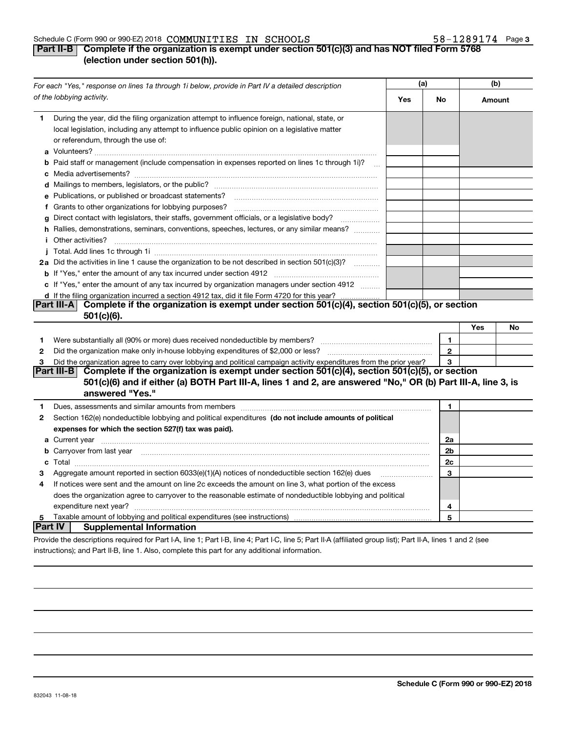#### Schedule C (Form 990 or 990-EZ) 2018  $\,$  COMMUNITIES IN  $\,$  SCHOOLS  $\,$   $\,$   $\,$   $\,$   $\,$  58  $-1289174$   $\,$  Page

#### **3**

#### **Part II-B Complete if the organization is exempt under section 501(c)(3) and has NOT filed Form 5768 (election under section 501(h)).**

|              | For each "Yes," response on lines 1a through 1i below, provide in Part IV a detailed description                                                                                                                                     | (a) |              | (b)    |    |
|--------------|--------------------------------------------------------------------------------------------------------------------------------------------------------------------------------------------------------------------------------------|-----|--------------|--------|----|
|              | of the lobbying activity.                                                                                                                                                                                                            | Yes | No           | Amount |    |
| 1            | During the year, did the filing organization attempt to influence foreign, national, state, or<br>local legislation, including any attempt to influence public opinion on a legislative matter<br>or referendum, through the use of: |     |              |        |    |
|              | <b>b</b> Paid staff or management (include compensation in expenses reported on lines 1c through 1i)?<br>$\sim$                                                                                                                      |     |              |        |    |
|              |                                                                                                                                                                                                                                      |     |              |        |    |
|              | e Publications, or published or broadcast statements?                                                                                                                                                                                |     |              |        |    |
|              | f Grants to other organizations for lobbying purposes?                                                                                                                                                                               |     |              |        |    |
| g            | Direct contact with legislators, their staffs, government officials, or a legislative body?                                                                                                                                          |     |              |        |    |
|              | h Rallies, demonstrations, seminars, conventions, speeches, lectures, or any similar means?                                                                                                                                          |     |              |        |    |
|              | <i>i</i> Other activities?                                                                                                                                                                                                           |     |              |        |    |
|              |                                                                                                                                                                                                                                      |     |              |        |    |
|              | 2a Did the activities in line 1 cause the organization to be not described in section 501(c)(3)?                                                                                                                                     |     |              |        |    |
|              |                                                                                                                                                                                                                                      |     |              |        |    |
|              | c If "Yes," enter the amount of any tax incurred by organization managers under section 4912                                                                                                                                         |     |              |        |    |
|              | d If the filing organization incurred a section 4912 tax, did it file Form 4720 for this year?                                                                                                                                       |     |              |        |    |
|              | Part III-A Complete if the organization is exempt under section 501(c)(4), section 501(c)(5), or section                                                                                                                             |     |              |        |    |
|              | $501(c)(6)$ .                                                                                                                                                                                                                        |     |              |        |    |
|              |                                                                                                                                                                                                                                      |     |              | Yes    | No |
| 1            |                                                                                                                                                                                                                                      |     | 1            |        |    |
| $\mathbf{2}$ |                                                                                                                                                                                                                                      |     | $\mathbf{2}$ |        |    |
| 3            | Did the organization agree to carry over lobbying and political campaign activity expenditures from the prior year?                                                                                                                  |     | 3            |        |    |
|              | Complete if the organization is exempt under section 501(c)(4), section 501(c)(5), or section<br>Part III-B                                                                                                                          |     |              |        |    |
|              | 501(c)(6) and if either (a) BOTH Part III-A, lines 1 and 2, are answered "No," OR (b) Part III-A, line 3, is<br>answered "Yes."                                                                                                      |     |              |        |    |
| 1.           |                                                                                                                                                                                                                                      |     | 1            |        |    |
| 2            | Section 162(e) nondeductible lobbying and political expenditures (do not include amounts of political                                                                                                                                |     |              |        |    |
|              | expenses for which the section 527(f) tax was paid).                                                                                                                                                                                 |     |              |        |    |
|              |                                                                                                                                                                                                                                      |     | 2a           |        |    |
|              | <b>b</b> Carryover from last year manufactured and content to content the content of the content of the content of the content of the content of the content of the content of the content of the content of the content of the con  |     | 2b           |        |    |
|              |                                                                                                                                                                                                                                      |     | 2c           |        |    |
| 3            | Aggregate amount reported in section 6033(e)(1)(A) notices of nondeductible section 162(e) dues                                                                                                                                      |     | 3            |        |    |
| 4            | If notices were sent and the amount on line 2c exceeds the amount on line 3, what portion of the excess                                                                                                                              |     |              |        |    |
|              | does the organization agree to carryover to the reasonable estimate of nondeductible lobbying and political                                                                                                                          |     |              |        |    |
|              |                                                                                                                                                                                                                                      |     | 4            |        |    |
| 5            | Taxable amount of lobbying and political expenditures (see instructions)                                                                                                                                                             |     | 5            |        |    |
| Part IV      | <b>Supplemental Information</b>                                                                                                                                                                                                      |     |              |        |    |
|              | Provide the descriptions required for Part I-A, line 1; Part I-B, line 4; Part I-C, line 5; Part II-A (affiliated group list); Part II-A, lines 1 and 2 (see                                                                         |     |              |        |    |

instructions); and Part II-B, line 1. Also, complete this part for any additional information.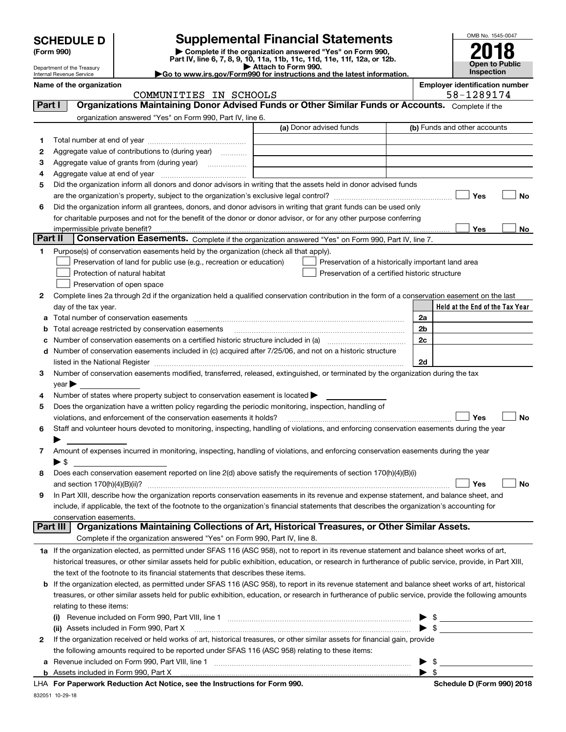|         |                                                        |                                                                                                        | <b>Supplemental Financial Statements</b>                                                                                                                  |                | OMB No. 1545-0047                                   |                       |
|---------|--------------------------------------------------------|--------------------------------------------------------------------------------------------------------|-----------------------------------------------------------------------------------------------------------------------------------------------------------|----------------|-----------------------------------------------------|-----------------------|
|         | <b>SCHEDULE D</b><br>(Form 990)                        |                                                                                                        | Complete if the organization answered "Yes" on Form 990,                                                                                                  |                |                                                     |                       |
|         |                                                        |                                                                                                        | Part IV, line 6, 7, 8, 9, 10, 11a, 11b, 11c, 11d, 11e, 11f, 12a, or 12b.                                                                                  |                |                                                     | <b>Open to Public</b> |
|         | Department of the Treasury<br>Internal Revenue Service |                                                                                                        | Attach to Form 990.<br>Go to www.irs.gov/Form990 for instructions and the latest information.                                                             |                | <b>Inspection</b>                                   |                       |
|         | Name of the organization                               | COMMUNITIES IN SCHOOLS                                                                                 |                                                                                                                                                           |                | <b>Employer identification number</b><br>58-1289174 |                       |
| Part I  |                                                        |                                                                                                        | Organizations Maintaining Donor Advised Funds or Other Similar Funds or Accounts. Complete if the                                                         |                |                                                     |                       |
|         |                                                        | organization answered "Yes" on Form 990, Part IV, line 6.                                              |                                                                                                                                                           |                |                                                     |                       |
|         |                                                        |                                                                                                        | (a) Donor advised funds                                                                                                                                   |                | (b) Funds and other accounts                        |                       |
| 1       |                                                        |                                                                                                        |                                                                                                                                                           |                |                                                     |                       |
| 2       |                                                        | Aggregate value of contributions to (during year)                                                      |                                                                                                                                                           |                |                                                     |                       |
| з       |                                                        | Aggregate value of grants from (during year)                                                           |                                                                                                                                                           |                |                                                     |                       |
| 4       |                                                        |                                                                                                        |                                                                                                                                                           |                |                                                     |                       |
| 5       |                                                        |                                                                                                        | Did the organization inform all donors and donor advisors in writing that the assets held in donor advised funds                                          |                |                                                     |                       |
|         |                                                        |                                                                                                        |                                                                                                                                                           |                | Yes                                                 | No                    |
| 6       |                                                        |                                                                                                        | Did the organization inform all grantees, donors, and donor advisors in writing that grant funds can be used only                                         |                |                                                     |                       |
|         |                                                        |                                                                                                        | for charitable purposes and not for the benefit of the donor or donor advisor, or for any other purpose conferring                                        |                |                                                     |                       |
|         | impermissible private benefit?                         |                                                                                                        |                                                                                                                                                           |                | Yes                                                 | No                    |
| Part II |                                                        |                                                                                                        | Conservation Easements. Complete if the organization answered "Yes" on Form 990, Part IV, line 7.                                                         |                |                                                     |                       |
| 1       |                                                        | Purpose(s) of conservation easements held by the organization (check all that apply).                  |                                                                                                                                                           |                |                                                     |                       |
|         |                                                        | Preservation of land for public use (e.g., recreation or education)                                    | Preservation of a historically important land area                                                                                                        |                |                                                     |                       |
|         |                                                        | Protection of natural habitat                                                                          | Preservation of a certified historic structure                                                                                                            |                |                                                     |                       |
|         |                                                        | Preservation of open space                                                                             |                                                                                                                                                           |                |                                                     |                       |
| 2       |                                                        |                                                                                                        | Complete lines 2a through 2d if the organization held a qualified conservation contribution in the form of a conservation easement on the last            |                |                                                     |                       |
|         | day of the tax year.                                   |                                                                                                        |                                                                                                                                                           |                | Held at the End of the Tax Year                     |                       |
|         |                                                        | Total number of conservation easements                                                                 |                                                                                                                                                           | 2a             |                                                     |                       |
|         |                                                        | Total acreage restricted by conservation easements                                                     |                                                                                                                                                           | 2 <sub>b</sub> |                                                     |                       |
|         |                                                        |                                                                                                        |                                                                                                                                                           | 2c             |                                                     |                       |
| d       |                                                        |                                                                                                        | Number of conservation easements included in (c) acquired after 7/25/06, and not on a historic structure                                                  |                |                                                     |                       |
|         | listed in the National Register                        |                                                                                                        |                                                                                                                                                           | 2d             |                                                     |                       |
| 3       |                                                        |                                                                                                        | Number of conservation easements modified, transferred, released, extinguished, or terminated by the organization during the tax                          |                |                                                     |                       |
|         | $\vee$ ear $\blacktriangleright$                       |                                                                                                        |                                                                                                                                                           |                |                                                     |                       |
| 4       |                                                        | Number of states where property subject to conservation easement is located $\blacktriangleright$      |                                                                                                                                                           |                |                                                     |                       |
| 5       |                                                        | Does the organization have a written policy regarding the periodic monitoring, inspection, handling of |                                                                                                                                                           |                |                                                     |                       |
|         |                                                        | violations, and enforcement of the conservation easements it holds?                                    |                                                                                                                                                           |                | Yes                                                 | No                    |
| 6       |                                                        |                                                                                                        | Staff and volunteer hours devoted to monitoring, inspecting, handling of violations, and enforcing conservation easements during the year                 |                |                                                     |                       |
| 7       |                                                        |                                                                                                        | Amount of expenses incurred in monitoring, inspecting, handling of violations, and enforcing conservation easements during the year                       |                |                                                     |                       |
|         | $\blacktriangleright$ \$                               |                                                                                                        |                                                                                                                                                           |                |                                                     |                       |
| 8       |                                                        |                                                                                                        | Does each conservation easement reported on line 2(d) above satisfy the requirements of section 170(h)(4)(B)(i)                                           |                |                                                     |                       |
|         | and section $170(h)(4)(B)(ii)?$                        |                                                                                                        |                                                                                                                                                           |                | Yes                                                 | No                    |
| 9       |                                                        |                                                                                                        | In Part XIII, describe how the organization reports conservation easements in its revenue and expense statement, and balance sheet, and                   |                |                                                     |                       |
|         |                                                        |                                                                                                        | include, if applicable, the text of the footnote to the organization's financial statements that describes the organization's accounting for              |                |                                                     |                       |
|         | conservation easements.                                |                                                                                                        |                                                                                                                                                           |                |                                                     |                       |
|         | Part III                                               |                                                                                                        | Organizations Maintaining Collections of Art, Historical Treasures, or Other Similar Assets.                                                              |                |                                                     |                       |
|         |                                                        | Complete if the organization answered "Yes" on Form 990, Part IV, line 8.                              |                                                                                                                                                           |                |                                                     |                       |
|         |                                                        |                                                                                                        | 1a If the organization elected, as permitted under SFAS 116 (ASC 958), not to report in its revenue statement and balance sheet works of art,             |                |                                                     |                       |
|         |                                                        |                                                                                                        | historical treasures, or other similar assets held for public exhibition, education, or research in furtherance of public service, provide, in Part XIII, |                |                                                     |                       |
|         |                                                        | the text of the footnote to its financial statements that describes these items.                       |                                                                                                                                                           |                |                                                     |                       |
| b       |                                                        |                                                                                                        | If the organization elected, as permitted under SFAS 116 (ASC 958), to report in its revenue statement and balance sheet works of art, historical         |                |                                                     |                       |
|         |                                                        |                                                                                                        | treasures, or other similar assets held for public exhibition, education, or research in furtherance of public service, provide the following amounts     |                |                                                     |                       |
|         | relating to these items:                               |                                                                                                        |                                                                                                                                                           |                |                                                     |                       |
|         |                                                        | Revenue included on Form 990, Part VIII, line 1                                                        |                                                                                                                                                           | -\$            |                                                     |                       |

|   | LHA For Paperwork Reduction Act Notice, see the Instructions for Form 990.                                                   |                         | Schedule D (Form 990) 2018 |
|---|------------------------------------------------------------------------------------------------------------------------------|-------------------------|----------------------------|
|   |                                                                                                                              |                         |                            |
|   | <b>a</b> Revenue included on Form 990, Part VIII, line 1                                                                     | $\blacktriangleright$ s |                            |
|   | the following amounts required to be reported under SFAS 116 (ASC 958) relating to these items:                              |                         |                            |
| 2 | If the organization received or held works of art, historical treasures, or other similar assets for financial gain, provide |                         |                            |
|   |                                                                                                                              |                         |                            |
|   | ,,,                                                                                                                          |                         |                            |

832051 10-29-18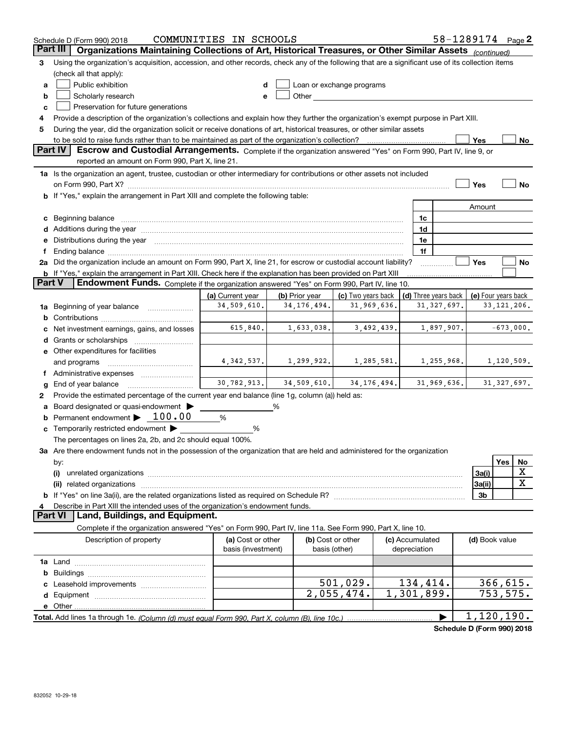|               | Schedule D (Form 990) 2018                                                                                                                                                                                                     | COMMUNITIES IN SCHOOLS                  |                |                                                                                                                                                                                                                               |                                 | 58-1289174 $_{Page}$ 2 |                     |               |               |
|---------------|--------------------------------------------------------------------------------------------------------------------------------------------------------------------------------------------------------------------------------|-----------------------------------------|----------------|-------------------------------------------------------------------------------------------------------------------------------------------------------------------------------------------------------------------------------|---------------------------------|------------------------|---------------------|---------------|---------------|
| Part III      | Organizations Maintaining Collections of Art, Historical Treasures, or Other Similar Assets (continued)                                                                                                                        |                                         |                |                                                                                                                                                                                                                               |                                 |                        |                     |               |               |
| 3             | Using the organization's acquisition, accession, and other records, check any of the following that are a significant use of its collection items                                                                              |                                         |                |                                                                                                                                                                                                                               |                                 |                        |                     |               |               |
|               | (check all that apply):                                                                                                                                                                                                        |                                         |                |                                                                                                                                                                                                                               |                                 |                        |                     |               |               |
| a             | Public exhibition                                                                                                                                                                                                              | d                                       |                | Loan or exchange programs                                                                                                                                                                                                     |                                 |                        |                     |               |               |
| b             | Scholarly research                                                                                                                                                                                                             | е                                       |                | Other and the contract of the contract of the contract of the contract of the contract of the contract of the contract of the contract of the contract of the contract of the contract of the contract of the contract of the |                                 |                        |                     |               |               |
| c             | Preservation for future generations                                                                                                                                                                                            |                                         |                |                                                                                                                                                                                                                               |                                 |                        |                     |               |               |
|               | Provide a description of the organization's collections and explain how they further the organization's exempt purpose in Part XIII.                                                                                           |                                         |                |                                                                                                                                                                                                                               |                                 |                        |                     |               |               |
| 5             | During the year, did the organization solicit or receive donations of art, historical treasures, or other similar assets                                                                                                       |                                         |                |                                                                                                                                                                                                                               |                                 |                        |                     |               |               |
|               | to be sold to raise funds rather than to be maintained as part of the organization's collection?                                                                                                                               |                                         |                |                                                                                                                                                                                                                               |                                 |                        | Yes                 |               | No            |
|               | Part IV<br>Escrow and Custodial Arrangements. Complete if the organization answered "Yes" on Form 990, Part IV, line 9, or                                                                                                     |                                         |                |                                                                                                                                                                                                                               |                                 |                        |                     |               |               |
|               | reported an amount on Form 990, Part X, line 21.                                                                                                                                                                               |                                         |                |                                                                                                                                                                                                                               |                                 |                        |                     |               |               |
|               | 1a Is the organization an agent, trustee, custodian or other intermediary for contributions or other assets not included                                                                                                       |                                         |                |                                                                                                                                                                                                                               |                                 |                        |                     |               |               |
|               | on Form 990, Part X? [11] matter contracts and contracts and contracts are contracted as a function of the set of the set of the set of the set of the set of the set of the set of the set of the set of the set of the set o |                                         |                |                                                                                                                                                                                                                               |                                 |                        | Yes                 |               | <b>No</b>     |
|               | b If "Yes," explain the arrangement in Part XIII and complete the following table:                                                                                                                                             |                                         |                |                                                                                                                                                                                                                               |                                 |                        |                     |               |               |
|               |                                                                                                                                                                                                                                |                                         |                |                                                                                                                                                                                                                               |                                 |                        | Amount              |               |               |
|               | c Beginning balance measurements and the contract of the contract of the contract of the contract of the contract of the contract of the contract of the contract of the contract of the contract of the contract of the contr |                                         |                |                                                                                                                                                                                                                               | 1c                              |                        |                     |               |               |
|               | d Additions during the year measurement contracts and a state of a state of a state of the state of the state of the state of the state of the state of the state of the state of the state of the state of the state of the s |                                         |                |                                                                                                                                                                                                                               | 1d                              |                        |                     |               |               |
|               | Distributions during the year manufactured and contain an account of the state of the state of the state of the state of the state of the state of the state of the state of the state of the state of the state of the state  |                                         |                |                                                                                                                                                                                                                               | 1e                              |                        |                     |               |               |
|               |                                                                                                                                                                                                                                |                                         |                |                                                                                                                                                                                                                               | 1f                              |                        |                     |               |               |
|               | 2a Did the organization include an amount on Form 990, Part X, line 21, for escrow or custodial account liability?                                                                                                             |                                         |                |                                                                                                                                                                                                                               |                                 |                        | Yes                 |               | No            |
| <b>Part V</b> | <b>b</b> If "Yes," explain the arrangement in Part XIII. Check here if the explanation has been provided on Part XIII                                                                                                          |                                         |                |                                                                                                                                                                                                                               |                                 |                        |                     |               |               |
|               | Endowment Funds. Complete if the organization answered "Yes" on Form 990, Part IV, line 10.                                                                                                                                    |                                         |                |                                                                                                                                                                                                                               |                                 |                        |                     |               |               |
|               |                                                                                                                                                                                                                                | (a) Current year                        | (b) Prior year | (c) Two years back                                                                                                                                                                                                            |                                 | (d) Three years back   | (e) Four years back |               |               |
| 1a            | Beginning of year balance <i>manumman</i>                                                                                                                                                                                      | 34,509,610.                             | 34, 176, 494.  | 31,969,636.                                                                                                                                                                                                                   |                                 | 31, 327, 697.          |                     | 33, 121, 206. |               |
| b             |                                                                                                                                                                                                                                | 615,840.                                | 1,633,038.     |                                                                                                                                                                                                                               |                                 |                        |                     | $-673,000.$   |               |
|               | Net investment earnings, gains, and losses                                                                                                                                                                                     |                                         |                | 3,492,439.                                                                                                                                                                                                                    |                                 | 1,897,907.             |                     |               |               |
|               | <b>d</b> Grants or scholarships                                                                                                                                                                                                |                                         |                |                                                                                                                                                                                                                               |                                 |                        |                     |               |               |
|               | e Other expenditures for facilities                                                                                                                                                                                            |                                         |                |                                                                                                                                                                                                                               |                                 |                        |                     |               |               |
|               | and programs                                                                                                                                                                                                                   | 4, 342, 537.                            | 1,299,922.     | 1,285,581.                                                                                                                                                                                                                    |                                 | 1,255,968.             |                     |               | 1,120,509.    |
|               |                                                                                                                                                                                                                                | 30,782,913.                             | 34,509,610.    | 34, 176, 494.                                                                                                                                                                                                                 |                                 | 31,969,636.            |                     |               | 31, 327, 697. |
| g             | End of year balance                                                                                                                                                                                                            |                                         |                |                                                                                                                                                                                                                               |                                 |                        |                     |               |               |
| 2             | Provide the estimated percentage of the current year end balance (line 1g, column (a)) held as:                                                                                                                                |                                         |                |                                                                                                                                                                                                                               |                                 |                        |                     |               |               |
| а             | Board designated or quasi-endowment ><br>Permanent endowment > 100.00                                                                                                                                                          | %                                       | %              |                                                                                                                                                                                                                               |                                 |                        |                     |               |               |
|               | c Temporarily restricted endowment $\blacktriangleright$                                                                                                                                                                       |                                         |                |                                                                                                                                                                                                                               |                                 |                        |                     |               |               |
|               | The percentages on lines 2a, 2b, and 2c should equal 100%.                                                                                                                                                                     | %                                       |                |                                                                                                                                                                                                                               |                                 |                        |                     |               |               |
|               | 3a Are there endowment funds not in the possession of the organization that are held and administered for the organization                                                                                                     |                                         |                |                                                                                                                                                                                                                               |                                 |                        |                     |               |               |
|               | by:                                                                                                                                                                                                                            |                                         |                |                                                                                                                                                                                                                               |                                 |                        |                     | Yes           | No            |
|               | (i)                                                                                                                                                                                                                            |                                         |                |                                                                                                                                                                                                                               |                                 |                        | 3a(i)               |               | х             |
|               | related organizations<br>(ii)                                                                                                                                                                                                  |                                         |                |                                                                                                                                                                                                                               |                                 |                        | 3a(ii)              |               | x             |
|               |                                                                                                                                                                                                                                |                                         |                |                                                                                                                                                                                                                               |                                 |                        | 3 <sub>b</sub>      |               |               |
|               | Describe in Part XIII the intended uses of the organization's endowment funds.                                                                                                                                                 |                                         |                |                                                                                                                                                                                                                               |                                 |                        |                     |               |               |
|               | Land, Buildings, and Equipment.<br><b>Part VI</b>                                                                                                                                                                              |                                         |                |                                                                                                                                                                                                                               |                                 |                        |                     |               |               |
|               | Complete if the organization answered "Yes" on Form 990, Part IV, line 11a. See Form 990, Part X, line 10.                                                                                                                     |                                         |                |                                                                                                                                                                                                                               |                                 |                        |                     |               |               |
|               | Description of property                                                                                                                                                                                                        | (a) Cost or other<br>basis (investment) |                | (b) Cost or other<br>basis (other)                                                                                                                                                                                            | (c) Accumulated<br>depreciation |                        | (d) Book value      |               |               |
|               |                                                                                                                                                                                                                                |                                         |                |                                                                                                                                                                                                                               |                                 |                        |                     |               |               |
|               |                                                                                                                                                                                                                                |                                         |                |                                                                                                                                                                                                                               |                                 |                        |                     |               |               |
|               |                                                                                                                                                                                                                                |                                         |                | 501,029.                                                                                                                                                                                                                      | 134,414.                        |                        | 366,615.            |               |               |
|               |                                                                                                                                                                                                                                |                                         |                | 2,055,474.                                                                                                                                                                                                                    | 1,301,899.                      |                        |                     | 753, 575.     |               |
|               |                                                                                                                                                                                                                                |                                         |                |                                                                                                                                                                                                                               |                                 |                        |                     |               |               |
|               |                                                                                                                                                                                                                                |                                         |                |                                                                                                                                                                                                                               |                                 | ▶                      | 1,120,190.          |               |               |
|               |                                                                                                                                                                                                                                |                                         |                |                                                                                                                                                                                                                               |                                 |                        |                     |               |               |

**Schedule D (Form 990) 2018**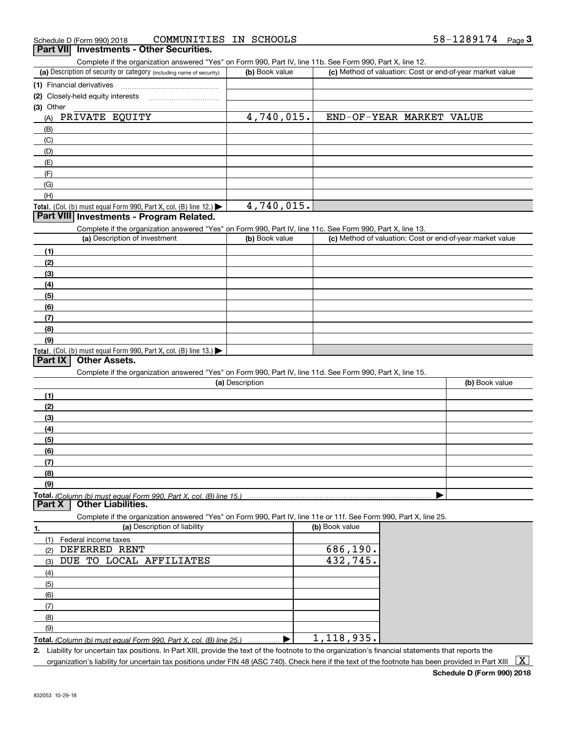| <b>Dart VII</b> Investments - Other Securities |                        |            |      |
|------------------------------------------------|------------------------|------------|------|
| Schedule D (Form 990) 2018                     | COMMUNITIES IN SCHOOLS | 58-1289174 | Page |

| .<br>Complete if the organization answered "Yes" on Form 990, Part IV, line 11b. See Form 990, Part X, line 12.   |                 |                                                           |                |
|-------------------------------------------------------------------------------------------------------------------|-----------------|-----------------------------------------------------------|----------------|
| (a) Description of security or category (including name of security)                                              | (b) Book value  | (c) Method of valuation: Cost or end-of-year market value |                |
| (1) Financial derivatives                                                                                         |                 |                                                           |                |
| (2) Closely-held equity interests                                                                                 |                 |                                                           |                |
| (3) Other                                                                                                         |                 |                                                           |                |
| PRIVATE EQUITY<br>(A)                                                                                             | 4,740,015.      | END-OF-YEAR MARKET VALUE                                  |                |
| (B)                                                                                                               |                 |                                                           |                |
| (C)                                                                                                               |                 |                                                           |                |
| (D)                                                                                                               |                 |                                                           |                |
| (E)                                                                                                               |                 |                                                           |                |
| (F)                                                                                                               |                 |                                                           |                |
| (G)                                                                                                               |                 |                                                           |                |
| (H)                                                                                                               |                 |                                                           |                |
| Total. (Col. (b) must equal Form 990, Part X, col. (B) line 12.)                                                  | 4,740,015.      |                                                           |                |
| Part VIII Investments - Program Related.                                                                          |                 |                                                           |                |
| Complete if the organization answered "Yes" on Form 990, Part IV, line 11c. See Form 990, Part X, line 13.        |                 |                                                           |                |
| (a) Description of investment                                                                                     | (b) Book value  | (c) Method of valuation: Cost or end-of-year market value |                |
| (1)                                                                                                               |                 |                                                           |                |
| (2)                                                                                                               |                 |                                                           |                |
| (3)                                                                                                               |                 |                                                           |                |
| (4)                                                                                                               |                 |                                                           |                |
| (5)                                                                                                               |                 |                                                           |                |
| (6)                                                                                                               |                 |                                                           |                |
| (7)                                                                                                               |                 |                                                           |                |
| (8)                                                                                                               |                 |                                                           |                |
| (9)                                                                                                               |                 |                                                           |                |
| Total. (Col. (b) must equal Form 990, Part X, col. (B) line 13.)                                                  |                 |                                                           |                |
| <b>Other Assets.</b><br><b>Part IX</b>                                                                            |                 |                                                           |                |
| Complete if the organization answered "Yes" on Form 990, Part IV, line 11d. See Form 990, Part X, line 15.        |                 |                                                           |                |
|                                                                                                                   | (a) Description |                                                           | (b) Book value |
| (1)                                                                                                               |                 |                                                           |                |
| (2)                                                                                                               |                 |                                                           |                |
| (3)                                                                                                               |                 |                                                           |                |
| (4)                                                                                                               |                 |                                                           |                |
| (5)                                                                                                               |                 |                                                           |                |
| (6)                                                                                                               |                 |                                                           |                |
| (7)                                                                                                               |                 |                                                           |                |
| (8)                                                                                                               |                 |                                                           |                |
| (9)                                                                                                               |                 |                                                           |                |
| Total. (Column (b) must equal Form 990. Part X. col. (B) line 15.)<br><b>Other Liabilities.</b><br><b>Part X</b>  |                 |                                                           |                |
| Complete if the organization answered "Yes" on Form 990, Part IV, line 11e or 11f. See Form 990, Part X, line 25. |                 |                                                           |                |
| (a) Description of liability                                                                                      |                 | (b) Book value                                            |                |
| 1.<br>(1)<br>Federal income taxes                                                                                 |                 |                                                           |                |
| DEFERRED RENT<br>(2)                                                                                              |                 | 686, 190.                                                 |                |
| DUE TO LOCAL AFFILIATES<br>(3)                                                                                    |                 | 432,745.                                                  |                |
| (4)                                                                                                               |                 |                                                           |                |
| (5)                                                                                                               |                 |                                                           |                |
| (6)                                                                                                               |                 |                                                           |                |
| (7)                                                                                                               |                 |                                                           |                |
| (8)                                                                                                               |                 |                                                           |                |
| (9)                                                                                                               |                 |                                                           |                |
| Total. (Column (b) must equal Form 990, Part X, col. (B) line 25.)                                                | ▶               | 1,118,935.                                                |                |
|                                                                                                                   |                 |                                                           |                |

**2.** Liability for uncertain tax positions. In Part XIII, provide the text of the footnote to the organization's financial statements that reports the organization's liability for uncertain tax positions under FIN 48 (ASC 740). Check here if the text of the footnote has been provided in Part XIII  $~\boxed{\rm X}$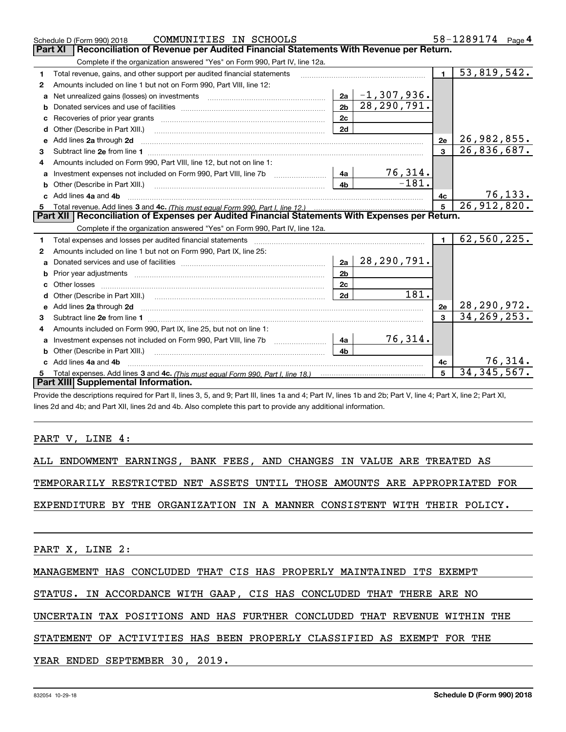|    | COMMUNITIES IN SCHOOLS<br>Schedule D (Form 990) 2018                                                                                                                                                                                |                |  |                                                                                                           |                 | 58-1289174               | Page 4  |
|----|-------------------------------------------------------------------------------------------------------------------------------------------------------------------------------------------------------------------------------------|----------------|--|-----------------------------------------------------------------------------------------------------------|-----------------|--------------------------|---------|
|    | Reconciliation of Revenue per Audited Financial Statements With Revenue per Return.<br>Part XI                                                                                                                                      |                |  |                                                                                                           |                 |                          |         |
|    | Complete if the organization answered "Yes" on Form 990, Part IV, line 12a.                                                                                                                                                         |                |  |                                                                                                           |                 |                          |         |
| 1  | Total revenue, gains, and other support per audited financial statements                                                                                                                                                            |                |  |                                                                                                           | $\blacksquare$  | $\overline{53,819,542.}$ |         |
| 2  | Amounts included on line 1 but not on Form 990, Part VIII, line 12:                                                                                                                                                                 |                |  |                                                                                                           |                 |                          |         |
| a  |                                                                                                                                                                                                                                     |                |  | $\begin{array}{ c c c c }\n\hline\n\text{2a} & -1,307,936 \\ \text{2b} & 28,290,791\n\hline\n\end{array}$ |                 |                          |         |
| b  |                                                                                                                                                                                                                                     |                |  |                                                                                                           |                 |                          |         |
|    | Recoveries of prior year grants [11, 11] Recoveries of prior year grants [11, 11] Recoveries of prior year grants                                                                                                                   | 2c             |  |                                                                                                           |                 |                          |         |
| d  | Other (Describe in Part XIII.) <b>2006</b> 2007 2010 2010 2010 2010 2011 2012 2013 2014 2014 2015 2016 2017 2018 2019 2016 2017 2018 2019 2016 2017 2018 2019 2016 2017 2018 2019 2018 2019 2019 2016 2017 2018 2019 2018 2019 2019 | 2d             |  |                                                                                                           |                 |                          |         |
| е  | Add lines 2a through 2d                                                                                                                                                                                                             |                |  |                                                                                                           | 2e              | 26,982,855.              |         |
| 3  |                                                                                                                                                                                                                                     |                |  |                                                                                                           | 3               | 26,836,687.              |         |
| 4  | Amounts included on Form 990, Part VIII, line 12, but not on line 1:                                                                                                                                                                |                |  |                                                                                                           |                 |                          |         |
| a  |                                                                                                                                                                                                                                     |                |  | $\frac{76,314.}{-181.}$                                                                                   |                 |                          |         |
|    |                                                                                                                                                                                                                                     | 4h.            |  |                                                                                                           |                 |                          |         |
|    | c Add lines 4a and 4b                                                                                                                                                                                                               |                |  |                                                                                                           | 4c              |                          | 76,133. |
|    |                                                                                                                                                                                                                                     |                |  |                                                                                                           | $5\overline{5}$ | 26,912,820.              |         |
| 5  |                                                                                                                                                                                                                                     |                |  |                                                                                                           |                 |                          |         |
|    | Part XII   Reconciliation of Expenses per Audited Financial Statements With Expenses per Return.                                                                                                                                    |                |  |                                                                                                           |                 |                          |         |
|    | Complete if the organization answered "Yes" on Form 990, Part IV, line 12a.                                                                                                                                                         |                |  |                                                                                                           |                 |                          |         |
| 1  |                                                                                                                                                                                                                                     |                |  |                                                                                                           | $\blacksquare$  | 62,560,225.              |         |
| 2  | Amounts included on line 1 but not on Form 990, Part IX, line 25:                                                                                                                                                                   |                |  |                                                                                                           |                 |                          |         |
| a  |                                                                                                                                                                                                                                     | 2a             |  | 28,290,791.                                                                                               |                 |                          |         |
| b  |                                                                                                                                                                                                                                     | 2 <sub>b</sub> |  |                                                                                                           |                 |                          |         |
|    | Other losses                                                                                                                                                                                                                        | 2c             |  |                                                                                                           |                 |                          |         |
| d  |                                                                                                                                                                                                                                     | 2d             |  | 181.                                                                                                      |                 |                          |         |
|    |                                                                                                                                                                                                                                     |                |  |                                                                                                           | 2e              | <u>28,290,972.</u>       |         |
| з  |                                                                                                                                                                                                                                     |                |  |                                                                                                           | $\mathbf{a}$    | 34, 269, 253.            |         |
|    | Amounts included on Form 990, Part IX, line 25, but not on line 1:                                                                                                                                                                  |                |  |                                                                                                           |                 |                          |         |
| a  | Investment expenses not included on Form 990, Part VIII, line 7b [1000000000000000000000000000000000                                                                                                                                | 4a             |  | 76,314.                                                                                                   |                 |                          |         |
| b  | Other (Describe in Part XIII.)                                                                                                                                                                                                      | 4 <sub>b</sub> |  |                                                                                                           |                 |                          |         |
| c. | Add lines 4a and 4b                                                                                                                                                                                                                 |                |  |                                                                                                           | 4c              |                          | 76,314. |
| 5  |                                                                                                                                                                                                                                     |                |  |                                                                                                           | 5               | 34, 345, 567.            |         |
|    | Part XIII Supplemental Information.                                                                                                                                                                                                 |                |  |                                                                                                           |                 |                          |         |

Provide the descriptions required for Part II, lines 3, 5, and 9; Part III, lines 1a and 4; Part IV, lines 1b and 2b; Part V, line 4; Part X, line 2; Part XI, lines 2d and 4b; and Part XII, lines 2d and 4b. Also complete this part to provide any additional information.

#### PART V, LINE 4:

ALL ENDOWMENT EARNINGS, BANK FEES, AND CHANGES IN VALUE ARE TREATED AS

TEMPORARILY RESTRICTED NET ASSETS UNTIL THOSE AMOUNTS ARE APPROPRIATED FOR

EXPENDITURE BY THE ORGANIZATION IN A MANNER CONSISTENT WITH THEIR POLICY.

PART X, LINE 2:

MANAGEMENT HAS CONCLUDED THAT CIS HAS PROPERLY MAINTAINED ITS EXEMPT

#### STATUS. IN ACCORDANCE WITH GAAP, CIS HAS CONCLUDED THAT THERE ARE NO

UNCERTAIN TAX POSITIONS AND HAS FURTHER CONCLUDED THAT REVENUE WITHIN THE

#### STATEMENT OF ACTIVITIES HAS BEEN PROPERLY CLASSIFIED AS EXEMPT FOR THE

YEAR ENDED SEPTEMBER 30, 2019.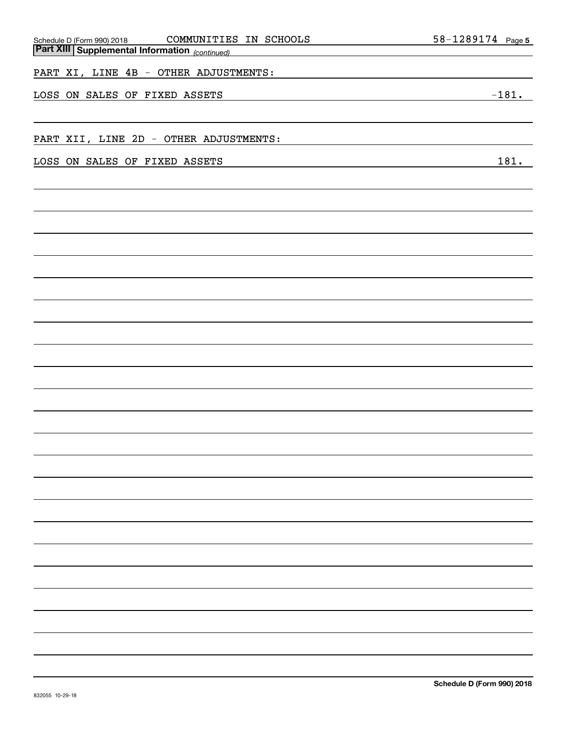| COMMUNITIES IN SCHOOLS<br>Schedule D (Form 990) 2018    | 58-1289174 Page 5 |
|---------------------------------------------------------|-------------------|
| <b>Part XIII   Supplemental Information</b> (continued) |                   |
| PART XI, LINE 4B - OTHER ADJUSTMENTS:                   |                   |
|                                                         |                   |
| LOSS ON SALES OF FIXED ASSETS                           | $-181.$           |
|                                                         |                   |
|                                                         |                   |
| PART XII, LINE 2D - OTHER ADJUSTMENTS:                  |                   |
| LOSS ON SALES OF FIXED ASSETS                           | 181.              |
|                                                         |                   |
|                                                         |                   |
|                                                         |                   |
|                                                         |                   |
|                                                         |                   |
|                                                         |                   |
|                                                         |                   |
|                                                         |                   |
|                                                         |                   |
|                                                         |                   |
|                                                         |                   |
|                                                         |                   |
|                                                         |                   |
|                                                         |                   |
|                                                         |                   |
|                                                         |                   |
|                                                         |                   |
|                                                         |                   |
|                                                         |                   |
|                                                         |                   |
|                                                         |                   |
|                                                         |                   |
|                                                         |                   |
|                                                         |                   |
|                                                         |                   |
|                                                         |                   |
|                                                         |                   |
|                                                         |                   |
|                                                         |                   |
|                                                         |                   |
|                                                         |                   |
|                                                         |                   |
|                                                         |                   |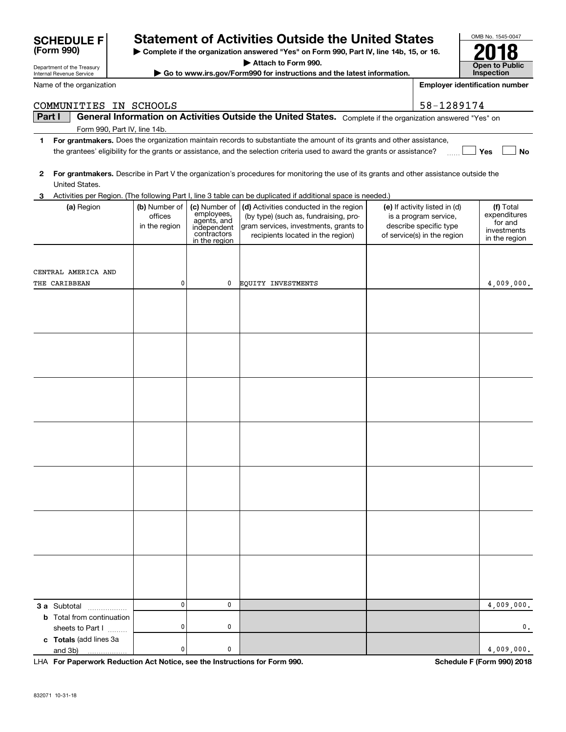| COMMUNITIES IN SCHOOLS           |               |                              |                                                                                                                                         | 58-1289174                    |                        |
|----------------------------------|---------------|------------------------------|-----------------------------------------------------------------------------------------------------------------------------------------|-------------------------------|------------------------|
| Part I                           |               |                              | General Information on Activities Outside the United States. Complete if the organization answered "Yes" on                             |                               |                        |
| Form 990, Part IV, line 14b.     |               |                              |                                                                                                                                         |                               |                        |
| 1                                |               |                              | For grantmakers. Does the organization maintain records to substantiate the amount of its grants and other assistance,                  |                               |                        |
|                                  |               |                              | the grantees' eligibility for the grants or assistance, and the selection criteria used to award the grants or assistance?              |                               | Yes<br>No              |
|                                  |               |                              |                                                                                                                                         |                               |                        |
| $\mathbf{2}$                     |               |                              | For grantmakers. Describe in Part V the organization's procedures for monitoring the use of its grants and other assistance outside the |                               |                        |
| United States.                   |               |                              |                                                                                                                                         |                               |                        |
| 3                                |               |                              | Activities per Region. (The following Part I, line 3 table can be duplicated if additional space is needed.)                            |                               |                        |
| (a) Region                       | (b) Number of | (c) Number of                | (d) Activities conducted in the region                                                                                                  | (e) If activity listed in (d) | (f) Total              |
|                                  | offices       | employees,<br>agents, and    | (by type) (such as, fundraising, pro-                                                                                                   | is a program service,         | expenditures           |
|                                  | in the region | independent                  | gram services, investments, grants to                                                                                                   | describe specific type        | for and<br>investments |
|                                  |               | contractors<br>in the region | recipients located in the region)                                                                                                       | of service(s) in the region   | in the region          |
|                                  |               |                              |                                                                                                                                         |                               |                        |
|                                  |               |                              |                                                                                                                                         |                               |                        |
| CENTRAL AMERICA AND              |               |                              |                                                                                                                                         |                               |                        |
| THE CARIBBEAN                    | 0             | 0                            | <b>EQUITY INVESTMENTS</b>                                                                                                               |                               | 4,009,000.             |
|                                  |               |                              |                                                                                                                                         |                               |                        |
|                                  |               |                              |                                                                                                                                         |                               |                        |
|                                  |               |                              |                                                                                                                                         |                               |                        |
|                                  |               |                              |                                                                                                                                         |                               |                        |
|                                  |               |                              |                                                                                                                                         |                               |                        |
|                                  |               |                              |                                                                                                                                         |                               |                        |
|                                  |               |                              |                                                                                                                                         |                               |                        |
|                                  |               |                              |                                                                                                                                         |                               |                        |
|                                  |               |                              |                                                                                                                                         |                               |                        |
|                                  |               |                              |                                                                                                                                         |                               |                        |
|                                  |               |                              |                                                                                                                                         |                               |                        |
|                                  |               |                              |                                                                                                                                         |                               |                        |
|                                  |               |                              |                                                                                                                                         |                               |                        |
|                                  |               |                              |                                                                                                                                         |                               |                        |
|                                  |               |                              |                                                                                                                                         |                               |                        |
|                                  |               |                              |                                                                                                                                         |                               |                        |
|                                  |               |                              |                                                                                                                                         |                               |                        |
|                                  |               |                              |                                                                                                                                         |                               |                        |
|                                  |               |                              |                                                                                                                                         |                               |                        |
|                                  |               |                              |                                                                                                                                         |                               |                        |
|                                  |               |                              |                                                                                                                                         |                               |                        |
|                                  |               |                              |                                                                                                                                         |                               |                        |
|                                  |               |                              |                                                                                                                                         |                               |                        |
|                                  |               |                              |                                                                                                                                         |                               |                        |
|                                  |               |                              |                                                                                                                                         |                               |                        |
|                                  |               |                              |                                                                                                                                         |                               |                        |
|                                  |               |                              |                                                                                                                                         |                               |                        |
|                                  |               |                              |                                                                                                                                         |                               |                        |
|                                  | 0             | 0                            |                                                                                                                                         |                               |                        |
| <b>3 a</b> Subtotal              |               |                              |                                                                                                                                         |                               | 4,009,000.             |
| <b>b</b> Total from continuation | 0             |                              |                                                                                                                                         |                               |                        |
| sheets to Part I                 |               | 0                            |                                                                                                                                         |                               | 0.                     |
| c Totals (add lines 3a           | $\mathbf 0$   |                              |                                                                                                                                         |                               |                        |
| and 3b)                          |               | 0                            |                                                                                                                                         |                               | 4,009,000.             |

**Statement of Activities Outside the United States** 

**| Complete if the organization answered "Yes" on Form 990, Part IV, line 14b, 15, or 16. | Attach to Form 990.**

**| Go to www.irs.gov/Form990 for instructions and the latest information.**

**Open to Public Inspection2018**

**Employer identification number**

OMB No. 1545-0047

Department of the Treasury Internal Revenue Service

**(Form 990)**

Name of the organization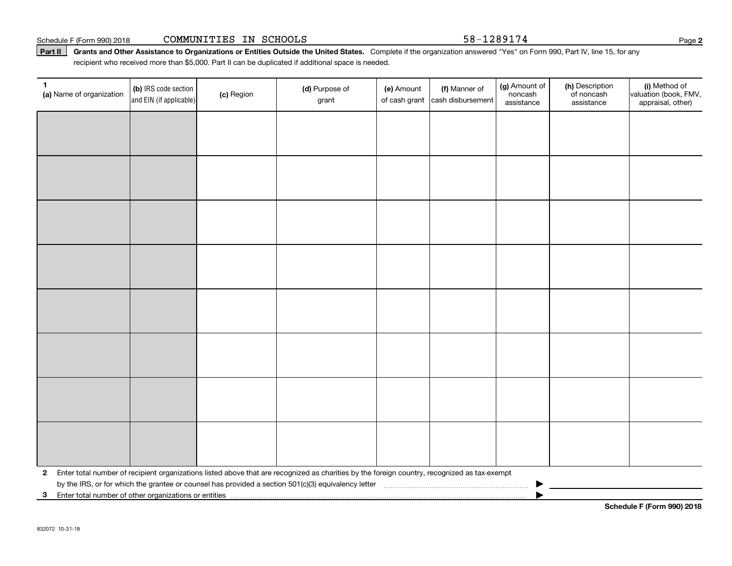Schedule F (Form 990) 2018 COMMUNITIES IN SCHOOLS 58-1289174 Page

Part II | Grants and Other Assistance to Organizations or Entities Outside the United States. Complete if the organization answered "Yes" on Form 990, Part IV, line 15, for any recipient who received more than \$5,000. Part II can be duplicated if additional space is needed.

| 1<br>(a) Name of organization                              | (b) IRS code section<br>and EIN (if applicable) | (c) Region | (d) Purpose of<br>grant                                                                                                                      | (e) Amount<br>of cash grant | (f) Manner of<br>cash disbursement | (g) Amount of<br>noncash<br>assistance | (h) Description<br>of noncash<br>assistance | (i) Method of<br>valuation (book, FMV,<br>appraisal, other) |
|------------------------------------------------------------|-------------------------------------------------|------------|----------------------------------------------------------------------------------------------------------------------------------------------|-----------------------------|------------------------------------|----------------------------------------|---------------------------------------------|-------------------------------------------------------------|
|                                                            |                                                 |            |                                                                                                                                              |                             |                                    |                                        |                                             |                                                             |
|                                                            |                                                 |            |                                                                                                                                              |                             |                                    |                                        |                                             |                                                             |
|                                                            |                                                 |            |                                                                                                                                              |                             |                                    |                                        |                                             |                                                             |
|                                                            |                                                 |            |                                                                                                                                              |                             |                                    |                                        |                                             |                                                             |
|                                                            |                                                 |            |                                                                                                                                              |                             |                                    |                                        |                                             |                                                             |
|                                                            |                                                 |            |                                                                                                                                              |                             |                                    |                                        |                                             |                                                             |
|                                                            |                                                 |            |                                                                                                                                              |                             |                                    |                                        |                                             |                                                             |
|                                                            |                                                 |            |                                                                                                                                              |                             |                                    |                                        |                                             |                                                             |
|                                                            |                                                 |            |                                                                                                                                              |                             |                                    |                                        |                                             |                                                             |
|                                                            |                                                 |            |                                                                                                                                              |                             |                                    |                                        |                                             |                                                             |
|                                                            |                                                 |            |                                                                                                                                              |                             |                                    |                                        |                                             |                                                             |
|                                                            |                                                 |            |                                                                                                                                              |                             |                                    |                                        |                                             |                                                             |
|                                                            |                                                 |            |                                                                                                                                              |                             |                                    |                                        |                                             |                                                             |
|                                                            |                                                 |            |                                                                                                                                              |                             |                                    |                                        |                                             |                                                             |
|                                                            |                                                 |            |                                                                                                                                              |                             |                                    |                                        |                                             |                                                             |
|                                                            |                                                 |            |                                                                                                                                              |                             |                                    |                                        |                                             |                                                             |
| 2                                                          |                                                 |            | Enter total number of recipient organizations listed above that are recognized as charities by the foreign country, recognized as tax-exempt |                             |                                    |                                        |                                             |                                                             |
| Enter total number of other organizations or entities<br>3 |                                                 |            |                                                                                                                                              |                             |                                    |                                        |                                             |                                                             |

**Schedule F (Form 990) 2018**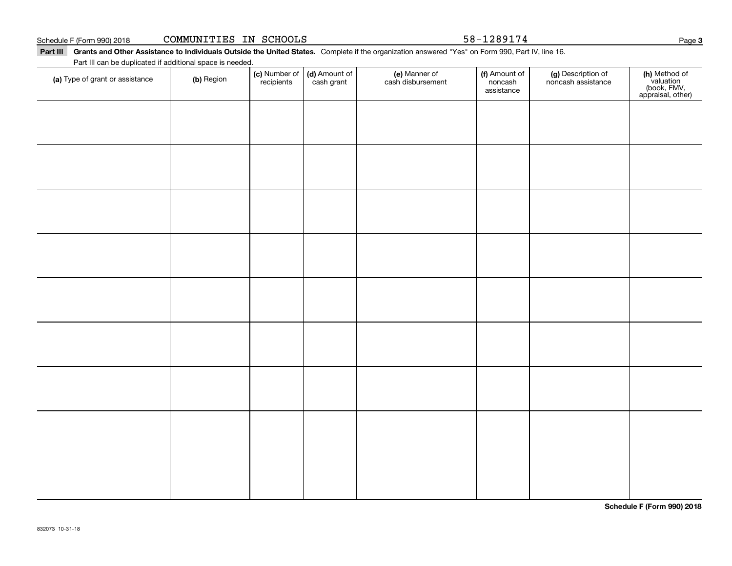Part III Grants and Other Assistance to Individuals Outside the United States. Complete if the organization answered "Yes" on Form 990, Part IV, line 16.

Part III can be duplicated if additional space is needed.

| r are in barribe dephoated in additional opabe is neceded<br>(a) Type of grant or assistance | (b) Region | (c) Number of (d) Amount of<br>recipients cash grant | (e) Manner of<br>cash disbursement | (f) Amount of<br>noncash<br>assistance | (g) Description of<br>noncash assistance | (h) Method of<br>valuation<br>(book, FMV,<br>appraisal, other) |
|----------------------------------------------------------------------------------------------|------------|------------------------------------------------------|------------------------------------|----------------------------------------|------------------------------------------|----------------------------------------------------------------|
|                                                                                              |            |                                                      |                                    |                                        |                                          |                                                                |
|                                                                                              |            |                                                      |                                    |                                        |                                          |                                                                |
|                                                                                              |            |                                                      |                                    |                                        |                                          |                                                                |
|                                                                                              |            |                                                      |                                    |                                        |                                          |                                                                |
|                                                                                              |            |                                                      |                                    |                                        |                                          |                                                                |
|                                                                                              |            |                                                      |                                    |                                        |                                          |                                                                |
|                                                                                              |            |                                                      |                                    |                                        |                                          |                                                                |
|                                                                                              |            |                                                      |                                    |                                        |                                          |                                                                |
|                                                                                              |            |                                                      |                                    |                                        |                                          |                                                                |
|                                                                                              |            |                                                      |                                    |                                        |                                          |                                                                |

**Schedule F (Form 990) 2018**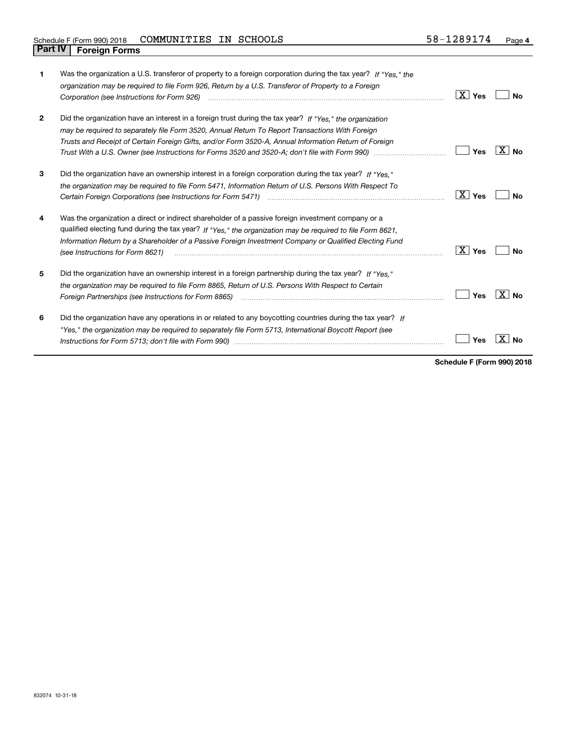| 1            | Was the organization a U.S. transferor of property to a foreign corporation during the tax year? If "Yes," the<br>organization may be required to file Form 926, Return by a U.S. Transferor of Property to a Foreign                                                                                                                                                                                                                                   | $\vert X \vert$ Yes         | Nο      |
|--------------|---------------------------------------------------------------------------------------------------------------------------------------------------------------------------------------------------------------------------------------------------------------------------------------------------------------------------------------------------------------------------------------------------------------------------------------------------------|-----------------------------|---------|
| $\mathbf{2}$ | Did the organization have an interest in a foreign trust during the tax year? If "Yes," the organization<br>may be required to separately file Form 3520, Annual Return To Report Transactions With Foreign<br>Trusts and Receipt of Certain Foreign Gifts, and/or Form 3520-A, Annual Information Return of Foreign<br>Trust With a U.S. Owner (see Instructions for Forms 3520 and 3520-A; don't file with Form 990) manual manual manual             | Yes                         | ∣X I No |
| 3            | Did the organization have an ownership interest in a foreign corporation during the tax year? If "Yes."<br>the organization may be required to file Form 5471, Information Return of U.S. Persons With Respect To                                                                                                                                                                                                                                       | $\overline{\mathbf{X}}$ Yes | Nο      |
| 4            | Was the organization a direct or indirect shareholder of a passive foreign investment company or a<br>qualified electing fund during the tax year? If "Yes," the organization may be required to file Form 8621,<br>Information Return by a Shareholder of a Passive Foreign Investment Company or Qualified Electing Fund<br>(see Instructions for Form 8621)                                                                                          | ∣ X ∣ γes                   | No      |
| 5            | Did the organization have an ownership interest in a foreign partnership during the tax year? If "Yes."<br>the organization may be required to file Form 8865, Return of U.S. Persons With Respect to Certain<br>Foreign Partnerships (see Instructions for Form 8865)                                                                                                                                                                                  | Yes                         | X∣No    |
| 6            | Did the organization have any operations in or related to any boycotting countries during the tax year? If<br>"Yes," the organization may be required to separately file Form 5713, International Boycott Report (see<br>Instructions for Form 5713; don't file with Form 990) manufactured and the content of the content of the content of the content of the content of the content of the content of the content of the content of the content of t | Yes                         |         |

**Schedule F (Form 990) 2018**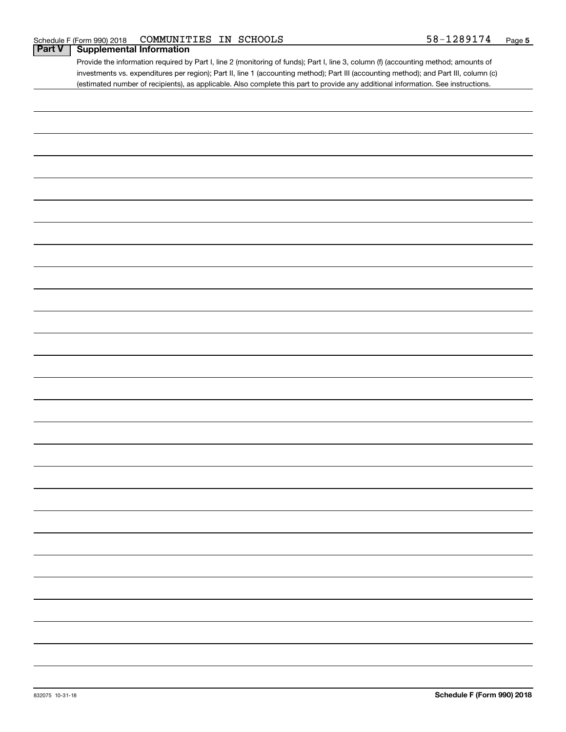## **Part V Supplemental Information**

Provide the information required by Part I, line 2 (monitoring of funds); Part I, line 3, column (f) (accounting method; amounts of investments vs. expenditures per region); Part II, line 1 (accounting method); Part III (accounting method); and Part III, column (c) (estimated number of recipients), as applicable. Also complete this part to provide any additional information. See instructions.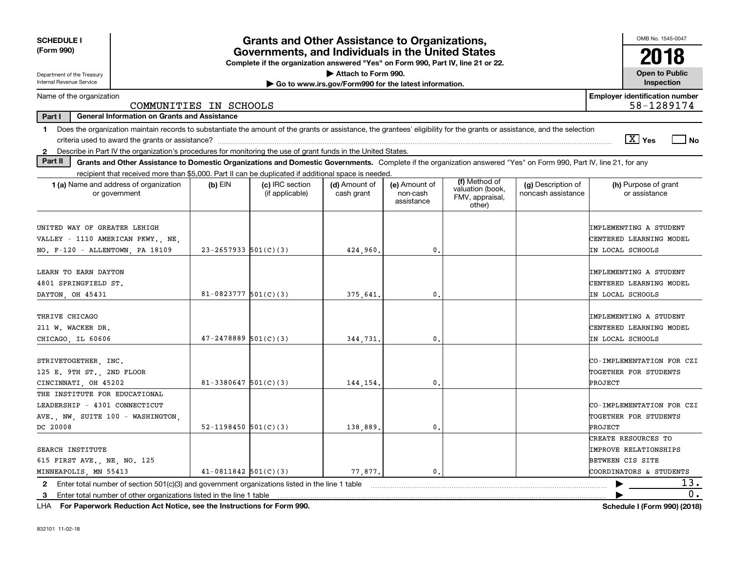| <b>SCHEDULE I</b><br>(Form 990)                                                                                                                                               |                            | <b>Grants and Other Assistance to Organizations,</b><br>Governments, and Individuals in the United States |                                                       |                                         |                                                                |                                          | OMB No. 1545-0047<br>2018                                                                   |
|-------------------------------------------------------------------------------------------------------------------------------------------------------------------------------|----------------------------|-----------------------------------------------------------------------------------------------------------|-------------------------------------------------------|-----------------------------------------|----------------------------------------------------------------|------------------------------------------|---------------------------------------------------------------------------------------------|
| Complete if the organization answered "Yes" on Form 990, Part IV, line 21 or 22.<br>Attach to Form 990.                                                                       |                            |                                                                                                           |                                                       |                                         |                                                                |                                          |                                                                                             |
| Department of the Treasury<br>Internal Revenue Service                                                                                                                        |                            |                                                                                                           | Go to www.irs.gov/Form990 for the latest information. |                                         |                                                                |                                          | Open to Public<br>Inspection                                                                |
| Name of the organization                                                                                                                                                      |                            |                                                                                                           |                                                       |                                         |                                                                |                                          | <b>Employer identification number</b><br>58-1289174                                         |
| Part I<br><b>General Information on Grants and Assistance</b>                                                                                                                 | COMMUNITIES IN SCHOOLS     |                                                                                                           |                                                       |                                         |                                                                |                                          |                                                                                             |
| Does the organization maintain records to substantiate the amount of the grants or assistance, the grantees' eligibility for the grants or assistance, and the selection      |                            |                                                                                                           |                                                       |                                         |                                                                |                                          |                                                                                             |
| $\mathbf{1}$                                                                                                                                                                  |                            |                                                                                                           |                                                       |                                         |                                                                |                                          | $\boxed{\text{X}}$ Yes<br>  No                                                              |
| Describe in Part IV the organization's procedures for monitoring the use of grant funds in the United States.<br>$\mathbf{2}$                                                 |                            |                                                                                                           |                                                       |                                         |                                                                |                                          |                                                                                             |
| Part II<br>Grants and Other Assistance to Domestic Organizations and Domestic Governments. Complete if the organization answered "Yes" on Form 990, Part IV, line 21, for any |                            |                                                                                                           |                                                       |                                         |                                                                |                                          |                                                                                             |
| recipient that received more than \$5,000. Part II can be duplicated if additional space is needed.                                                                           |                            |                                                                                                           |                                                       |                                         |                                                                |                                          |                                                                                             |
| <b>1 (a)</b> Name and address of organization<br>or government                                                                                                                | $(b)$ EIN                  | (c) IRC section<br>(if applicable)                                                                        | (d) Amount of<br>cash grant                           | (e) Amount of<br>non-cash<br>assistance | (f) Method of<br>valuation (book,<br>FMV, appraisal,<br>other) | (g) Description of<br>noncash assistance | (h) Purpose of grant<br>or assistance                                                       |
| UNITED WAY OF GREATER LEHIGH<br>VALLEY - 1110 AMERICAN PKWY., NE,<br>NO. F-120 - ALLENTOWN, PA 18109                                                                          | $23 - 2657933$ $501(C)(3)$ |                                                                                                           | 424,960                                               | $\mathbf{0}$                            |                                                                |                                          | IMPLEMENTING A STUDENT<br>CENTERED LEARNING MODEL<br>IN LOCAL SCHOOLS                       |
| LEARN TO EARN DAYTON<br>4801 SPRINGFIELD ST.<br>DAYTON, OH 45431                                                                                                              | 81-0823777 $501(C)(3)$     |                                                                                                           | 375,641                                               | $\mathbf{0}$                            |                                                                |                                          | IMPLEMENTING A STUDENT<br>CENTERED LEARNING MODEL<br>IN LOCAL SCHOOLS                       |
| THRIVE CHICAGO<br>211 W. WACKER DR.<br>CHICAGO, IL 60606                                                                                                                      | $47 - 2478889$ 501(C)(3)   |                                                                                                           | 344,731.                                              | $\mathbf{0}$                            |                                                                |                                          | IMPLEMENTING A STUDENT<br>CENTERED LEARNING MODEL<br>IN LOCAL SCHOOLS                       |
| STRIVETOGETHER, INC.<br>125 E. 9TH ST., 2ND FLOOR<br>CINCINNATI, OH 45202                                                                                                     | $81 - 3380647$ $501(C)(3)$ |                                                                                                           | 144.154.                                              | $\mathbf{0}$                            |                                                                |                                          | CO-IMPLEMENTATION FOR CZI<br>TOGETHER FOR STUDENTS<br>PROJECT                               |
| THE INSTITUTE FOR EDUCATIONAL<br>LEADERSHIP - 4301 CONNECTICUT<br>AVE., NW, SUITE 100 - WASHINGTON,<br>DC 20008                                                               | 52-1198450 $501(C)(3)$     |                                                                                                           | 138,889                                               | $\mathbf 0$ .                           |                                                                |                                          | CO-IMPLEMENTATION FOR CZI<br>TOGETHER FOR STUDENTS<br>PROJECT                               |
| SEARCH INSTITUTE<br>615 FIRST AVE., NE, NO. 125<br>MINNEAPOLIS, MN 55413                                                                                                      | $41-0811842$ $501(C)(3)$   |                                                                                                           | 77,877.                                               | $\mathbf{0}$                            |                                                                |                                          | CREATE RESOURCES TO<br>IMPROVE RELATIONSHIPS<br>BETWEEN CIS SITE<br>COORDINATORS & STUDENTS |
| Enter total number of section 501(c)(3) and government organizations listed in the line 1 table<br>$\mathbf{2}$                                                               |                            |                                                                                                           |                                                       |                                         |                                                                |                                          | 13.                                                                                         |
| Enter total number of other organizations listed in the line 1 table<br>3                                                                                                     |                            |                                                                                                           |                                                       |                                         |                                                                |                                          | 0.                                                                                          |

**For Paperwork Reduction Act Notice, see the Instructions for Form 990. Schedule I (Form 990) (2018)** LHA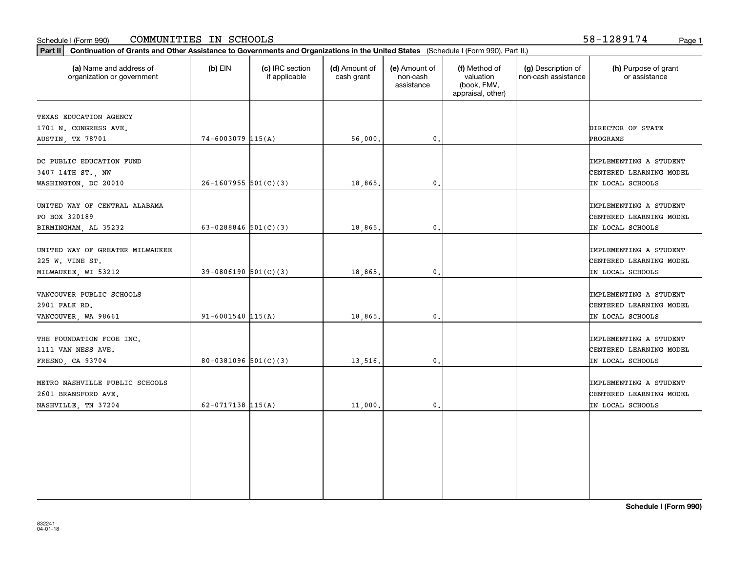#### Schedule I (Form 990) **COMMUNITIES IN SCHOOLS** 58-1289174 <sub>Page 1</sub>

| (a) Name and address of<br>organization or government | $(b)$ EIN                  | (c) IRC section<br>if applicable | (d) Amount of<br>cash grant | (e) Amount of<br>non-cash<br>assistance | (f) Method of<br>valuation<br>(book, FMV,<br>appraisal, other) | (g) Description of<br>non-cash assistance | (h) Purpose of grant<br>or assistance             |
|-------------------------------------------------------|----------------------------|----------------------------------|-----------------------------|-----------------------------------------|----------------------------------------------------------------|-------------------------------------------|---------------------------------------------------|
| TEXAS EDUCATION AGENCY                                |                            |                                  |                             |                                         |                                                                |                                           |                                                   |
| 1701 N. CONGRESS AVE.                                 |                            |                                  |                             |                                         |                                                                |                                           | DIRECTOR OF STATE                                 |
| AUSTIN, TX 78701                                      | $74 - 6003079$ 115(A)      |                                  | 56,000.                     | 0.                                      |                                                                |                                           | <b>PROGRAMS</b>                                   |
| DC PUBLIC EDUCATION FUND                              |                            |                                  |                             |                                         |                                                                |                                           |                                                   |
|                                                       |                            |                                  |                             |                                         |                                                                |                                           | IMPLEMENTING A STUDENT<br>CENTERED LEARNING MODEL |
| 3407 14TH ST., NW                                     |                            |                                  |                             |                                         |                                                                |                                           |                                                   |
| WASHINGTON, DC 20010                                  | $26-1607955$ 501(C)(3)     |                                  | 18,865.                     | $\mathbf{0}$                            |                                                                |                                           | IN LOCAL SCHOOLS                                  |
| UNITED WAY OF CENTRAL ALABAMA                         |                            |                                  |                             |                                         |                                                                |                                           | <b>IMPLEMENTING A STUDENT</b>                     |
| PO BOX 320189                                         |                            |                                  |                             |                                         |                                                                |                                           | CENTERED LEARNING MODEL                           |
| BIRMINGHAM, AL 35232                                  | 63-0288846 $501(C)(3)$     |                                  | 18,865.                     | $\mathbf{0}$                            |                                                                |                                           | IN LOCAL SCHOOLS                                  |
|                                                       |                            |                                  |                             |                                         |                                                                |                                           |                                                   |
| UNITED WAY OF GREATER MILWAUKEE                       |                            |                                  |                             |                                         |                                                                |                                           | <b>IMPLEMENTING A STUDENT</b>                     |
| 225 W. VINE ST.                                       |                            |                                  |                             |                                         |                                                                |                                           | CENTERED LEARNING MODEL                           |
| MILWAUKEE, WI 53212                                   | $39-0806190$ $501(C)(3)$   |                                  | 18,865.                     | 0.                                      |                                                                |                                           | IN LOCAL SCHOOLS                                  |
|                                                       |                            |                                  |                             |                                         |                                                                |                                           |                                                   |
| VANCOUVER PUBLIC SCHOOLS                              |                            |                                  |                             |                                         |                                                                |                                           | <b>IMPLEMENTING A STUDENT</b>                     |
| 2901 FALK RD.                                         |                            |                                  |                             |                                         |                                                                |                                           | CENTERED LEARNING MODEL                           |
| VANCOUVER, WA 98661                                   | $91 - 6001540$ 115(A)      |                                  | 18,865.                     | 0.                                      |                                                                |                                           | IN LOCAL SCHOOLS                                  |
|                                                       |                            |                                  |                             |                                         |                                                                |                                           |                                                   |
| THE FOUNDATION FCOE INC.                              |                            |                                  |                             |                                         |                                                                |                                           | IMPLEMENTING A STUDENT                            |
| 1111 VAN NESS AVE.                                    |                            |                                  |                             |                                         |                                                                |                                           | CENTERED LEARNING MODEL                           |
| FRESNO, CA 93704                                      | $80 - 0381096$ $501(C)(3)$ |                                  | 13,516.                     | 0.                                      |                                                                |                                           | IN LOCAL SCHOOLS                                  |
|                                                       |                            |                                  |                             |                                         |                                                                |                                           |                                                   |
| METRO NASHVILLE PUBLIC SCHOOLS                        |                            |                                  |                             |                                         |                                                                |                                           | IMPLEMENTING A STUDENT                            |
| 2601 BRANSFORD AVE.                                   |                            |                                  |                             |                                         |                                                                |                                           | CENTERED LEARNING MODEL                           |
| NASHVILLE, TN 37204                                   | 62-0717138 115(A)          |                                  | 11,000.                     | 0.                                      |                                                                |                                           | IN LOCAL SCHOOLS                                  |
|                                                       |                            |                                  |                             |                                         |                                                                |                                           |                                                   |
|                                                       |                            |                                  |                             |                                         |                                                                |                                           |                                                   |
|                                                       |                            |                                  |                             |                                         |                                                                |                                           |                                                   |
|                                                       |                            |                                  |                             |                                         |                                                                |                                           |                                                   |
|                                                       |                            |                                  |                             |                                         |                                                                |                                           |                                                   |
|                                                       |                            |                                  |                             |                                         |                                                                |                                           |                                                   |
|                                                       |                            |                                  |                             |                                         |                                                                |                                           |                                                   |
|                                                       |                            |                                  |                             |                                         |                                                                |                                           |                                                   |

**Schedule I (Form 990)**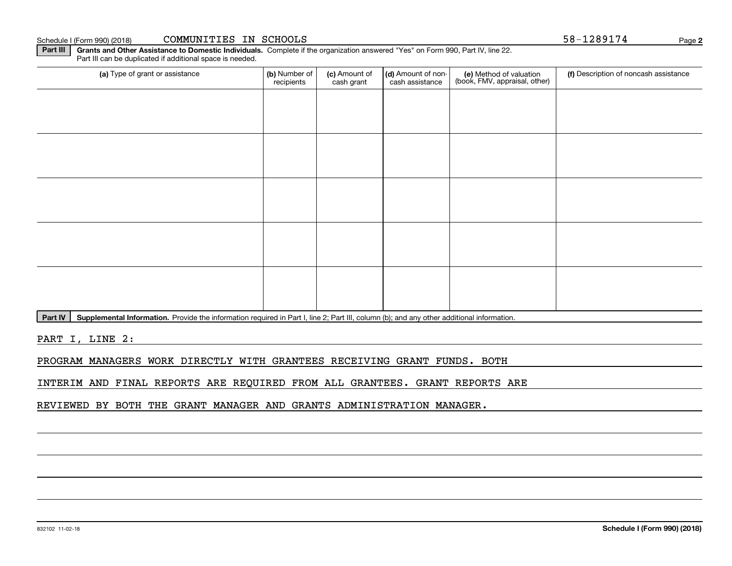832102 11-02-18

#### Schedule I (Form 990) (2018) COMMUNITIES IN SCHOOLS 5 8-1289174 Page

**Part III | Grants and Other Assistance to Domestic Individuals. Complete if the organization answered "Yes" on Form 990, Part IV, line 22.** Part III can be duplicated if additional space is needed.

| (a) Type of grant or assistance | (b) Number of<br>recipients | (c) Amount of<br>cash grant | (d) Amount of non-<br>cash assistance | (e) Method of valuation<br>(book, FMV, appraisal, other) | (f) Description of noncash assistance |
|---------------------------------|-----------------------------|-----------------------------|---------------------------------------|----------------------------------------------------------|---------------------------------------|
|                                 |                             |                             |                                       |                                                          |                                       |
|                                 |                             |                             |                                       |                                                          |                                       |
|                                 |                             |                             |                                       |                                                          |                                       |
|                                 |                             |                             |                                       |                                                          |                                       |
|                                 |                             |                             |                                       |                                                          |                                       |
|                                 |                             |                             |                                       |                                                          |                                       |
|                                 |                             |                             |                                       |                                                          |                                       |
|                                 |                             |                             |                                       |                                                          |                                       |
|                                 |                             |                             |                                       |                                                          |                                       |
|                                 |                             |                             |                                       |                                                          |                                       |

Part IV | Supplemental Information. Provide the information required in Part I, line 2; Part III, column (b); and any other additional information.

PART I, LINE 2:

PROGRAM MANAGERS WORK DIRECTLY WITH GRANTEES RECEIVING GRANT FUNDS. BOTH

INTERIM AND FINAL REPORTS ARE REQUIRED FROM ALL GRANTEES. GRANT REPORTS ARE

REVIEWED BY BOTH THE GRANT MANAGER AND GRANTS ADMINISTRATION MANAGER.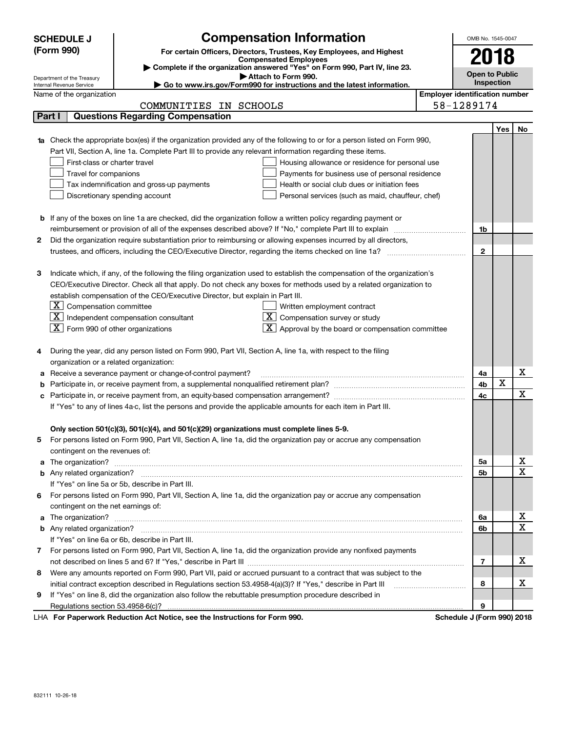|    | <b>SCHEDULE J</b>                                                                                                                                                                                                                    | <b>Compensation Information</b>                                                                                           |  | OMB No. 1545-0047                 |                                       |    |  |  |  |  |
|----|--------------------------------------------------------------------------------------------------------------------------------------------------------------------------------------------------------------------------------------|---------------------------------------------------------------------------------------------------------------------------|--|-----------------------------------|---------------------------------------|----|--|--|--|--|
|    | (Form 990)                                                                                                                                                                                                                           | For certain Officers, Directors, Trustees, Key Employees, and Highest                                                     |  | 2018                              |                                       |    |  |  |  |  |
|    | <b>Compensated Employees</b>                                                                                                                                                                                                         |                                                                                                                           |  |                                   |                                       |    |  |  |  |  |
|    | Complete if the organization answered "Yes" on Form 990, Part IV, line 23.<br><b>Open to Public</b>                                                                                                                                  |                                                                                                                           |  |                                   |                                       |    |  |  |  |  |
|    | Attach to Form 990.<br>Department of the Treasury<br>Inspection<br>Go to www.irs.gov/Form990 for instructions and the latest information.<br>Internal Revenue Service                                                                |                                                                                                                           |  |                                   |                                       |    |  |  |  |  |
|    | Name of the organization                                                                                                                                                                                                             |                                                                                                                           |  |                                   | <b>Employer identification number</b> |    |  |  |  |  |
|    |                                                                                                                                                                                                                                      | COMMUNITIES IN SCHOOLS                                                                                                    |  | 58-1289174                        |                                       |    |  |  |  |  |
|    | Part I                                                                                                                                                                                                                               | <b>Questions Regarding Compensation</b>                                                                                   |  |                                   |                                       |    |  |  |  |  |
|    |                                                                                                                                                                                                                                      |                                                                                                                           |  |                                   | Yes                                   | No |  |  |  |  |
|    |                                                                                                                                                                                                                                      | 1a Check the appropriate box(es) if the organization provided any of the following to or for a person listed on Form 990, |  |                                   |                                       |    |  |  |  |  |
|    |                                                                                                                                                                                                                                      | Part VII, Section A, line 1a. Complete Part III to provide any relevant information regarding these items.                |  |                                   |                                       |    |  |  |  |  |
|    | First-class or charter travel                                                                                                                                                                                                        | Housing allowance or residence for personal use                                                                           |  |                                   |                                       |    |  |  |  |  |
|    | Travel for companions                                                                                                                                                                                                                | Payments for business use of personal residence                                                                           |  |                                   |                                       |    |  |  |  |  |
|    |                                                                                                                                                                                                                                      | Tax indemnification and gross-up payments<br>Health or social club dues or initiation fees                                |  |                                   |                                       |    |  |  |  |  |
|    |                                                                                                                                                                                                                                      | Discretionary spending account<br>Personal services (such as maid, chauffeur, chef)                                       |  |                                   |                                       |    |  |  |  |  |
|    |                                                                                                                                                                                                                                      |                                                                                                                           |  |                                   |                                       |    |  |  |  |  |
|    |                                                                                                                                                                                                                                      | <b>b</b> If any of the boxes on line 1a are checked, did the organization follow a written policy regarding payment or    |  |                                   |                                       |    |  |  |  |  |
|    |                                                                                                                                                                                                                                      |                                                                                                                           |  | 1b                                |                                       |    |  |  |  |  |
| 2  |                                                                                                                                                                                                                                      | Did the organization require substantiation prior to reimbursing or allowing expenses incurred by all directors,          |  |                                   |                                       |    |  |  |  |  |
|    |                                                                                                                                                                                                                                      |                                                                                                                           |  | $\mathbf{2}$                      |                                       |    |  |  |  |  |
|    |                                                                                                                                                                                                                                      |                                                                                                                           |  |                                   |                                       |    |  |  |  |  |
| З  |                                                                                                                                                                                                                                      | Indicate which, if any, of the following the filing organization used to establish the compensation of the organization's |  |                                   |                                       |    |  |  |  |  |
|    |                                                                                                                                                                                                                                      | CEO/Executive Director. Check all that apply. Do not check any boxes for methods used by a related organization to        |  |                                   |                                       |    |  |  |  |  |
|    |                                                                                                                                                                                                                                      | establish compensation of the CEO/Executive Director, but explain in Part III.                                            |  |                                   |                                       |    |  |  |  |  |
|    | $X$ Compensation committee                                                                                                                                                                                                           | Written employment contract                                                                                               |  |                                   |                                       |    |  |  |  |  |
|    |                                                                                                                                                                                                                                      | $X$ Independent compensation consultant<br>$X$ Compensation survey or study                                               |  |                                   |                                       |    |  |  |  |  |
|    | $X$ Form 990 of other organizations                                                                                                                                                                                                  | $X$ Approval by the board or compensation committee                                                                       |  |                                   |                                       |    |  |  |  |  |
|    |                                                                                                                                                                                                                                      |                                                                                                                           |  |                                   |                                       |    |  |  |  |  |
| 4  |                                                                                                                                                                                                                                      | During the year, did any person listed on Form 990, Part VII, Section A, line 1a, with respect to the filing              |  |                                   |                                       |    |  |  |  |  |
|    | organization or a related organization:                                                                                                                                                                                              |                                                                                                                           |  |                                   |                                       |    |  |  |  |  |
| а  |                                                                                                                                                                                                                                      | Receive a severance payment or change-of-control payment?                                                                 |  | 4a                                |                                       | х  |  |  |  |  |
| b  |                                                                                                                                                                                                                                      |                                                                                                                           |  | 4b                                | X                                     |    |  |  |  |  |
| c  |                                                                                                                                                                                                                                      |                                                                                                                           |  | 4с                                |                                       | х  |  |  |  |  |
|    |                                                                                                                                                                                                                                      | If "Yes" to any of lines 4a-c, list the persons and provide the applicable amounts for each item in Part III.             |  |                                   |                                       |    |  |  |  |  |
|    |                                                                                                                                                                                                                                      |                                                                                                                           |  |                                   |                                       |    |  |  |  |  |
|    |                                                                                                                                                                                                                                      | Only section 501(c)(3), 501(c)(4), and 501(c)(29) organizations must complete lines 5-9.                                  |  |                                   |                                       |    |  |  |  |  |
|    |                                                                                                                                                                                                                                      | For persons listed on Form 990, Part VII, Section A, line 1a, did the organization pay or accrue any compensation         |  |                                   |                                       |    |  |  |  |  |
|    | contingent on the revenues of:                                                                                                                                                                                                       |                                                                                                                           |  |                                   |                                       |    |  |  |  |  |
|    |                                                                                                                                                                                                                                      | a The organization? <b>Constitution</b> and the organization?                                                             |  | 5a                                |                                       | х  |  |  |  |  |
|    |                                                                                                                                                                                                                                      |                                                                                                                           |  | 5b                                |                                       | Χ  |  |  |  |  |
|    |                                                                                                                                                                                                                                      | If "Yes" on line 5a or 5b, describe in Part III.                                                                          |  |                                   |                                       |    |  |  |  |  |
| 6. |                                                                                                                                                                                                                                      | For persons listed on Form 990, Part VII, Section A, line 1a, did the organization pay or accrue any compensation         |  |                                   |                                       |    |  |  |  |  |
|    | contingent on the net earnings of:                                                                                                                                                                                                   |                                                                                                                           |  |                                   |                                       | х  |  |  |  |  |
| a  | The organization? <b>With the contract of the contract of the contract of the contract of the contract of the contract of the contract of the contract of the contract of the contract of the contract of the contract of the co</b> |                                                                                                                           |  |                                   |                                       |    |  |  |  |  |
|    | 6b                                                                                                                                                                                                                                   |                                                                                                                           |  |                                   |                                       |    |  |  |  |  |
|    |                                                                                                                                                                                                                                      | If "Yes" on line 6a or 6b, describe in Part III.                                                                          |  |                                   |                                       |    |  |  |  |  |
| 7  |                                                                                                                                                                                                                                      | For persons listed on Form 990, Part VII, Section A, line 1a, did the organization provide any nonfixed payments          |  |                                   |                                       |    |  |  |  |  |
|    |                                                                                                                                                                                                                                      |                                                                                                                           |  | 7                                 |                                       | х  |  |  |  |  |
| 8  |                                                                                                                                                                                                                                      | Were any amounts reported on Form 990, Part VII, paid or accrued pursuant to a contract that was subject to the           |  |                                   |                                       |    |  |  |  |  |
|    |                                                                                                                                                                                                                                      | initial contract exception described in Regulations section 53.4958-4(a)(3)? If "Yes," describe in Part III               |  | 8                                 |                                       | х  |  |  |  |  |
| 9  |                                                                                                                                                                                                                                      | If "Yes" on line 8, did the organization also follow the rebuttable presumption procedure described in                    |  |                                   |                                       |    |  |  |  |  |
|    | Regulations section 53.4958-6(c)?                                                                                                                                                                                                    | nonuouk Deduction Act Notice, ace the Instructions for Form 000.                                                          |  | 9<br>Cahadrila, L/Eauna 000) 0040 |                                       |    |  |  |  |  |

LHA For Paperwork Reduction Act Notice, see the Instructions for Form 990. Schedule J (Form 990) 2018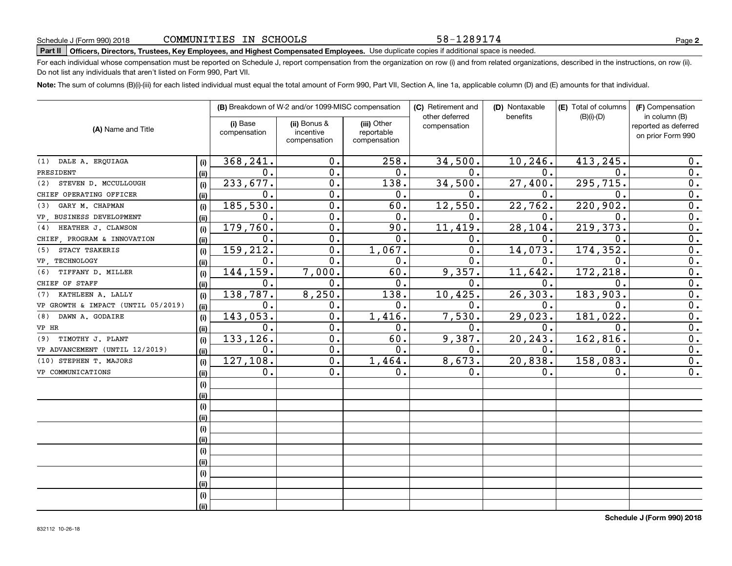# **Part II Officers, Directors, Trustees, Key Employees, and Highest Compensated Employees.**  Schedule J (Form 990) 2018 Page Use duplicate copies if additional space is needed.

For each individual whose compensation must be reported on Schedule J, report compensation from the organization on row (i) and from related organizations, described in the instructions, on row (ii). Do not list any individuals that aren't listed on Form 990, Part VII.

**Note:**  The sum of columns (B)(i)-(iii) for each listed individual must equal the total amount of Form 990, Part VII, Section A, line 1a, applicable column (D) and (E) amounts for that individual.

|                                    |      | (B) Breakdown of W-2 and/or 1099-MISC compensation |                                           | (C) Retirement and<br>other deferred      | (D) Nontaxable<br>benefits | (E) Total of columns<br>$(B)(i)-(D)$ | (F) Compensation<br>in column (B) |                                           |
|------------------------------------|------|----------------------------------------------------|-------------------------------------------|-------------------------------------------|----------------------------|--------------------------------------|-----------------------------------|-------------------------------------------|
| (A) Name and Title                 |      | (i) Base<br>compensation                           | (ii) Bonus &<br>incentive<br>compensation | (iii) Other<br>reportable<br>compensation | compensation               |                                      |                                   | reported as deferred<br>on prior Form 990 |
|                                    |      |                                                    |                                           |                                           |                            |                                      |                                   |                                           |
| (1) DALE A. ERQUIAGA               | (i)  | 368,241.                                           | 0.                                        | 258.                                      | 34,500.                    | 10, 246.                             | 413,245                           | 0.                                        |
| PRESIDENT                          | (ii) | $\mathbf 0$ .                                      | 0.                                        | 0.                                        | 0.                         | 0.                                   | 0.                                | 0.                                        |
| STEVEN D. MCCULLOUGH<br>(2)        | (i)  | 233, 677.                                          | 0.                                        | 138.                                      | 34,500.                    | 27,400.                              | 295, 715.                         | 0.                                        |
| CHIEF OPERATING OFFICER            | (ii) | $\mathbf{0}$ .                                     | $\overline{0}$ .                          | 0.                                        | 0.                         | $\mathbf 0$ .                        | $\mathbf{0}$ .                    | $\overline{0}$ .                          |
| GARY M. CHAPMAN<br>(3)             | (i)  | 185,530.                                           | $\overline{0}$ .                          | 60.                                       | 12,550.                    | 22,762.                              | 220,902.                          | 0.                                        |
| VP BUSINESS DEVELOPMENT            | (ii) | $\mathbf 0$ .                                      | 0.                                        | 0.                                        | 0.                         | 0.                                   | $\mathbf{0}$ .                    | 0.                                        |
| HEATHER J. CLAWSON<br>(4)          | (i)  | 179,760.                                           | 0.                                        | 90.                                       | 11, 419.                   | 28,104.                              | 219, 373.                         | 0.                                        |
| CHIEF, PROGRAM & INNOVATION        | (ii) | $\mathbf 0$ .                                      | 0.                                        | 0.                                        | $\mathbf 0$ .              | 0.                                   | $\mathbf 0$ .                     | 0.                                        |
| STACY TSAKERIS<br>(5)              | (i)  | 159,212.                                           | 0.                                        | 1,067.                                    | 0.                         | 14,073.                              | 174,352.                          | 0.                                        |
| VP TECHNOLOGY                      | (ii) | $\mathbf 0$ .                                      | $\mathbf 0$ .                             | 0.                                        | $\Omega$ .                 | 0.                                   | $\Omega$ .                        | 0.                                        |
| (6)<br>TIFFANY D. MILLER           | (i)  | 144,159.                                           | 7,000.                                    | 60.                                       | 9,357.                     | 11,642.                              | 172,218                           | 0.                                        |
| CHIEF OF STAFF                     | (ii) | $\mathbf 0$ .                                      | 0.                                        | 0.                                        | $\mathbf 0$ .              | $\mathbf 0$ .                        | $\mathbf{0}$ .                    | 0.                                        |
| KATHLEEN A. LALLY<br>(7)           | (i)  | 138,787.                                           | 8,250.                                    | 138.                                      | 10,425.                    | 26, 303.                             | 183,903.                          | $\overline{0}$ .                          |
| VP GROWTH & IMPACT (UNTIL 05/2019) | (ii) | $\mathbf 0$ .                                      | 0.                                        | 0.                                        | $\mathbf 0$ .              | 0.                                   | $\mathbf 0$                       | 0.                                        |
| DAWN A. GODAIRE<br>(8)             | (i)  | 143,053.                                           | $\mathbf 0$ .                             | 1,416.                                    | 7,530.                     | 29,023.                              | 181, 022                          | 0.                                        |
| VP HR                              | (ii) | 0.                                                 | $\mathbf 0$ .                             | 0.                                        | 0.                         | 0.                                   | $\mathbf 0$ .                     | 0.                                        |
| (9) TIMOTHY J. PLANT               | (i)  | 133,126.                                           | 0.                                        | 60.                                       | 9,387.                     | 20,243.                              | 162, 816.                         | 0.                                        |
| VP ADVANCEMENT (UNTIL 12/2019)     | (ii) | 0.                                                 | 0.                                        | 0.                                        | 0.                         | 0.                                   | $\mathbf 0$ .                     | 0.                                        |
| (10) STEPHEN T. MAJORS             | (i)  | 127, 108.                                          | $\overline{0}$ .                          | 1,464.                                    | 8,673.                     | 20,838.                              | 158,083.                          | $\overline{0}$ .                          |
| VP COMMUNICATIONS                  | (ii) | $0$ .                                              | 0.                                        | 0.                                        | 0.                         | 0.                                   | 0.                                | 0.                                        |
|                                    | (i)  |                                                    |                                           |                                           |                            |                                      |                                   |                                           |
|                                    | (ii) |                                                    |                                           |                                           |                            |                                      |                                   |                                           |
|                                    | (i)  |                                                    |                                           |                                           |                            |                                      |                                   |                                           |
|                                    | (ii) |                                                    |                                           |                                           |                            |                                      |                                   |                                           |
|                                    | (i)  |                                                    |                                           |                                           |                            |                                      |                                   |                                           |
|                                    | (ii) |                                                    |                                           |                                           |                            |                                      |                                   |                                           |
|                                    | (i)  |                                                    |                                           |                                           |                            |                                      |                                   |                                           |
|                                    | (ii) |                                                    |                                           |                                           |                            |                                      |                                   |                                           |
|                                    | (i)  |                                                    |                                           |                                           |                            |                                      |                                   |                                           |
|                                    | (ii) |                                                    |                                           |                                           |                            |                                      |                                   |                                           |
|                                    | (i)  |                                                    |                                           |                                           |                            |                                      |                                   |                                           |
|                                    | (ii) |                                                    |                                           |                                           |                            |                                      |                                   |                                           |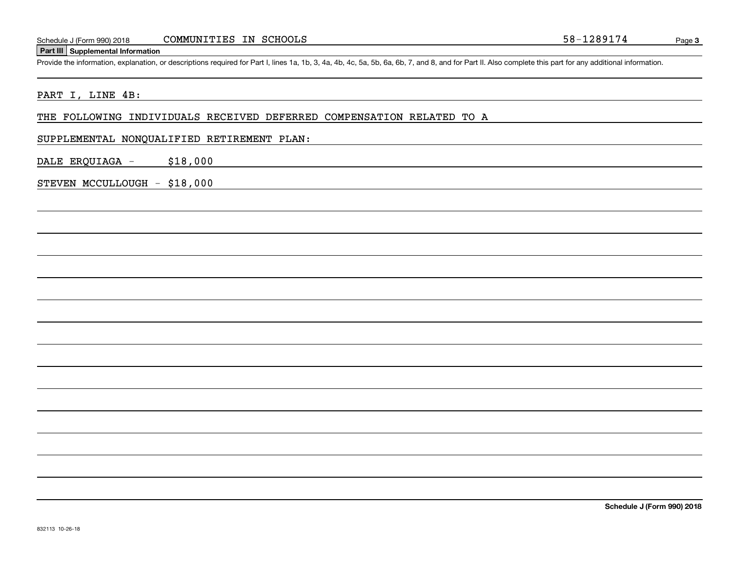# Schedule J (Form 990) 2018 COMMUNITIES IN SCHOOLS 58-1289174<br>
Part III Supplemental Information<br>
Provide the information, explanation, or descriptions required for Part I, lines 1a, 1b, 3, 4a, 4b, 4c, 5a, 5b, 6a, 6b, 7, an

#### PART I, LINE 4B:

#### THE FOLLOWING INDIVIDUALS RECEIVED DEFERRED COMPENSATION RELATED TO A

#### SUPPLEMENTAL NONQUALIFIED RETIREMENT PLAN:

DALE ERQUIAGA - \$18,000

STEVEN MCCULLOUGH - \$18,000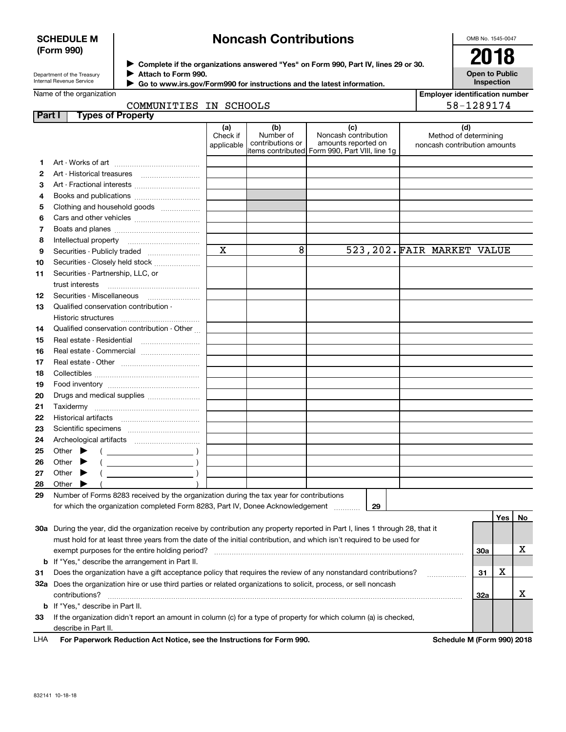#### **SCHEDULE M (Form 990)**

# **Noncash Contributions**

OMB No. 1545-0047

| Department of the Treasury |
|----------------------------|
| Internal Revenue Service   |

 $\blacktriangleright$ 

**Complete if the organizations answered "Yes" on Form 990, Part IV, lines 29 or 30.** <sup>J</sup>**2018 Attach to Form 990.** J

**Open to Public Inspection**

| Name of the organization<br><b>Employer identification number</b> |                                                                                                                                                                                                                                                         |                               |                                      |                                                                                                       |            |                                                              |     |    |
|-------------------------------------------------------------------|---------------------------------------------------------------------------------------------------------------------------------------------------------------------------------------------------------------------------------------------------------|-------------------------------|--------------------------------------|-------------------------------------------------------------------------------------------------------|------------|--------------------------------------------------------------|-----|----|
| COMMUNITIES IN SCHOOLS                                            |                                                                                                                                                                                                                                                         |                               |                                      |                                                                                                       | 58-1289174 |                                                              |     |    |
| Part I                                                            | <b>Types of Property</b>                                                                                                                                                                                                                                |                               |                                      |                                                                                                       |            |                                                              |     |    |
|                                                                   |                                                                                                                                                                                                                                                         | (a)<br>Check if<br>applicable | (b)<br>Number of<br>contributions or | (c)<br>Noncash contribution<br>amounts reported on<br>litems contributed Form 990, Part VIII, line 1g |            | (d)<br>Method of determining<br>noncash contribution amounts |     |    |
| 1.                                                                |                                                                                                                                                                                                                                                         |                               |                                      |                                                                                                       |            |                                                              |     |    |
| 2                                                                 |                                                                                                                                                                                                                                                         |                               |                                      |                                                                                                       |            |                                                              |     |    |
| з                                                                 | Art - Fractional interests                                                                                                                                                                                                                              |                               |                                      |                                                                                                       |            |                                                              |     |    |
| 4                                                                 | Books and publications                                                                                                                                                                                                                                  |                               |                                      |                                                                                                       |            |                                                              |     |    |
| 5                                                                 | Clothing and household goods                                                                                                                                                                                                                            |                               |                                      |                                                                                                       |            |                                                              |     |    |
| 6                                                                 |                                                                                                                                                                                                                                                         |                               |                                      |                                                                                                       |            |                                                              |     |    |
| 7                                                                 |                                                                                                                                                                                                                                                         |                               |                                      |                                                                                                       |            |                                                              |     |    |
| 8                                                                 |                                                                                                                                                                                                                                                         |                               |                                      |                                                                                                       |            |                                                              |     |    |
| 9                                                                 | Securities - Publicly traded                                                                                                                                                                                                                            | $\mathbf X$                   | 8                                    | 523, 202. FAIR MARKET VALUE                                                                           |            |                                                              |     |    |
| 10                                                                | Securities - Closely held stock                                                                                                                                                                                                                         |                               |                                      |                                                                                                       |            |                                                              |     |    |
| 11                                                                | Securities - Partnership, LLC, or                                                                                                                                                                                                                       |                               |                                      |                                                                                                       |            |                                                              |     |    |
|                                                                   | trust interests                                                                                                                                                                                                                                         |                               |                                      |                                                                                                       |            |                                                              |     |    |
| 12                                                                |                                                                                                                                                                                                                                                         |                               |                                      |                                                                                                       |            |                                                              |     |    |
| 13                                                                | Qualified conservation contribution -                                                                                                                                                                                                                   |                               |                                      |                                                                                                       |            |                                                              |     |    |
|                                                                   | Historic structures                                                                                                                                                                                                                                     |                               |                                      |                                                                                                       |            |                                                              |     |    |
| 14                                                                | Qualified conservation contribution - Other                                                                                                                                                                                                             |                               |                                      |                                                                                                       |            |                                                              |     |    |
| 15                                                                | Real estate - Residential                                                                                                                                                                                                                               |                               |                                      |                                                                                                       |            |                                                              |     |    |
| 16                                                                | Real estate - Commercial                                                                                                                                                                                                                                |                               |                                      |                                                                                                       |            |                                                              |     |    |
| 17                                                                |                                                                                                                                                                                                                                                         |                               |                                      |                                                                                                       |            |                                                              |     |    |
| 18                                                                |                                                                                                                                                                                                                                                         |                               |                                      |                                                                                                       |            |                                                              |     |    |
| 19                                                                |                                                                                                                                                                                                                                                         |                               |                                      |                                                                                                       |            |                                                              |     |    |
| 20                                                                | Drugs and medical supplies                                                                                                                                                                                                                              |                               |                                      |                                                                                                       |            |                                                              |     |    |
| 21                                                                |                                                                                                                                                                                                                                                         |                               |                                      |                                                                                                       |            |                                                              |     |    |
| 22                                                                |                                                                                                                                                                                                                                                         |                               |                                      |                                                                                                       |            |                                                              |     |    |
| 23                                                                |                                                                                                                                                                                                                                                         |                               |                                      |                                                                                                       |            |                                                              |     |    |
| 24                                                                |                                                                                                                                                                                                                                                         |                               |                                      |                                                                                                       |            |                                                              |     |    |
| 25                                                                | Other $\blacktriangleright$<br>$\left(\begin{array}{ccc}\n\end{array}\right)$                                                                                                                                                                           |                               |                                      |                                                                                                       |            |                                                              |     |    |
| 26                                                                | $($ $)$<br>Other $\blacktriangleright$                                                                                                                                                                                                                  |                               |                                      |                                                                                                       |            |                                                              |     |    |
| 27                                                                | $\overline{\phantom{a}}$ )<br>Other $\blacktriangleright$                                                                                                                                                                                               |                               |                                      |                                                                                                       |            |                                                              |     |    |
| 28                                                                | Other                                                                                                                                                                                                                                                   |                               |                                      |                                                                                                       |            |                                                              |     |    |
| 29                                                                | Number of Forms 8283 received by the organization during the tax year for contributions                                                                                                                                                                 |                               |                                      |                                                                                                       |            |                                                              |     |    |
|                                                                   | for which the organization completed Form 8283, Part IV, Donee Acknowledgement                                                                                                                                                                          |                               |                                      | 29                                                                                                    |            |                                                              |     |    |
|                                                                   |                                                                                                                                                                                                                                                         |                               |                                      |                                                                                                       |            |                                                              | Yes | No |
|                                                                   | 30a During the year, did the organization receive by contribution any property reported in Part I, lines 1 through 28, that it<br>must hold for at least three years from the date of the initial contribution, and which isn't required to be used for |                               |                                      |                                                                                                       |            |                                                              |     |    |
|                                                                   |                                                                                                                                                                                                                                                         |                               |                                      |                                                                                                       |            | <b>30a</b>                                                   |     |    |
|                                                                   | exempt purposes for the entire holding period?                                                                                                                                                                                                          |                               |                                      |                                                                                                       |            |                                                              |     | х  |
|                                                                   | <b>b</b> If "Yes," describe the arrangement in Part II.                                                                                                                                                                                                 |                               |                                      |                                                                                                       |            |                                                              | X   |    |
| 31                                                                | Does the organization have a gift acceptance policy that requires the review of any nonstandard contributions?<br>32a Does the organization hire or use third parties or related organizations to solicit, process, or sell noncash                     |                               |                                      |                                                                                                       |            |                                                              |     |    |
|                                                                   |                                                                                                                                                                                                                                                         |                               |                                      |                                                                                                       |            |                                                              |     | X  |
|                                                                   | contributions?                                                                                                                                                                                                                                          |                               |                                      |                                                                                                       |            | 32a                                                          |     |    |
| 33                                                                | <b>b</b> If "Yes," describe in Part II.<br>If the organization didn't report an amount in column (c) for a type of property for which column (a) is checked,                                                                                            |                               |                                      |                                                                                                       |            |                                                              |     |    |
|                                                                   | describe in Part II.                                                                                                                                                                                                                                    |                               |                                      |                                                                                                       |            |                                                              |     |    |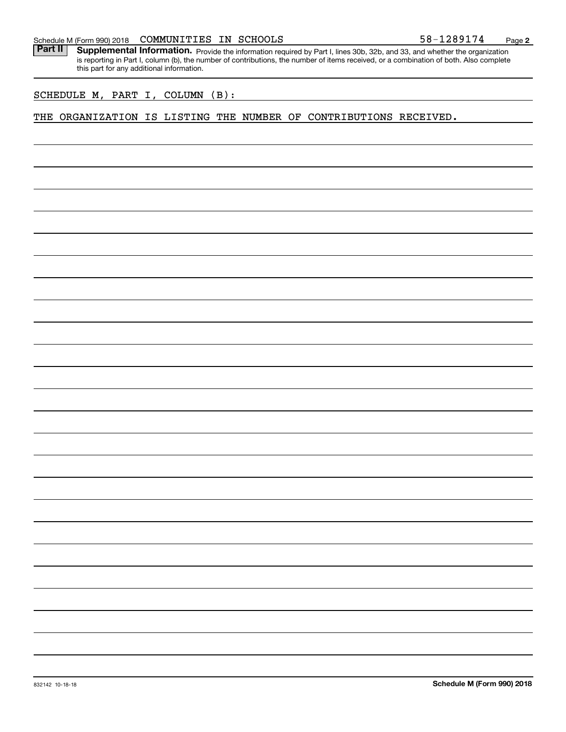Part II | Supplemental Information. Provide the information required by Part I, lines 30b, 32b, and 33, and whether the organization is reporting in Part I, column (b), the number of contributions, the number of items received, or a combination of both. Also complete this part for any additional information.

SCHEDULE M, PART I, COLUMN (B):

THE ORGANIZATION IS LISTING THE NUMBER OF CONTRIBUTIONS RECEIVED.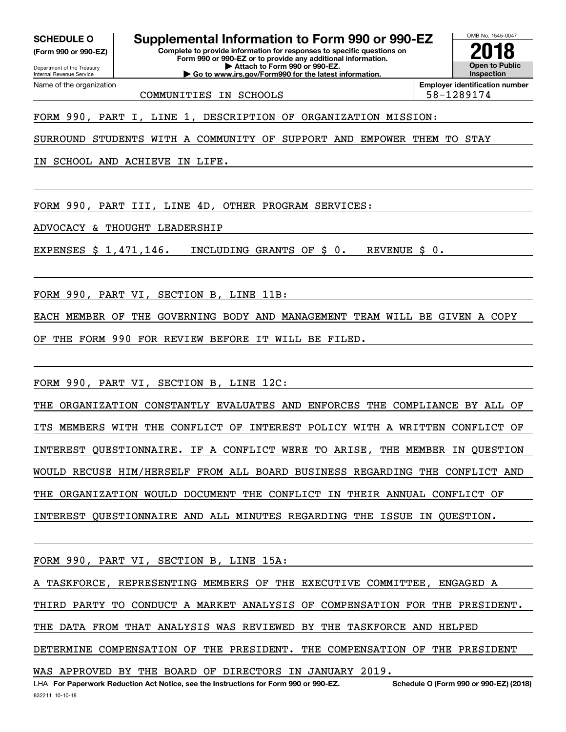**(Form 990 or 990-EZ)**

**Complete to provide information for responses to specific questions on Form 990 or 990-EZ or to provide any additional information. | Attach to Form 990 or 990-EZ. SCHEDULE O Supplemental Information to Form 990 or 990-EZ**

**| Go to www.irs.gov/Form990 for the latest information.**

Department of the Treasury Internal Revenue Service Name of the organization

COMMUNITIES IN SCHOOLS **1990** 1289174

**Employer identification number**

OMB No. 1545-0047

**Open to Public Inspection**

**2018**

FORM 990, PART I, LINE 1, DESCRIPTION OF ORGANIZATION MISSION:

SURROUND STUDENTS WITH A COMMUNITY OF SUPPORT AND EMPOWER THEM TO STAY

IN SCHOOL AND ACHIEVE IN LIFE.

FORM 990, PART III, LINE 4D, OTHER PROGRAM SERVICES:

ADVOCACY & THOUGHT LEADERSHIP

EXPENSES \$ 1,471,146. INCLUDING GRANTS OF \$ 0. REVENUE \$ 0.

FORM 990, PART VI, SECTION B, LINE 11B:

EACH MEMBER OF THE GOVERNING BODY AND MANAGEMENT TEAM WILL BE GIVEN A COPY

OF THE FORM 990 FOR REVIEW BEFORE IT WILL BE FILED.

FORM 990, PART VI, SECTION B, LINE 12C:

THE ORGANIZATION CONSTANTLY EVALUATES AND ENFORCES THE COMPLIANCE BY ALL OF ITS MEMBERS WITH THE CONFLICT OF INTEREST POLICY WITH A WRITTEN CONFLICT OF INTEREST QUESTIONNAIRE. IF A CONFLICT WERE TO ARISE, THE MEMBER IN QUESTION WOULD RECUSE HIM/HERSELF FROM ALL BOARD BUSINESS REGARDING THE CONFLICT AND THE ORGANIZATION WOULD DOCUMENT THE CONFLICT IN THEIR ANNUAL CONFLICT OF INTEREST QUESTIONNAIRE AND ALL MINUTES REGARDING THE ISSUE IN QUESTION.

FORM 990, PART VI, SECTION B, LINE 15A:

A TASKFORCE, REPRESENTING MEMBERS OF THE EXECUTIVE COMMITTEE, ENGAGED A THIRD PARTY TO CONDUCT A MARKET ANALYSIS OF COMPENSATION FOR THE PRESIDENT. THE DATA FROM THAT ANALYSIS WAS REVIEWED BY THE TASKFORCE AND HELPED DETERMINE COMPENSATION OF THE PRESIDENT. THE COMPENSATION OF THE PRESIDENT WAS APPROVED BY THE BOARD OF DIRECTORS IN JANUARY 2019.